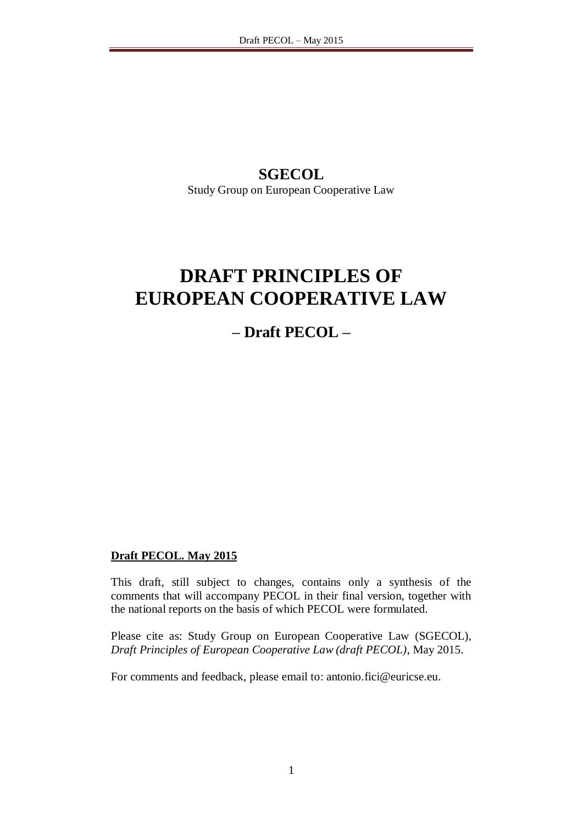## **SGECOL**

Study Group on European Cooperative Law

# **DRAFT PRINCIPLES OF EUROPEAN COOPERATIVE LAW**

## **– Draft PECOL –**

## **Draft PECOL. May 2015**

This draft, still subject to changes, contains only a synthesis of the comments that will accompany PECOL in their final version, together with the national reports on the basis of which PECOL were formulated.

Please cite as: Study Group on European Cooperative Law (SGECOL), *Draft Principles of European Cooperative Law (draft PECOL)*, May 2015.

For comments and feedback, please email to: antonio.fici@euricse.eu.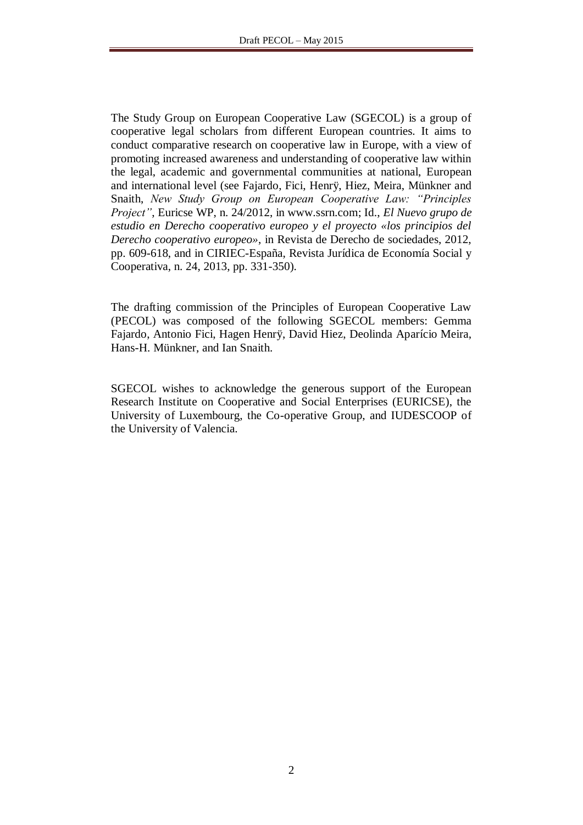The Study Group on European Cooperative Law (SGECOL) is a group of cooperative legal scholars from different European countries. It aims to conduct comparative research on cooperative law in Europe, with a view of promoting increased awareness and understanding of cooperative law within the legal, academic and governmental communities at national, European and international level (see Fajardo, Fici, Henrÿ, Hiez, Meira, Münkner and Snaith, *New Study Group on European Cooperative Law: "Principles Project"*, Euricse WP, n. 24/2012, in www.ssrn.com; Id., *El Nuevo grupo de estudio en Derecho cooperativo europeo y el proyecto «los principios del Derecho cooperativo europeo»*, in Revista de Derecho de sociedades, 2012, pp. 609-618, and in CIRIEC-España, Revista Jurídica de Economía Social y Cooperativa, n. 24, 2013, pp. 331-350).

The drafting commission of the Principles of European Cooperative Law (PECOL) was composed of the following SGECOL members: Gemma Fajardo, Antonio Fici, Hagen Henrÿ, David Hiez, Deolinda Aparício Meira, Hans-H. Münkner, and Ian Snaith.

SGECOL wishes to acknowledge the generous support of the European Research Institute on Cooperative and Social Enterprises (EURICSE), the University of Luxembourg, the Co-operative Group, and IUDESCOOP of the University of Valencia.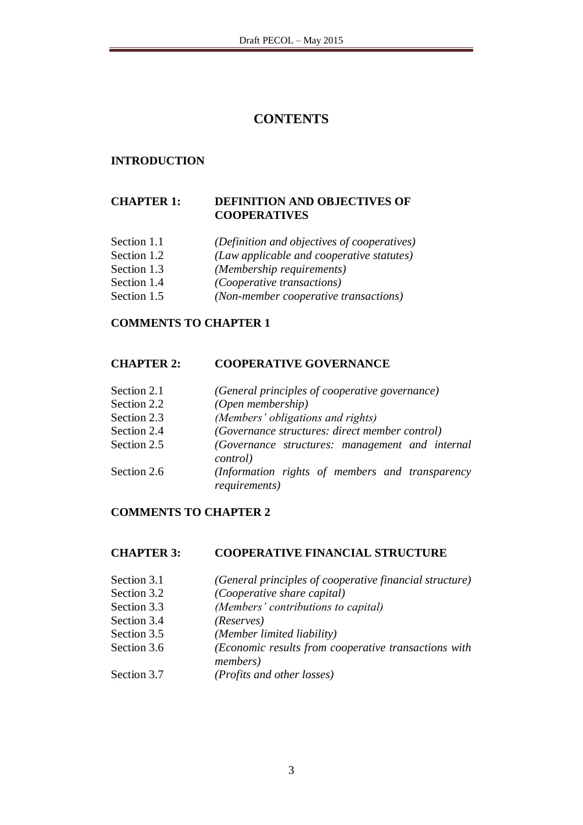## **CONTENTS**

## **INTRODUCTION**

## **CHAPTER 1: DEFINITION AND OBJECTIVES OF COOPERATIVES**

- Section 1.1 *(Definition and objectives of cooperatives)*
- Section 1.2 *(Law applicable and cooperative statutes)*
- Section 1.3 *(Membership requirements)*
- Section 1.4 *(Cooperative transactions)*
- Section 1.5 *(Non-member cooperative transactions)*

## **COMMENTS TO CHAPTER 1**

## **CHAPTER 2: COOPERATIVE GOVERNANCE**

- Section 2.1 *(General principles of cooperative governance)*
- Section 2.2 *(Open membership)*
- Section 2.3 *(Members' obligations and rights)*
- Section 2.4 *(Governance structures: direct member control)*
- Section 2.5 *(Governance structures: management and internal control)*
- Section 2.6 *(Information rights of members and transparency requirements)*

## **COMMENTS TO CHAPTER 2**

## **CHAPTER 3: COOPERATIVE FINANCIAL STRUCTURE**

Section 3.1 *(General principles of cooperative financial structure)* Section 3.2 *(Cooperative share capital)* Section 3.3 *(Members' contributions to capital)* Section 3.4 *(Reserves)* Section 3.5 *(Member limited liability)* Section 3.6 *(Economic results from cooperative transactions with members)* Section 3.7 *(Profits and other losses)*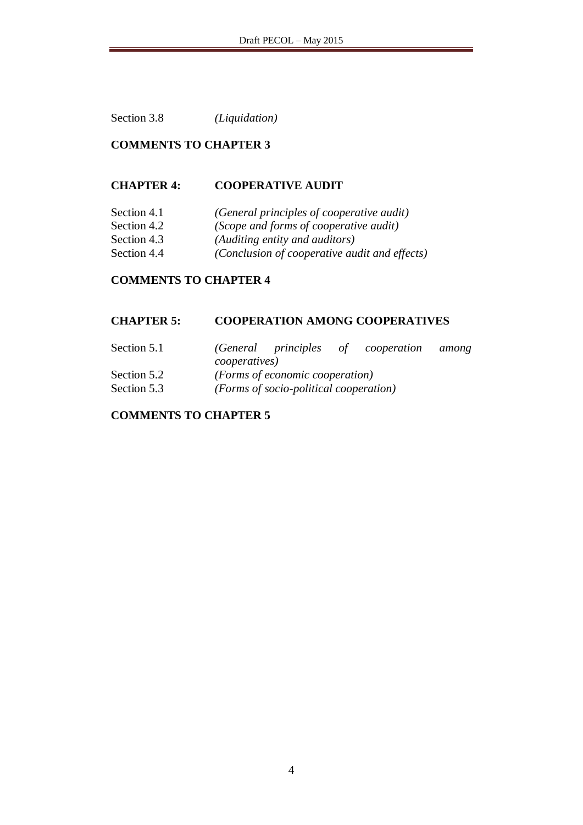Section 3.8 *(Liquidation)*

## **COMMENTS TO CHAPTER 3**

## **CHAPTER 4: COOPERATIVE AUDIT**

- Section 4.1 *(General principles of cooperative audit)*
- Section 4.2 *(Scope and forms of cooperative audit)*<br>Section 4.3 *(Auditing entity and auditors)*
- Section 4.3 *(Auditing entity and auditors)*
- Section 4.4 *(Conclusion of cooperative audit and effects)*

## **COMMENTS TO CHAPTER 4**

## **CHAPTER 5: COOPERATION AMONG COOPERATIVES**

| Section 5.1 |                                 |  |  | (General principles of cooperation among |  |
|-------------|---------------------------------|--|--|------------------------------------------|--|
|             | <i>cooperatives</i> )           |  |  |                                          |  |
| Section 5.2 | (Forms of economic cooperation) |  |  |                                          |  |

Section 5.3 *(Forms of socio-political cooperation)*

## **COMMENTS TO CHAPTER 5**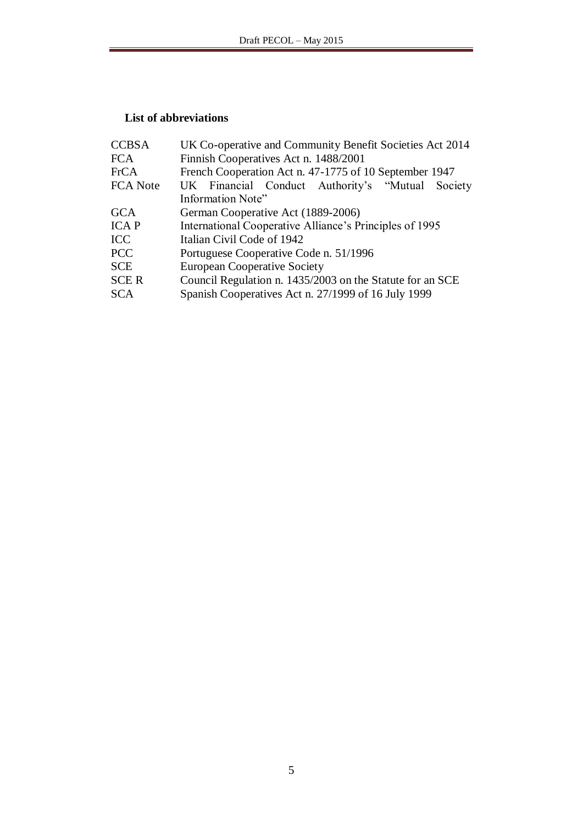## **List of abbreviations**

| <b>CCBSA</b>    | UK Co-operative and Community Benefit Societies Act 2014  |  |  |
|-----------------|-----------------------------------------------------------|--|--|
| <b>FCA</b>      | Finnish Cooperatives Act n. 1488/2001                     |  |  |
| <b>FrCA</b>     | French Cooperation Act n. 47-1775 of 10 September 1947    |  |  |
| <b>FCA</b> Note | UK Financial Conduct Authority's "Mutual<br>Society       |  |  |
|                 | Information Note"                                         |  |  |
| <b>GCA</b>      | German Cooperative Act (1889-2006)                        |  |  |
| <b>ICAP</b>     | International Cooperative Alliance's Principles of 1995   |  |  |
| <b>ICC</b>      | Italian Civil Code of 1942                                |  |  |
| <b>PCC</b>      | Portuguese Cooperative Code n. 51/1996                    |  |  |
| <b>SCE</b>      | <b>European Cooperative Society</b>                       |  |  |
| <b>SCER</b>     | Council Regulation n. 1435/2003 on the Statute for an SCE |  |  |
| <b>SCA</b>      | Spanish Cooperatives Act n. 27/1999 of 16 July 1999       |  |  |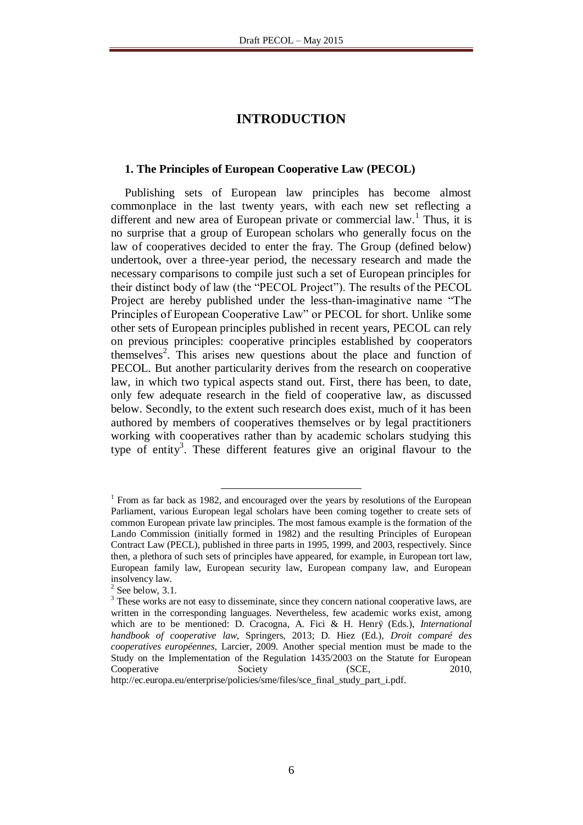## **INTRODUCTION**

#### **1. The Principles of European Cooperative Law (PECOL)**

Publishing sets of European law principles has become almost commonplace in the last twenty years, with each new set reflecting a different and new area of European private or commercial law.<sup>1</sup> Thus, it is no surprise that a group of European scholars who generally focus on the law of cooperatives decided to enter the fray. The Group (defined below) undertook, over a three-year period, the necessary research and made the necessary comparisons to compile just such a set of European principles for their distinct body of law (the "PECOL Project"). The results of the PECOL Project are hereby published under the less-than-imaginative name "The Principles of European Cooperative Law" or PECOL for short. Unlike some other sets of European principles published in recent years, PECOL can rely on previous principles: cooperative principles established by cooperators themselves<sup>2</sup>. This arises new questions about the place and function of PECOL. But another particularity derives from the research on cooperative law, in which two typical aspects stand out. First, there has been, to date, only few adequate research in the field of cooperative law, as discussed below. Secondly, to the extent such research does exist, much of it has been authored by members of cooperatives themselves or by legal practitioners working with cooperatives rather than by academic scholars studying this type of entity<sup>3</sup>. These different features give an original flavour to the

<sup>&</sup>lt;sup>1</sup> From as far back as 1982, and encouraged over the years by resolutions of the European Parliament, various European legal scholars have been coming together to create sets of common European private law principles. The most famous example is the formation of the Lando Commission (initially formed in 1982) and the resulting Principles of European Contract Law (PECL), published in three parts in 1995, 1999, and 2003, respectively. Since then, a plethora of such sets of principles have appeared, for example, in European tort law, European family law, European security law, European company law, and European insolvency law.

 $2$  See below, 3.1.

<sup>&</sup>lt;sup>3</sup> These works are not easy to disseminate, since they concern national cooperative laws, are written in the corresponding languages. Nevertheless, few academic works exist, among which are to be mentioned: D. Cracogna, A. Fici & H. Henrÿ (Eds.), *International handbook of cooperative law*, Springers, 2013; D. Hiez (Ed.), *Droit comparé des cooperatives européennes*, Larcier, 2009. Another special mention must be made to the Study on the Implementation of the Regulation 1435/2003 on the Statute for European Cooperative Society (SCE, 2010,

http://ec.europa.eu/enterprise/policies/sme/files/sce\_final\_study\_part\_i.pdf.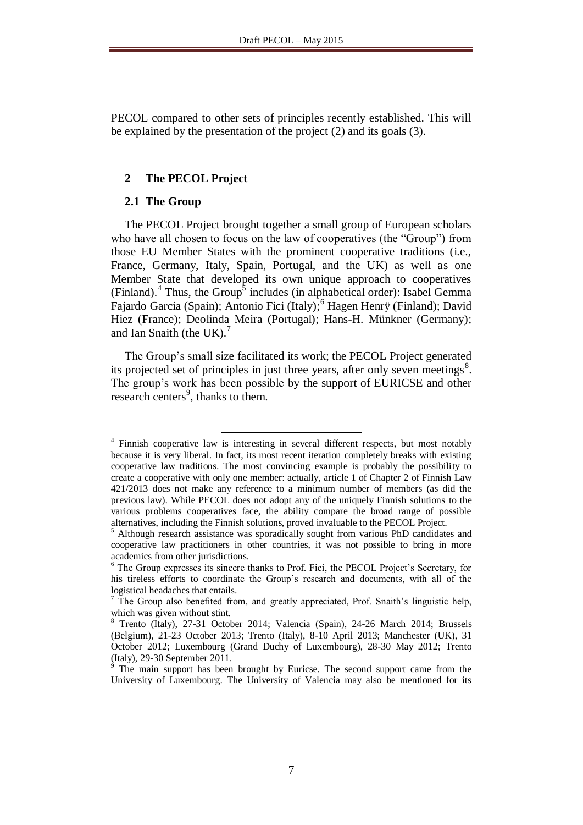PECOL compared to other sets of principles recently established. This will be explained by the presentation of the project (2) and its goals (3).

#### **2 The PECOL Project**

#### **2.1 The Group**

The PECOL Project brought together a small group of European scholars who have all chosen to focus on the law of cooperatives (the "Group") from those EU Member States with the prominent cooperative traditions (i.e., France, Germany, Italy, Spain, Portugal, and the UK) as well as one Member State that developed its own unique approach to cooperatives (Finland).<sup>4</sup> Thus, the Group<sup>5</sup> includes (in alphabetical order): Isabel Gemma Fajardo Garcia (Spain); Antonio Fici (Italy);<sup>6</sup> Hagen Henrÿ (Finland); David Hiez (France); Deolinda Meira (Portugal); Hans-H. Münkner (Germany); and Ian Snaith (the UK). $<sup>7</sup>$ </sup>

The Group's small size facilitated its work; the PECOL Project generated its projected set of principles in just three years, after only seven meetings $\delta$ . The group's work has been possible by the support of EURICSE and other research centers<sup>9</sup>, thanks to them.

<sup>&</sup>lt;sup>4</sup> Finnish cooperative law is interesting in several different respects, but most notably because it is very liberal. In fact, its most recent iteration completely breaks with existing cooperative law traditions. The most convincing example is probably the possibility to create a cooperative with only one member: actually, article 1 of Chapter 2 of Finnish Law 421/2013 does not make any reference to a minimum number of members (as did the previous law). While PECOL does not adopt any of the uniquely Finnish solutions to the various problems cooperatives face, the ability compare the broad range of possible alternatives, including the Finnish solutions, proved invaluable to the PECOL Project.

<sup>&</sup>lt;sup>5</sup> Although research assistance was sporadically sought from various PhD candidates and cooperative law practitioners in other countries, it was not possible to bring in more academics from other jurisdictions.

<sup>6</sup> The Group expresses its sincere thanks to Prof. Fici, the PECOL Project's Secretary, for his tireless efforts to coordinate the Group's research and documents, with all of the logistical headaches that entails.

 $7$  The Group also benefited from, and greatly appreciated, Prof. Snaith's linguistic help, which was given without stint.<br><sup>8</sup> Trento (Italy)  $27-31$  Octol

<sup>8</sup> Trento (Italy), 27-31 October 2014; Valencia (Spain), 24-26 March 2014; Brussels (Belgium), 21-23 October 2013; Trento (Italy), 8-10 April 2013; Manchester (UK), 31 October 2012; Luxembourg (Grand Duchy of Luxembourg), 28-30 May 2012; Trento (Italy), 29-30 September 2011.

The main support has been brought by Euricse. The second support came from the University of Luxembourg. The University of Valencia may also be mentioned for its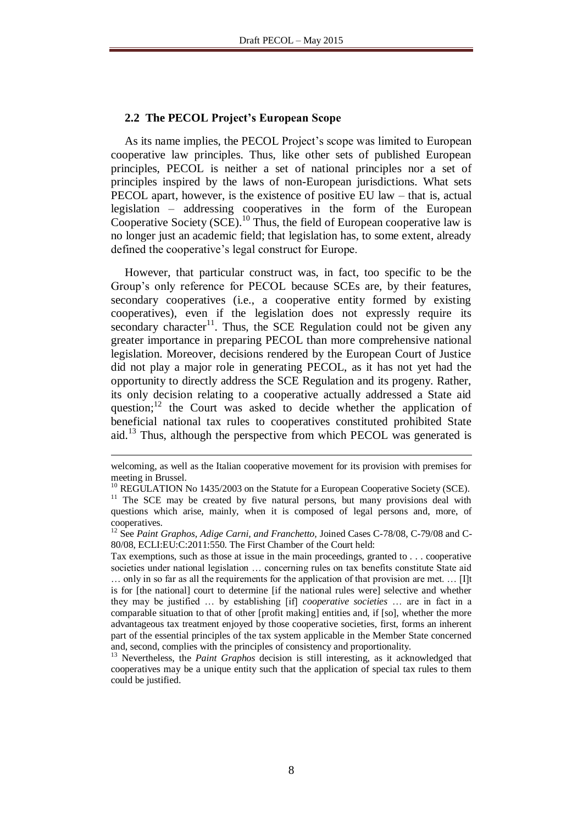#### **2.2 The PECOL Project's European Scope**

As its name implies, the PECOL Project's scope was limited to European cooperative law principles. Thus, like other sets of published European principles, PECOL is neither a set of national principles nor a set of principles inspired by the laws of non-European jurisdictions. What sets PECOL apart, however, is the existence of positive EU law – that is, actual legislation – addressing cooperatives in the form of the European Cooperative Society (SCE).<sup>10</sup> Thus, the field of European cooperative law is no longer just an academic field; that legislation has, to some extent, already defined the cooperative's legal construct for Europe.

However, that particular construct was, in fact, too specific to be the Group's only reference for PECOL because SCEs are, by their features, secondary cooperatives (i.e., a cooperative entity formed by existing cooperatives), even if the legislation does not expressly require its secondary character<sup>11</sup>. Thus, the SCE Regulation could not be given any greater importance in preparing PECOL than more comprehensive national legislation. Moreover, decisions rendered by the European Court of Justice did not play a major role in generating PECOL, as it has not yet had the opportunity to directly address the SCE Regulation and its progeny. Rather, its only decision relating to a cooperative actually addressed a State aid question; $12$  the Court was asked to decide whether the application of beneficial national tax rules to cooperatives constituted prohibited State aid.<sup>13</sup> Thus, although the perspective from which PECOL was generated is

<u>.</u>

welcoming, as well as the Italian cooperative movement for its provision with premises for meeting in Brussel.

<sup>&</sup>lt;sup>10</sup> REGULATION No 1435/2003 on the Statute for a European Cooperative Society (SCE).

<sup>&</sup>lt;sup>11</sup> The SCE may be created by five natural persons, but many provisions deal with questions which arise, mainly, when it is composed of legal persons and, more, of cooperatives.

<sup>&</sup>lt;sup>12</sup> See *Paint Graphos, Adige Carni, and Franchetto, Joined Cases C-78/08, C-79/08 and C-*80/08, ECLI:EU:C:2011:550. The First Chamber of the Court held:

Tax exemptions, such as those at issue in the main proceedings, granted to . . . cooperative societies under national legislation … concerning rules on tax benefits constitute State aid  $\ldots$  only in so far as all the requirements for the application of that provision are met.  $\ldots$  [I]t is for [the national] court to determine [if the national rules were] selective and whether they may be justified … by establishing [if] *cooperative societies* … are in fact in a comparable situation to that of other [profit making] entities and, if [so], whether the more advantageous tax treatment enjoyed by those cooperative societies, first, forms an inherent part of the essential principles of the tax system applicable in the Member State concerned and, second, complies with the principles of consistency and proportionality.

<sup>13</sup> Nevertheless, the *Paint Graphos* decision is still interesting, as it acknowledged that cooperatives may be a unique entity such that the application of special tax rules to them could be justified.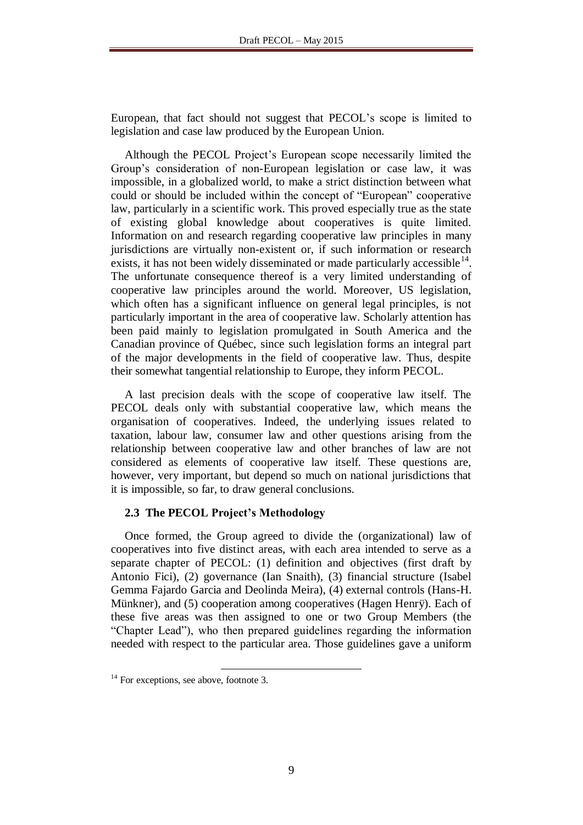European, that fact should not suggest that PECOL's scope is limited to legislation and case law produced by the European Union.

Although the PECOL Project's European scope necessarily limited the Group's consideration of non-European legislation or case law, it was impossible, in a globalized world, to make a strict distinction between what could or should be included within the concept of "European" cooperative law, particularly in a scientific work. This proved especially true as the state of existing global knowledge about cooperatives is quite limited. Information on and research regarding cooperative law principles in many jurisdictions are virtually non-existent or, if such information or research exists, it has not been widely disseminated or made particularly accessible  $14$ . The unfortunate consequence thereof is a very limited understanding of cooperative law principles around the world. Moreover, US legislation, which often has a significant influence on general legal principles, is not particularly important in the area of cooperative law. Scholarly attention has been paid mainly to legislation promulgated in South America and the Canadian province of Québec, since such legislation forms an integral part of the major developments in the field of cooperative law. Thus, despite their somewhat tangential relationship to Europe, they inform PECOL.

A last precision deals with the scope of cooperative law itself. The PECOL deals only with substantial cooperative law, which means the organisation of cooperatives. Indeed, the underlying issues related to taxation, labour law, consumer law and other questions arising from the relationship between cooperative law and other branches of law are not considered as elements of cooperative law itself. These questions are, however, very important, but depend so much on national jurisdictions that it is impossible, so far, to draw general conclusions.

#### **2.3 The PECOL Project's Methodology**

Once formed, the Group agreed to divide the (organizational) law of cooperatives into five distinct areas, with each area intended to serve as a separate chapter of PECOL: (1) definition and objectives (first draft by Antonio Fici), (2) governance (Ian Snaith), (3) financial structure (Isabel Gemma Fajardo Garcia and Deolinda Meira), (4) external controls (Hans-H. Münkner), and (5) cooperation among cooperatives (Hagen Henrÿ). Each of these five areas was then assigned to one or two Group Members (the "Chapter Lead"), who then prepared guidelines regarding the information needed with respect to the particular area. Those guidelines gave a uniform

 $14$  For exceptions, see above, footnote 3.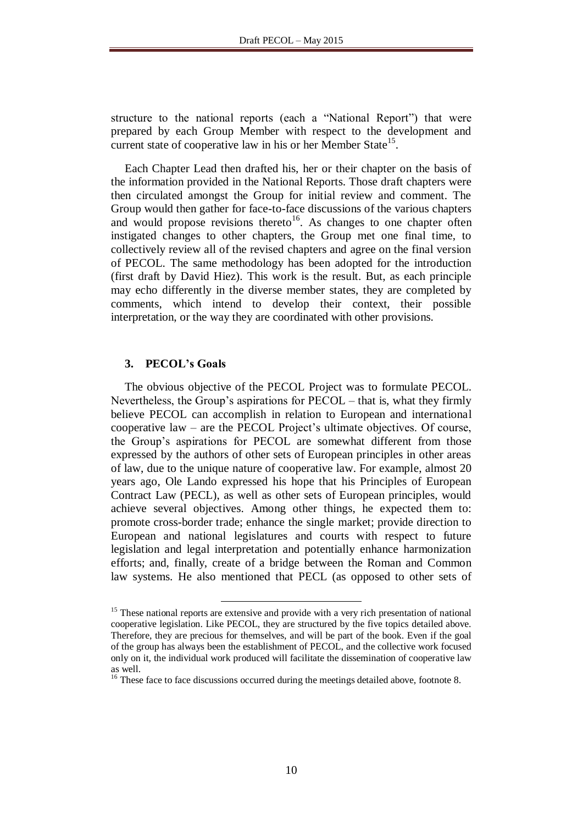structure to the national reports (each a "National Report") that were prepared by each Group Member with respect to the development and current state of cooperative law in his or her Member State<sup>15</sup>.

Each Chapter Lead then drafted his, her or their chapter on the basis of the information provided in the National Reports. Those draft chapters were then circulated amongst the Group for initial review and comment. The Group would then gather for face-to-face discussions of the various chapters and would propose revisions thereto<sup>16</sup>. As changes to one chapter often instigated changes to other chapters, the Group met one final time, to collectively review all of the revised chapters and agree on the final version of PECOL. The same methodology has been adopted for the introduction (first draft by David Hiez). This work is the result. But, as each principle may echo differently in the diverse member states, they are completed by comments, which intend to develop their context, their possible interpretation, or the way they are coordinated with other provisions.

#### **3. PECOL's Goals**

The obvious objective of the PECOL Project was to formulate PECOL. Nevertheless, the Group's aspirations for PECOL – that is, what they firmly believe PECOL can accomplish in relation to European and international cooperative law – are the PECOL Project's ultimate objectives. Of course, the Group's aspirations for PECOL are somewhat different from those expressed by the authors of other sets of European principles in other areas of law, due to the unique nature of cooperative law. For example, almost 20 years ago, Ole Lando expressed his hope that his Principles of European Contract Law (PECL), as well as other sets of European principles, would achieve several objectives. Among other things, he expected them to: promote cross-border trade; enhance the single market; provide direction to European and national legislatures and courts with respect to future legislation and legal interpretation and potentially enhance harmonization efforts; and, finally, create of a bridge between the Roman and Common law systems. He also mentioned that PECL (as opposed to other sets of

<sup>&</sup>lt;sup>15</sup> These national reports are extensive and provide with a very rich presentation of national cooperative legislation. Like PECOL, they are structured by the five topics detailed above. Therefore, they are precious for themselves, and will be part of the book. Even if the goal of the group has always been the establishment of PECOL, and the collective work focused only on it, the individual work produced will facilitate the dissemination of cooperative law as well.

<sup>&</sup>lt;sup>16</sup> These face to face discussions occurred during the meetings detailed above, footnote 8.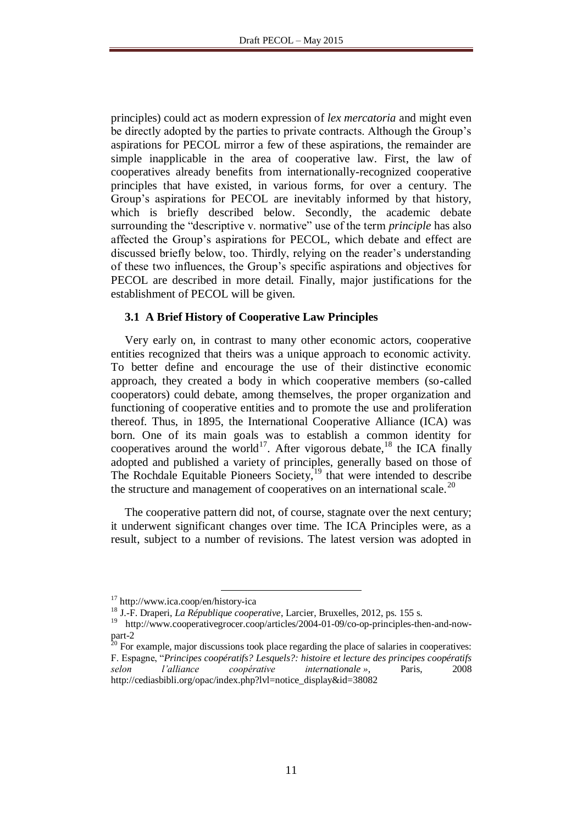principles) could act as modern expression of *lex mercatoria* and might even be directly adopted by the parties to private contracts. Although the Group's aspirations for PECOL mirror a few of these aspirations, the remainder are simple inapplicable in the area of cooperative law. First, the law of cooperatives already benefits from internationally-recognized cooperative principles that have existed, in various forms, for over a century. The Group's aspirations for PECOL are inevitably informed by that history, which is briefly described below. Secondly, the academic debate surrounding the "descriptive v. normative" use of the term *principle* has also affected the Group's aspirations for PECOL, which debate and effect are discussed briefly below, too. Thirdly, relying on the reader's understanding of these two influences, the Group's specific aspirations and objectives for PECOL are described in more detail. Finally, major justifications for the establishment of PECOL will be given.

## **3.1 A Brief History of Cooperative Law Principles**

Very early on, in contrast to many other economic actors, cooperative entities recognized that theirs was a unique approach to economic activity. To better define and encourage the use of their distinctive economic approach, they created a body in which cooperative members (so-called cooperators) could debate, among themselves, the proper organization and functioning of cooperative entities and to promote the use and proliferation thereof. Thus, in 1895, the International Cooperative Alliance (ICA) was born. One of its main goals was to establish a common identity for cooperatives around the world<sup>17</sup>. After vigorous debate,<sup>18</sup> the ICA finally adopted and published a variety of principles, generally based on those of The Rochdale Equitable Pioneers Society,<sup>19</sup> that were intended to describe the structure and management of cooperatives on an international scale.<sup>20</sup>

The cooperative pattern did not, of course, stagnate over the next century; it underwent significant changes over time. The ICA Principles were, as a result, subject to a number of revisions. The latest version was adopted in

<sup>17</sup> http://www.ica.coop/en/history-ica

<sup>18</sup> J.-F. Draperi, *La République cooperative*, Larcier, Bruxelles, 2012, ps. 155 s.

<sup>19</sup> http://www.cooperativegrocer.coop/articles/2004-01-09/co-op-principles-then-and-nowpart-2

 $20$  For example, major discussions took place regarding the place of salaries in cooperatives: F. Espagne, "*Principes coopératifs? Lesquels?: histoire et lecture des principes coopératifs selon l'alliance coopérative internationale »*, Paris, 2008 http://cediasbibli.org/opac/index.php?lvl=notice\_display&id=38082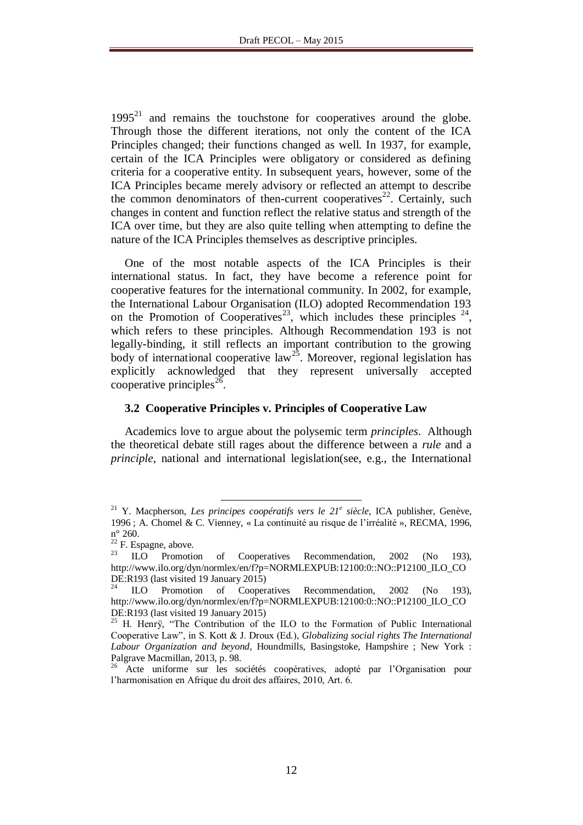$1995<sup>21</sup>$  and remains the touchstone for cooperatives around the globe. Through those the different iterations, not only the content of the ICA Principles changed; their functions changed as well. In 1937, for example, certain of the ICA Principles were obligatory or considered as defining criteria for a cooperative entity. In subsequent years, however, some of the ICA Principles became merely advisory or reflected an attempt to describe the common denominators of then-current cooperatives<sup>22</sup>. Certainly, such changes in content and function reflect the relative status and strength of the ICA over time, but they are also quite telling when attempting to define the nature of the ICA Principles themselves as descriptive principles.

One of the most notable aspects of the ICA Principles is their international status. In fact, they have become a reference point for cooperative features for the international community. In 2002, for example, the International Labour Organisation (ILO) adopted Recommendation 193 on the Promotion of Cooperatives<sup>23</sup>, which includes these principles  $24$ , which refers to these principles. Although Recommendation 193 is not legally-binding, it still reflects an important contribution to the growing body of international cooperative law<sup>25</sup>. Moreover, regional legislation has explicitly acknowledged that they represent universally accepted cooperative principles $^{26}$ .

#### **3.2 Cooperative Principles v. Principles of Cooperative Law**

1

Academics love to argue about the polysemic term *principles*. Although the theoretical debate still rages about the difference between a *rule* and a *principle*, national and international legislation(see, e.g., the International

<sup>21</sup> Y. Macpherson, *Les principes coopératifs vers le 21<sup>e</sup> siècle*, ICA publisher, Genève, 1996 ; A. Chomel & C. Vienney, « La continuité au risque de l'irréalité », RECMA, 1996, n° 260.

 $\frac{22}{23}$  F. Espagne, above.

ILO Promotion of Cooperatives Recommendation, 2002 (No 193), http://www.ilo.org/dyn/normlex/en/f?p=NORMLEXPUB:12100:0::NO::P12100\_ILO\_CO DE:R193 (last visited 19 January 2015)

<sup>24</sup> ILO Promotion of Cooperatives Recommendation, 2002 (No 193), http://www.ilo.org/dyn/normlex/en/f?p=NORMLEXPUB:12100:0::NO::P12100\_ILO\_CO DE:R193 (last visited 19 January 2015)

<sup>25</sup> H. Henrÿ, "The Contribution of the ILO to the Formation of Public International Cooperative Law", in S. Kott & J. Droux (Ed.), *Globalizing social rights The International Labour Organization and beyond*, Houndmills, Basingstoke, Hampshire ; New York : Palgrave Macmillan, 2013, p. 98.

<sup>26</sup> Acte uniforme sur les sociétés coopératives, adopté par l'Organisation pour l'harmonisation en Afrique du droit des affaires, 2010, Art. 6.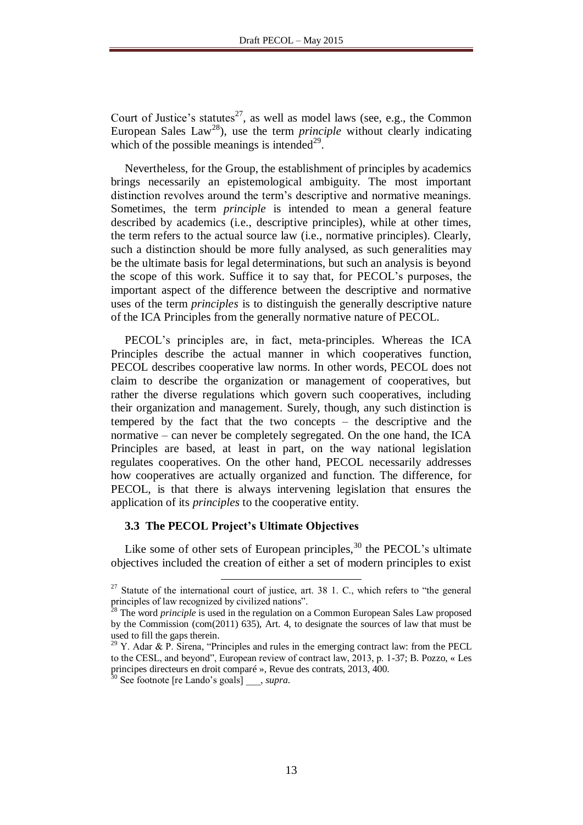Court of Justice's statutes<sup>27</sup>, as well as model laws (see, e.g., the Common European Sales Law<sup>28</sup>), use the term *principle* without clearly indicating which of the possible meanings is intended $^{29}$ .

Nevertheless, for the Group, the establishment of principles by academics brings necessarily an epistemological ambiguity. The most important distinction revolves around the term's descriptive and normative meanings. Sometimes, the term *principle* is intended to mean a general feature described by academics (i.e., descriptive principles), while at other times, the term refers to the actual source law (i.e., normative principles). Clearly, such a distinction should be more fully analysed, as such generalities may be the ultimate basis for legal determinations, but such an analysis is beyond the scope of this work. Suffice it to say that, for PECOL's purposes, the important aspect of the difference between the descriptive and normative uses of the term *principles* is to distinguish the generally descriptive nature of the ICA Principles from the generally normative nature of PECOL.

PECOL's principles are, in fact, meta-principles. Whereas the ICA Principles describe the actual manner in which cooperatives function, PECOL describes cooperative law norms. In other words, PECOL does not claim to describe the organization or management of cooperatives, but rather the diverse regulations which govern such cooperatives, including their organization and management. Surely, though, any such distinction is tempered by the fact that the two concepts – the descriptive and the normative – can never be completely segregated. On the one hand, the ICA Principles are based, at least in part, on the way national legislation regulates cooperatives. On the other hand, PECOL necessarily addresses how cooperatives are actually organized and function. The difference, for PECOL, is that there is always intervening legislation that ensures the application of its *principles* to the cooperative entity.

#### **3.3 The PECOL Project's Ultimate Objectives**

1

Like some of other sets of European principles,  $30$  the PECOL's ultimate objectives included the creation of either a set of modern principles to exist

 $27$  Statute of the international court of justice, art. 38 1. C., which refers to "the general principles of law recognized by civilized nations".

<sup>&</sup>lt;sup>28</sup> The word *principle* is used in the regulation on a Common European Sales Law proposed by the Commission (com(2011) 635), Art. 4, to designate the sources of law that must be used to fill the gaps therein.

<sup>&</sup>lt;sup>29</sup> Y. Adar & P. Sirena, "Principles and rules in the emerging contract law: from the PECL to the CESL, and beyond", European review of contract law, 2013, p. 1-37; B. Pozzo, « Les principes directeurs en droit comparé », Revue des contrats, 2013, 400.

See footnote [re Lando's goals]  $\qquad$ , *supra*.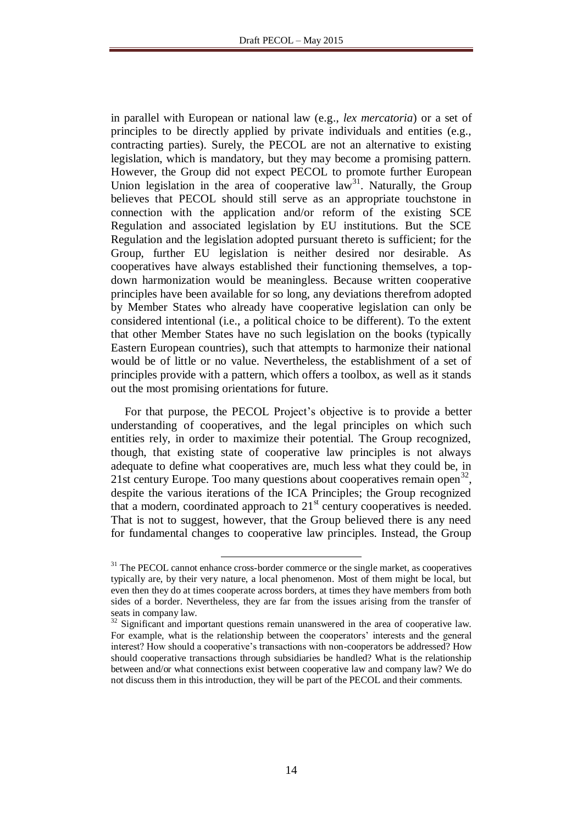in parallel with European or national law (e.g., *lex mercatoria*) or a set of principles to be directly applied by private individuals and entities (e.g., contracting parties). Surely, the PECOL are not an alternative to existing legislation, which is mandatory, but they may become a promising pattern. However, the Group did not expect PECOL to promote further European Union legislation in the area of cooperative law<sup>31</sup>. Naturally, the Group believes that PECOL should still serve as an appropriate touchstone in connection with the application and/or reform of the existing SCE Regulation and associated legislation by EU institutions. But the SCE Regulation and the legislation adopted pursuant thereto is sufficient; for the Group, further EU legislation is neither desired nor desirable. As cooperatives have always established their functioning themselves, a topdown harmonization would be meaningless. Because written cooperative principles have been available for so long, any deviations therefrom adopted by Member States who already have cooperative legislation can only be considered intentional (i.e., a political choice to be different). To the extent that other Member States have no such legislation on the books (typically Eastern European countries), such that attempts to harmonize their national would be of little or no value. Nevertheless, the establishment of a set of principles provide with a pattern, which offers a toolbox, as well as it stands out the most promising orientations for future.

For that purpose, the PECOL Project's objective is to provide a better understanding of cooperatives, and the legal principles on which such entities rely, in order to maximize their potential. The Group recognized, though, that existing state of cooperative law principles is not always adequate to define what cooperatives are, much less what they could be, in 21st century Europe. Too many questions about cooperatives remain open<sup>32</sup>, despite the various iterations of the ICA Principles; the Group recognized that a modern, coordinated approach to  $21<sup>st</sup>$  century cooperatives is needed. That is not to suggest, however, that the Group believed there is any need for fundamental changes to cooperative law principles. Instead, the Group

<u>.</u>

<sup>&</sup>lt;sup>31</sup> The PECOL cannot enhance cross-border commerce or the single market, as cooperatives typically are, by their very nature, a local phenomenon. Most of them might be local, but even then they do at times cooperate across borders, at times they have members from both sides of a border. Nevertheless, they are far from the issues arising from the transfer of seats in company law.

 $32$  Significant and important questions remain unanswered in the area of cooperative law. For example, what is the relationship between the cooperators' interests and the general interest? How should a cooperative's transactions with non-cooperators be addressed? How should cooperative transactions through subsidiaries be handled? What is the relationship between and/or what connections exist between cooperative law and company law? We do not discuss them in this introduction, they will be part of the PECOL and their comments.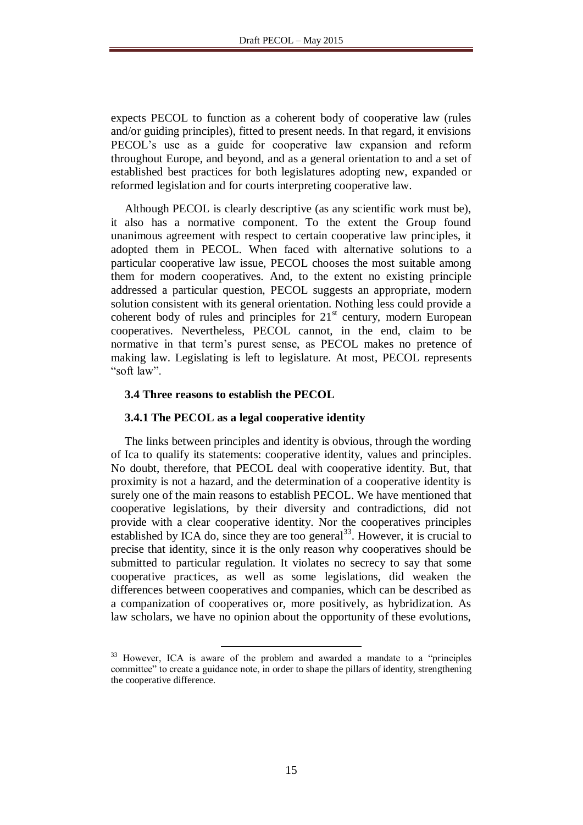expects PECOL to function as a coherent body of cooperative law (rules and/or guiding principles), fitted to present needs. In that regard, it envisions PECOL's use as a guide for cooperative law expansion and reform throughout Europe, and beyond, and as a general orientation to and a set of established best practices for both legislatures adopting new, expanded or reformed legislation and for courts interpreting cooperative law.

Although PECOL is clearly descriptive (as any scientific work must be), it also has a normative component. To the extent the Group found unanimous agreement with respect to certain cooperative law principles, it adopted them in PECOL. When faced with alternative solutions to a particular cooperative law issue, PECOL chooses the most suitable among them for modern cooperatives. And, to the extent no existing principle addressed a particular question, PECOL suggests an appropriate, modern solution consistent with its general orientation. Nothing less could provide a coherent body of rules and principles for  $21<sup>st</sup>$  century, modern European cooperatives. Nevertheless, PECOL cannot, in the end, claim to be normative in that term's purest sense, as PECOL makes no pretence of making law. Legislating is left to legislature. At most, PECOL represents "soft law".

## **3.4 Three reasons to establish the PECOL**

1

#### **3.4.1 The PECOL as a legal cooperative identity**

The links between principles and identity is obvious, through the wording of Ica to qualify its statements: cooperative identity, values and principles. No doubt, therefore, that PECOL deal with cooperative identity. But, that proximity is not a hazard, and the determination of a cooperative identity is surely one of the main reasons to establish PECOL. We have mentioned that cooperative legislations, by their diversity and contradictions, did not provide with a clear cooperative identity. Nor the cooperatives principles established by ICA do, since they are too general<sup>33</sup>. However, it is crucial to precise that identity, since it is the only reason why cooperatives should be submitted to particular regulation. It violates no secrecy to say that some cooperative practices, as well as some legislations, did weaken the differences between cooperatives and companies, which can be described as a companization of cooperatives or, more positively, as hybridization. As law scholars, we have no opinion about the opportunity of these evolutions,

<sup>&</sup>lt;sup>33</sup> However, ICA is aware of the problem and awarded a mandate to a "principles" committee" to create a guidance note, in order to shape the pillars of identity, strengthening the cooperative difference.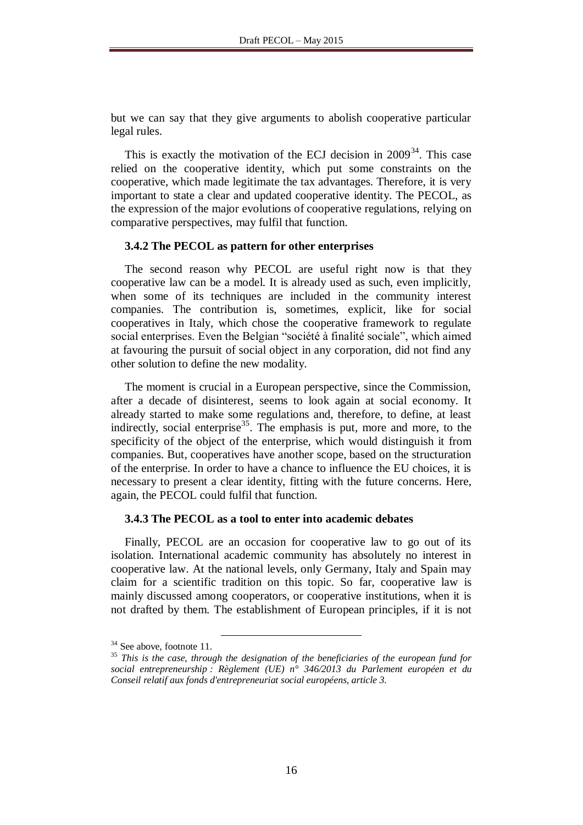but we can say that they give arguments to abolish cooperative particular legal rules.

This is exactly the motivation of the ECJ decision in  $2009<sup>34</sup>$ . This case relied on the cooperative identity, which put some constraints on the cooperative, which made legitimate the tax advantages. Therefore, it is very important to state a clear and updated cooperative identity. The PECOL, as the expression of the major evolutions of cooperative regulations, relying on comparative perspectives, may fulfil that function.

#### **3.4.2 The PECOL as pattern for other enterprises**

The second reason why PECOL are useful right now is that they cooperative law can be a model. It is already used as such, even implicitly, when some of its techniques are included in the community interest companies. The contribution is, sometimes, explicit, like for social cooperatives in Italy, which chose the cooperative framework to regulate social enterprises. Even the Belgian "société à finalité sociale", which aimed at favouring the pursuit of social object in any corporation, did not find any other solution to define the new modality.

The moment is crucial in a European perspective, since the Commission, after a decade of disinterest, seems to look again at social economy. It already started to make some regulations and, therefore, to define, at least indirectly, social enterprise<sup>35</sup>. The emphasis is put, more and more, to the specificity of the object of the enterprise, which would distinguish it from companies. But, cooperatives have another scope, based on the structuration of the enterprise. In order to have a chance to influence the EU choices, it is necessary to present a clear identity, fitting with the future concerns. Here, again, the PECOL could fulfil that function.

#### **3.4.3 The PECOL as a tool to enter into academic debates**

Finally, PECOL are an occasion for cooperative law to go out of its isolation. International academic community has absolutely no interest in cooperative law. At the national levels, only Germany, Italy and Spain may claim for a scientific tradition on this topic. So far, cooperative law is mainly discussed among cooperators, or cooperative institutions, when it is not drafted by them. The establishment of European principles, if it is not

 $34$  See above, footnote 11.

<sup>35</sup> *This is the case, through the designation of the beneficiaries of the european fund for social entrepreneurship : Règlement (UE) n° 346/2013 du Parlement européen et du Conseil relatif aux fonds d'entrepreneuriat social européens, article 3.*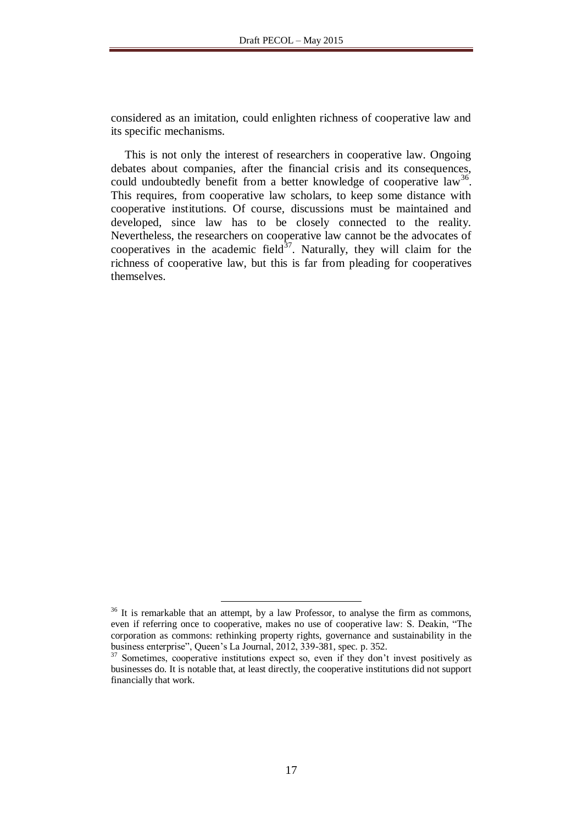considered as an imitation, could enlighten richness of cooperative law and its specific mechanisms.

This is not only the interest of researchers in cooperative law. Ongoing debates about companies, after the financial crisis and its consequences, could undoubtedly benefit from a better knowledge of cooperative law<sup>36</sup>. This requires, from cooperative law scholars, to keep some distance with cooperative institutions. Of course, discussions must be maintained and developed, since law has to be closely connected to the reality. Nevertheless, the researchers on cooperative law cannot be the advocates of cooperatives in the academic field $3^7$ . Naturally, they will claim for the richness of cooperative law, but this is far from pleading for cooperatives themselves.

<sup>&</sup>lt;sup>36</sup> It is remarkable that an attempt, by a law Professor, to analyse the firm as commons, even if referring once to cooperative, makes no use of cooperative law: S. Deakin, "The corporation as commons: rethinking property rights, governance and sustainability in the business enterprise", Queen's La Journal, 2012, 339-381, spec. p. 352.

<sup>&</sup>lt;sup>37</sup> Sometimes, cooperative institutions expect so, even if they don't invest positively as businesses do. It is notable that, at least directly, the cooperative institutions did not support financially that work.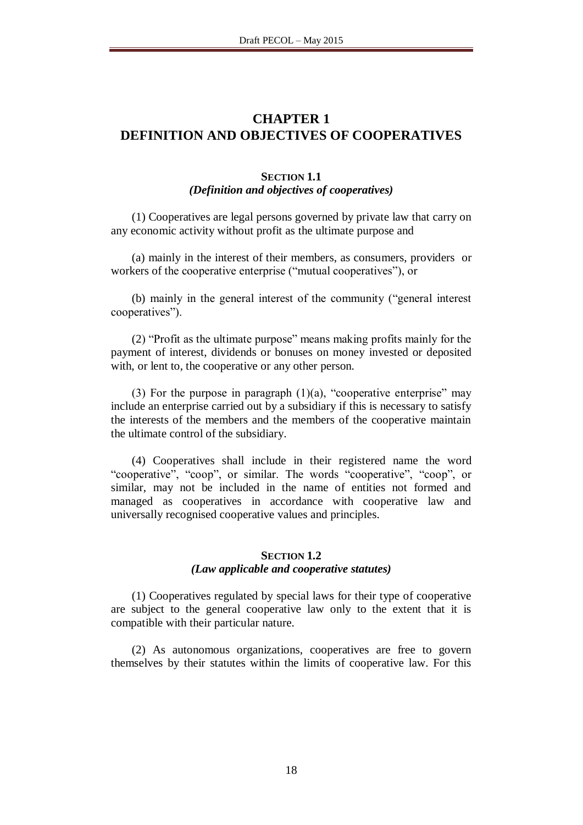## **CHAPTER 1 DEFINITION AND OBJECTIVES OF COOPERATIVES**

#### **SECTION 1.1**

#### *(Definition and objectives of cooperatives)*

(1) Cooperatives are legal persons governed by private law that carry on any economic activity without profit as the ultimate purpose and

(a) mainly in the interest of their members, as consumers, providers or workers of the cooperative enterprise ("mutual cooperatives"), or

(b) mainly in the general interest of the community ("general interest cooperatives").

(2) "Profit as the ultimate purpose" means making profits mainly for the payment of interest, dividends or bonuses on money invested or deposited with, or lent to, the cooperative or any other person.

(3) For the purpose in paragraph  $(1)(a)$ , "cooperative enterprise" may include an enterprise carried out by a subsidiary if this is necessary to satisfy the interests of the members and the members of the cooperative maintain the ultimate control of the subsidiary.

(4) Cooperatives shall include in their registered name the word "cooperative", "coop", or similar. The words "cooperative", "coop", or similar, may not be included in the name of entities not formed and managed as cooperatives in accordance with cooperative law and universally recognised cooperative values and principles.

#### **SECTION 1.2**

#### *(Law applicable and cooperative statutes)*

(1) Cooperatives regulated by special laws for their type of cooperative are subject to the general cooperative law only to the extent that it is compatible with their particular nature.

(2) As autonomous organizations, cooperatives are free to govern themselves by their statutes within the limits of cooperative law. For this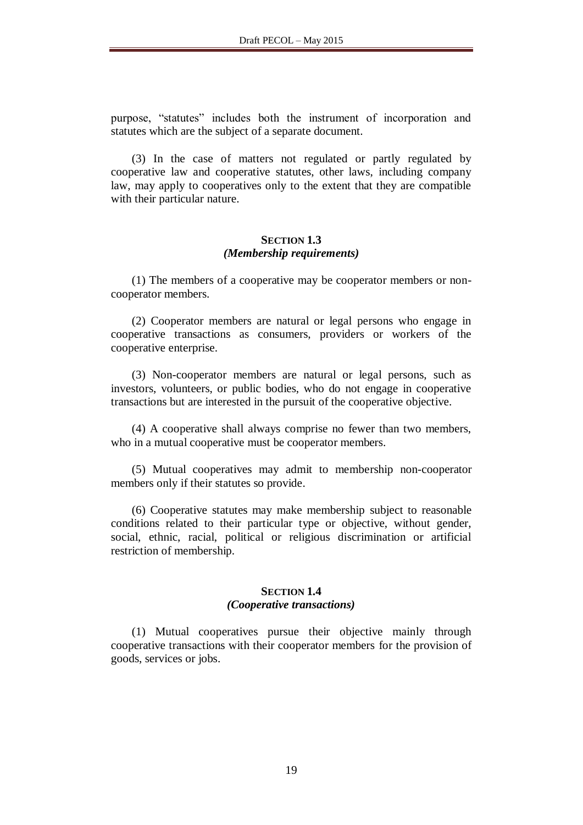purpose, "statutes" includes both the instrument of incorporation and statutes which are the subject of a separate document.

(3) In the case of matters not regulated or partly regulated by cooperative law and cooperative statutes, other laws, including company law, may apply to cooperatives only to the extent that they are compatible with their particular nature.

#### **SECTION 1.3** *(Membership requirements)*

(1) The members of a cooperative may be cooperator members or noncooperator members.

(2) Cooperator members are natural or legal persons who engage in cooperative transactions as consumers, providers or workers of the cooperative enterprise.

(3) Non-cooperator members are natural or legal persons, such as investors, volunteers, or public bodies, who do not engage in cooperative transactions but are interested in the pursuit of the cooperative objective.

(4) A cooperative shall always comprise no fewer than two members, who in a mutual cooperative must be cooperator members.

(5) Mutual cooperatives may admit to membership non-cooperator members only if their statutes so provide.

(6) Cooperative statutes may make membership subject to reasonable conditions related to their particular type or objective, without gender, social, ethnic, racial, political or religious discrimination or artificial restriction of membership.

#### **SECTION 1.4** *(Cooperative transactions)*

(1) Mutual cooperatives pursue their objective mainly through cooperative transactions with their cooperator members for the provision of goods, services or jobs.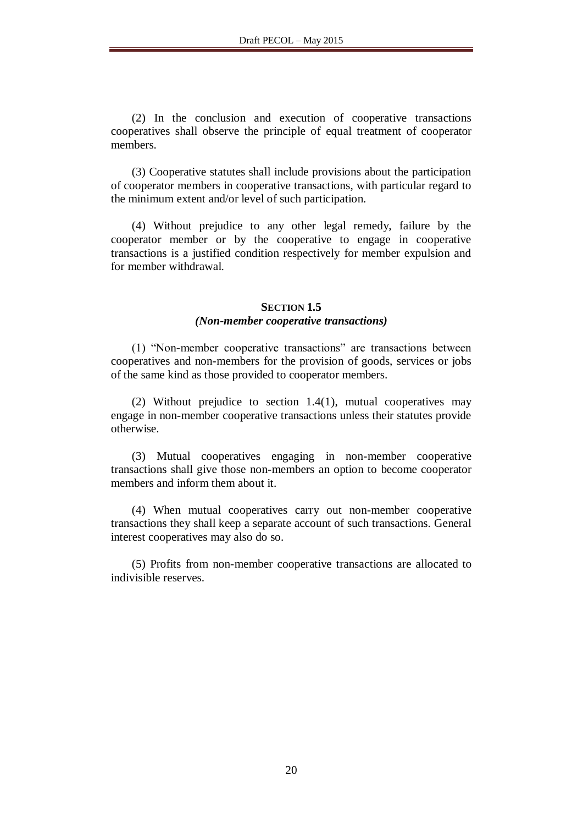(2) In the conclusion and execution of cooperative transactions cooperatives shall observe the principle of equal treatment of cooperator members.

(3) Cooperative statutes shall include provisions about the participation of cooperator members in cooperative transactions, with particular regard to the minimum extent and/or level of such participation.

(4) Without prejudice to any other legal remedy, failure by the cooperator member or by the cooperative to engage in cooperative transactions is a justified condition respectively for member expulsion and for member withdrawal.

#### **SECTION 1.5** *(Non-member cooperative transactions)*

(1) "Non-member cooperative transactions" are transactions between cooperatives and non-members for the provision of goods, services or jobs of the same kind as those provided to cooperator members.

(2) Without prejudice to section 1.4(1), mutual cooperatives may engage in non-member cooperative transactions unless their statutes provide otherwise.

(3) Mutual cooperatives engaging in non-member cooperative transactions shall give those non-members an option to become cooperator members and inform them about it.

(4) When mutual cooperatives carry out non-member cooperative transactions they shall keep a separate account of such transactions. General interest cooperatives may also do so.

(5) Profits from non-member cooperative transactions are allocated to indivisible reserves.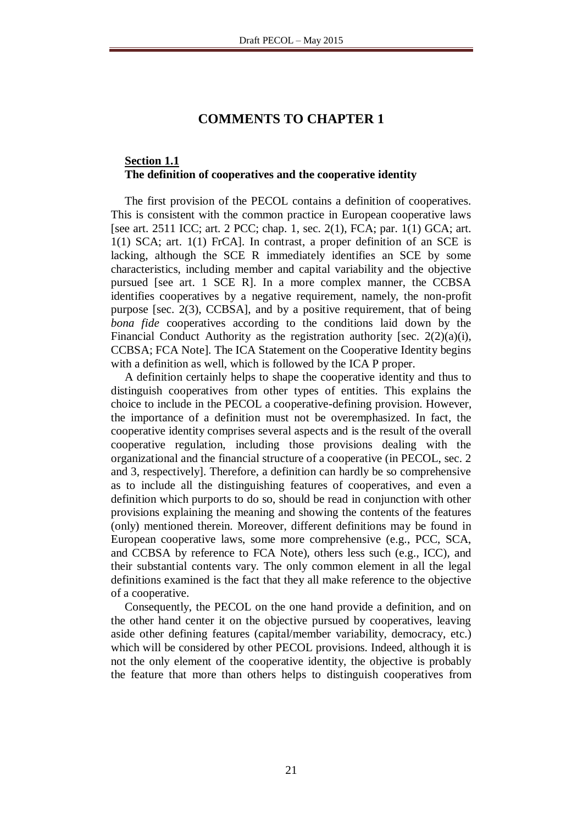## **COMMENTS TO CHAPTER 1**

#### **Section 1.1 The definition of cooperatives and the cooperative identity**

The first provision of the PECOL contains a definition of cooperatives. This is consistent with the common practice in European cooperative laws [see art. 2511 ICC; art. 2 PCC; chap. 1, sec. 2(1), FCA; par. 1(1) GCA; art. 1(1) SCA; art. 1(1) FrCA]. In contrast, a proper definition of an SCE is lacking, although the SCE R immediately identifies an SCE by some characteristics, including member and capital variability and the objective pursued [see art. 1 SCE R]. In a more complex manner, the CCBSA identifies cooperatives by a negative requirement, namely, the non-profit purpose [sec. 2(3), CCBSA], and by a positive requirement, that of being *bona fide* cooperatives according to the conditions laid down by the Financial Conduct Authority as the registration authority [sec. 2(2)(a)(i), CCBSA; FCA Note]. The ICA Statement on the Cooperative Identity begins with a definition as well, which is followed by the ICA P proper.

A definition certainly helps to shape the cooperative identity and thus to distinguish cooperatives from other types of entities. This explains the choice to include in the PECOL a cooperative-defining provision. However, the importance of a definition must not be overemphasized. In fact, the cooperative identity comprises several aspects and is the result of the overall cooperative regulation, including those provisions dealing with the organizational and the financial structure of a cooperative (in PECOL, sec. 2 and 3, respectively]. Therefore, a definition can hardly be so comprehensive as to include all the distinguishing features of cooperatives, and even a definition which purports to do so, should be read in conjunction with other provisions explaining the meaning and showing the contents of the features (only) mentioned therein. Moreover, different definitions may be found in European cooperative laws, some more comprehensive (e.g., PCC, SCA, and CCBSA by reference to FCA Note), others less such (e.g., ICC), and their substantial contents vary. The only common element in all the legal definitions examined is the fact that they all make reference to the objective of a cooperative.

Consequently, the PECOL on the one hand provide a definition, and on the other hand center it on the objective pursued by cooperatives, leaving aside other defining features (capital/member variability, democracy, etc.) which will be considered by other PECOL provisions. Indeed, although it is not the only element of the cooperative identity, the objective is probably the feature that more than others helps to distinguish cooperatives from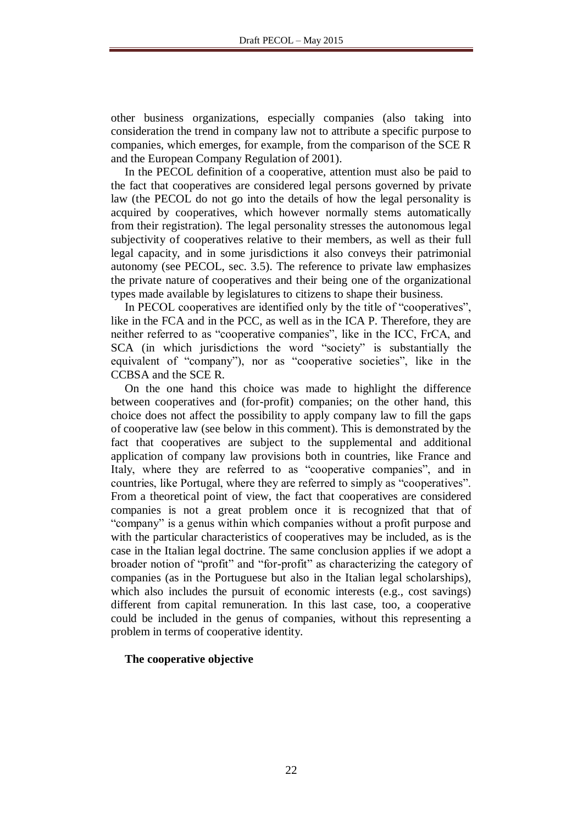other business organizations, especially companies (also taking into consideration the trend in company law not to attribute a specific purpose to companies, which emerges, for example, from the comparison of the SCE R and the European Company Regulation of 2001).

In the PECOL definition of a cooperative, attention must also be paid to the fact that cooperatives are considered legal persons governed by private law (the PECOL do not go into the details of how the legal personality is acquired by cooperatives, which however normally stems automatically from their registration). The legal personality stresses the autonomous legal subjectivity of cooperatives relative to their members, as well as their full legal capacity, and in some jurisdictions it also conveys their patrimonial autonomy (see PECOL, sec. 3.5). The reference to private law emphasizes the private nature of cooperatives and their being one of the organizational types made available by legislatures to citizens to shape their business.

In PECOL cooperatives are identified only by the title of "cooperatives", like in the FCA and in the PCC, as well as in the ICA P. Therefore, they are neither referred to as "cooperative companies", like in the ICC, FrCA, and SCA (in which jurisdictions the word "society" is substantially the equivalent of "company"), nor as "cooperative societies", like in the CCBSA and the SCE R.

On the one hand this choice was made to highlight the difference between cooperatives and (for-profit) companies; on the other hand, this choice does not affect the possibility to apply company law to fill the gaps of cooperative law (see below in this comment). This is demonstrated by the fact that cooperatives are subject to the supplemental and additional application of company law provisions both in countries, like France and Italy, where they are referred to as "cooperative companies", and in countries, like Portugal, where they are referred to simply as "cooperatives". From a theoretical point of view, the fact that cooperatives are considered companies is not a great problem once it is recognized that that of "company" is a genus within which companies without a profit purpose and with the particular characteristics of cooperatives may be included, as is the case in the Italian legal doctrine. The same conclusion applies if we adopt a broader notion of "profit" and "for-profit" as characterizing the category of companies (as in the Portuguese but also in the Italian legal scholarships), which also includes the pursuit of economic interests (e.g., cost savings) different from capital remuneration. In this last case, too, a cooperative could be included in the genus of companies, without this representing a problem in terms of cooperative identity.

#### **The cooperative objective**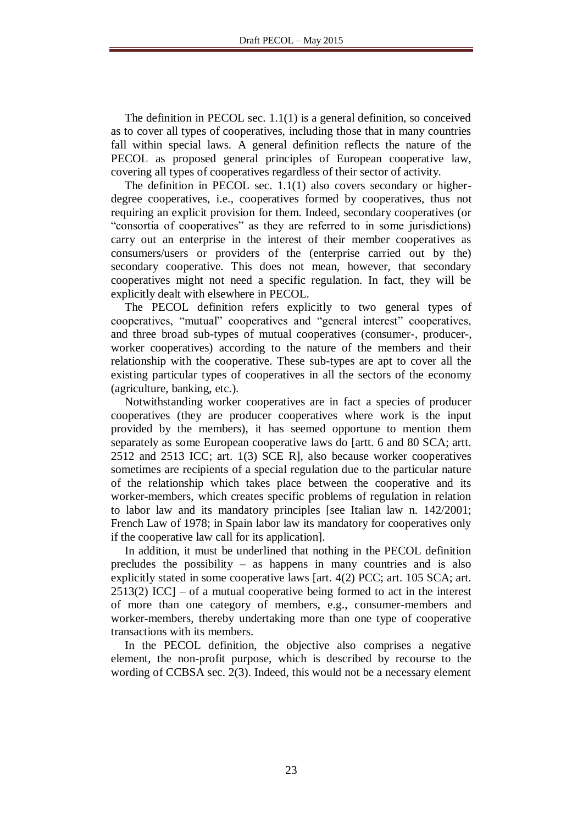The definition in PECOL sec. 1.1(1) is a general definition, so conceived as to cover all types of cooperatives, including those that in many countries fall within special laws. A general definition reflects the nature of the PECOL as proposed general principles of European cooperative law, covering all types of cooperatives regardless of their sector of activity.

The definition in PECOL sec. 1.1(1) also covers secondary or higherdegree cooperatives, i.e., cooperatives formed by cooperatives, thus not requiring an explicit provision for them. Indeed, secondary cooperatives (or "consortia of cooperatives" as they are referred to in some jurisdictions) carry out an enterprise in the interest of their member cooperatives as consumers/users or providers of the (enterprise carried out by the) secondary cooperative. This does not mean, however, that secondary cooperatives might not need a specific regulation. In fact, they will be explicitly dealt with elsewhere in PECOL.

The PECOL definition refers explicitly to two general types of cooperatives, "mutual" cooperatives and "general interest" cooperatives, and three broad sub-types of mutual cooperatives (consumer-, producer-, worker cooperatives) according to the nature of the members and their relationship with the cooperative. These sub-types are apt to cover all the existing particular types of cooperatives in all the sectors of the economy (agriculture, banking, etc.).

Notwithstanding worker cooperatives are in fact a species of producer cooperatives (they are producer cooperatives where work is the input provided by the members), it has seemed opportune to mention them separately as some European cooperative laws do [artt. 6 and 80 SCA; artt. 2512 and 2513 ICC; art. 1(3) SCE R], also because worker cooperatives sometimes are recipients of a special regulation due to the particular nature of the relationship which takes place between the cooperative and its worker-members, which creates specific problems of regulation in relation to labor law and its mandatory principles [see Italian law n. 142/2001; French Law of 1978; in Spain labor law its mandatory for cooperatives only if the cooperative law call for its application].

In addition, it must be underlined that nothing in the PECOL definition precludes the possibility – as happens in many countries and is also explicitly stated in some cooperative laws [art. 4(2) PCC; art. 105 SCA; art.  $2513(2)$  ICC] – of a mutual cooperative being formed to act in the interest of more than one category of members, e.g., consumer-members and worker-members, thereby undertaking more than one type of cooperative transactions with its members.

In the PECOL definition, the objective also comprises a negative element, the non-profit purpose, which is described by recourse to the wording of CCBSA sec. 2(3). Indeed, this would not be a necessary element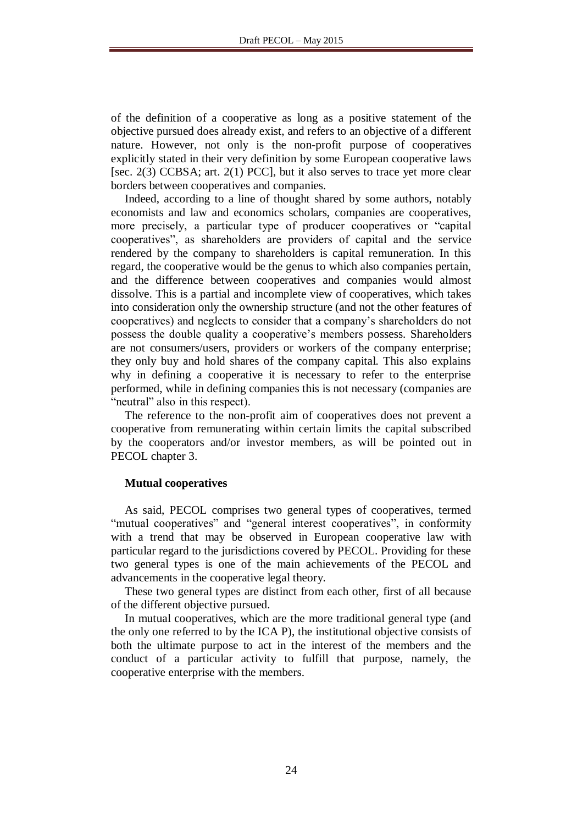of the definition of a cooperative as long as a positive statement of the objective pursued does already exist, and refers to an objective of a different nature. However, not only is the non-profit purpose of cooperatives explicitly stated in their very definition by some European cooperative laws [sec. 2(3) CCBSA; art. 2(1) PCC], but it also serves to trace yet more clear borders between cooperatives and companies.

Indeed, according to a line of thought shared by some authors, notably economists and law and economics scholars, companies are cooperatives, more precisely, a particular type of producer cooperatives or "capital cooperatives", as shareholders are providers of capital and the service rendered by the company to shareholders is capital remuneration. In this regard, the cooperative would be the genus to which also companies pertain, and the difference between cooperatives and companies would almost dissolve. This is a partial and incomplete view of cooperatives, which takes into consideration only the ownership structure (and not the other features of cooperatives) and neglects to consider that a company's shareholders do not possess the double quality a cooperative's members possess. Shareholders are not consumers/users, providers or workers of the company enterprise; they only buy and hold shares of the company capital. This also explains why in defining a cooperative it is necessary to refer to the enterprise performed, while in defining companies this is not necessary (companies are "neutral" also in this respect).

The reference to the non-profit aim of cooperatives does not prevent a cooperative from remunerating within certain limits the capital subscribed by the cooperators and/or investor members, as will be pointed out in PECOL chapter 3.

#### **Mutual cooperatives**

As said, PECOL comprises two general types of cooperatives, termed "mutual cooperatives" and "general interest cooperatives", in conformity with a trend that may be observed in European cooperative law with particular regard to the jurisdictions covered by PECOL. Providing for these two general types is one of the main achievements of the PECOL and advancements in the cooperative legal theory.

These two general types are distinct from each other, first of all because of the different objective pursued.

In mutual cooperatives, which are the more traditional general type (and the only one referred to by the ICA P), the institutional objective consists of both the ultimate purpose to act in the interest of the members and the conduct of a particular activity to fulfill that purpose, namely, the cooperative enterprise with the members.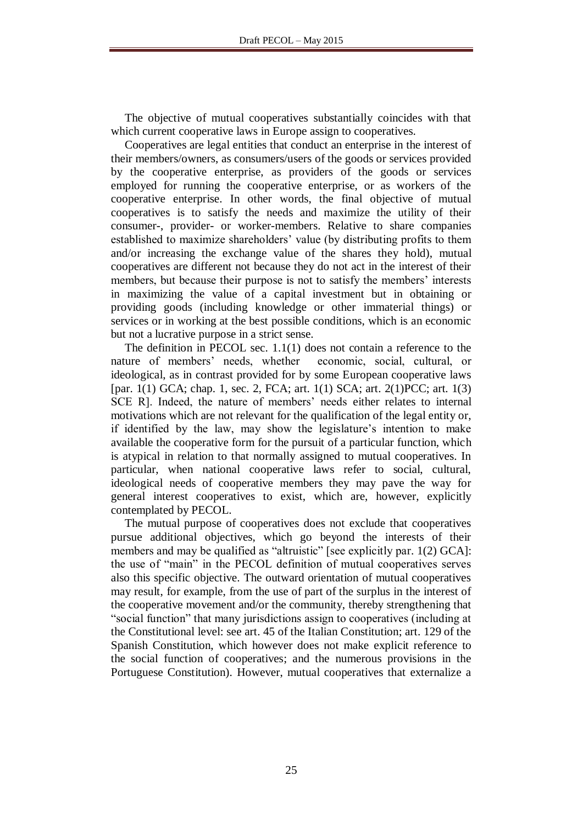The objective of mutual cooperatives substantially coincides with that which current cooperative laws in Europe assign to cooperatives.

Cooperatives are legal entities that conduct an enterprise in the interest of their members/owners, as consumers/users of the goods or services provided by the cooperative enterprise, as providers of the goods or services employed for running the cooperative enterprise, or as workers of the cooperative enterprise. In other words, the final objective of mutual cooperatives is to satisfy the needs and maximize the utility of their consumer-, provider- or worker-members. Relative to share companies established to maximize shareholders' value (by distributing profits to them and/or increasing the exchange value of the shares they hold), mutual cooperatives are different not because they do not act in the interest of their members, but because their purpose is not to satisfy the members' interests in maximizing the value of a capital investment but in obtaining or providing goods (including knowledge or other immaterial things) or services or in working at the best possible conditions, which is an economic but not a lucrative purpose in a strict sense.

The definition in PECOL sec. 1.1(1) does not contain a reference to the nature of members' needs, whether economic, social, cultural, or ideological, as in contrast provided for by some European cooperative laws [par. 1(1) GCA; chap. 1, sec. 2, FCA; art. 1(1) SCA; art. 2(1)PCC; art. 1(3) SCE R]. Indeed, the nature of members' needs either relates to internal motivations which are not relevant for the qualification of the legal entity or, if identified by the law, may show the legislature's intention to make available the cooperative form for the pursuit of a particular function, which is atypical in relation to that normally assigned to mutual cooperatives. In particular, when national cooperative laws refer to social, cultural, ideological needs of cooperative members they may pave the way for general interest cooperatives to exist, which are, however, explicitly contemplated by PECOL.

The mutual purpose of cooperatives does not exclude that cooperatives pursue additional objectives, which go beyond the interests of their members and may be qualified as "altruistic" [see explicitly par. 1(2) GCA]: the use of "main" in the PECOL definition of mutual cooperatives serves also this specific objective. The outward orientation of mutual cooperatives may result, for example, from the use of part of the surplus in the interest of the cooperative movement and/or the community, thereby strengthening that "social function" that many jurisdictions assign to cooperatives (including at the Constitutional level: see art. 45 of the Italian Constitution; art. 129 of the Spanish Constitution, which however does not make explicit reference to the social function of cooperatives; and the numerous provisions in the Portuguese Constitution). However, mutual cooperatives that externalize a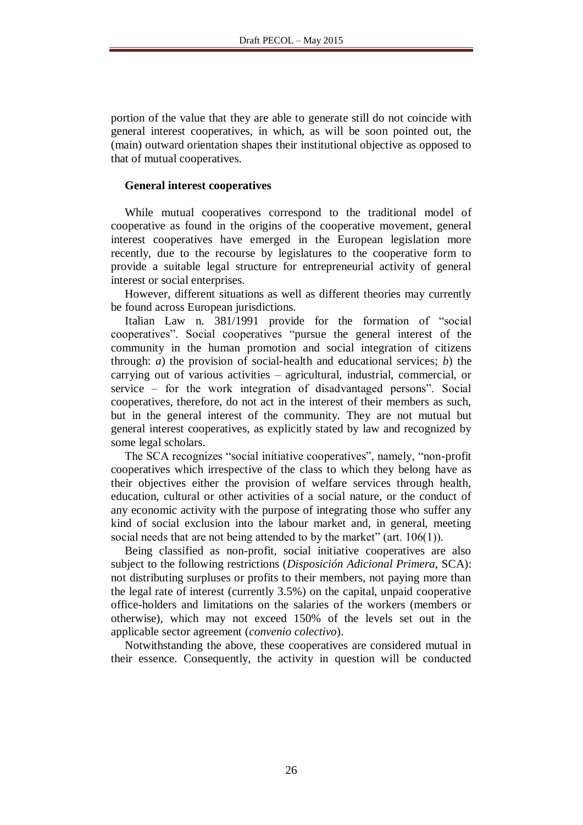portion of the value that they are able to generate still do not coincide with general interest cooperatives, in which, as will be soon pointed out, the (main) outward orientation shapes their institutional objective as opposed to that of mutual cooperatives.

#### **General interest cooperatives**

While mutual cooperatives correspond to the traditional model of cooperative as found in the origins of the cooperative movement, general interest cooperatives have emerged in the European legislation more recently, due to the recourse by legislatures to the cooperative form to provide a suitable legal structure for entrepreneurial activity of general interest or social enterprises.

However, different situations as well as different theories may currently be found across European jurisdictions.

Italian Law n. 381/1991 provide for the formation of "social cooperatives". Social cooperatives "pursue the general interest of the community in the human promotion and social integration of citizens through: *a*) the provision of social-health and educational services; *b*) the carrying out of various activities – agricultural, industrial, commercial, or service – for the work integration of disadvantaged persons". Social cooperatives, therefore, do not act in the interest of their members as such, but in the general interest of the community. They are not mutual but general interest cooperatives, as explicitly stated by law and recognized by some legal scholars.

The SCA recognizes "social initiative cooperatives", namely, "non-profit cooperatives which irrespective of the class to which they belong have as their objectives either the provision of welfare services through health, education, cultural or other activities of a social nature, or the conduct of any economic activity with the purpose of integrating those who suffer any kind of social exclusion into the labour market and, in general, meeting social needs that are not being attended to by the market" (art. 106(1)).

Being classified as non-profit, social initiative cooperatives are also subject to the following restrictions (*Disposición Adicional Primera*, SCA): not distributing surpluses or profits to their members, not paying more than the legal rate of interest (currently 3.5%) on the capital, unpaid cooperative office-holders and limitations on the salaries of the workers (members or otherwise), which may not exceed 150% of the levels set out in the applicable sector agreement (*convenio colectivo*).

Notwithstanding the above, these cooperatives are considered mutual in their essence. Consequently, the activity in question will be conducted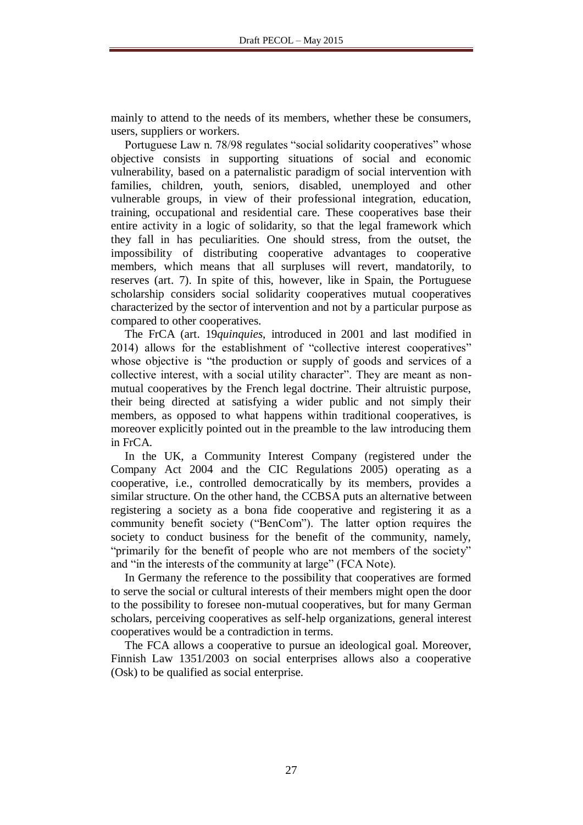mainly to attend to the needs of its members, whether these be consumers, users, suppliers or workers.

Portuguese Law n. 78/98 regulates "social solidarity cooperatives" whose objective consists in supporting situations of social and economic vulnerability, based on a paternalistic paradigm of social intervention with families, children, youth, seniors, disabled, unemployed and other vulnerable groups, in view of their professional integration, education, training, occupational and residential care. These cooperatives base their entire activity in a logic of solidarity, so that the legal framework which they fall in has peculiarities. One should stress, from the outset, the impossibility of distributing cooperative advantages to cooperative members, which means that all surpluses will revert, mandatorily, to reserves (art. 7). In spite of this, however, like in Spain, the Portuguese scholarship considers social solidarity cooperatives mutual cooperatives characterized by the sector of intervention and not by a particular purpose as compared to other cooperatives.

The FrCA (art. 19*quinquies*, introduced in 2001 and last modified in 2014) allows for the establishment of "collective interest cooperatives" whose objective is "the production or supply of goods and services of a collective interest, with a social utility character". They are meant as nonmutual cooperatives by the French legal doctrine. Their altruistic purpose, their being directed at satisfying a wider public and not simply their members, as opposed to what happens within traditional cooperatives, is moreover explicitly pointed out in the preamble to the law introducing them in FrCA.

In the UK, a Community Interest Company (registered under the Company Act 2004 and the CIC Regulations 2005) operating as a cooperative, i.e., controlled democratically by its members, provides a similar structure. On the other hand, the CCBSA puts an alternative between registering a society as a bona fide cooperative and registering it as a community benefit society ("BenCom"). The latter option requires the society to conduct business for the benefit of the community, namely, "primarily for the benefit of people who are not members of the society" and "in the interests of the community at large" (FCA Note).

In Germany the reference to the possibility that cooperatives are formed to serve the social or cultural interests of their members might open the door to the possibility to foresee non-mutual cooperatives, but for many German scholars, perceiving cooperatives as self-help organizations, general interest cooperatives would be a contradiction in terms.

The FCA allows a cooperative to pursue an ideological goal. Moreover, Finnish Law 1351/2003 on social enterprises allows also a cooperative (Osk) to be qualified as social enterprise.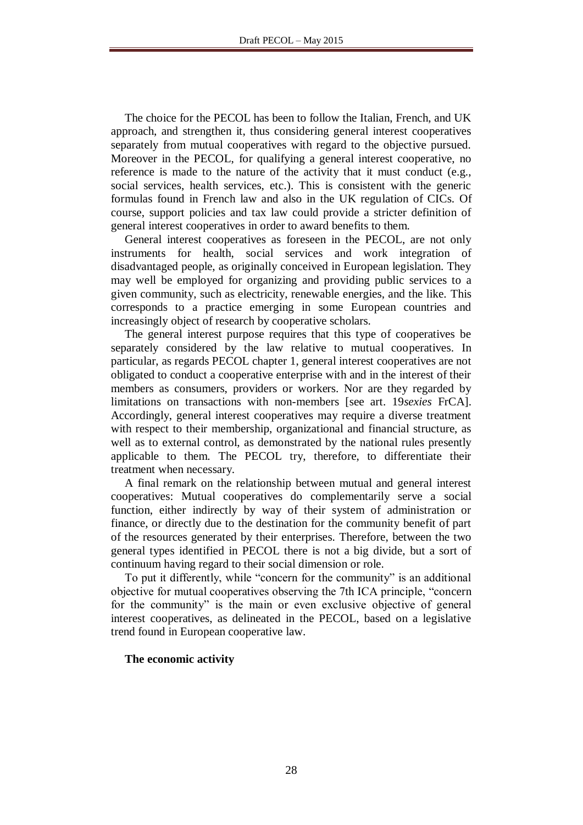The choice for the PECOL has been to follow the Italian, French, and UK approach, and strengthen it, thus considering general interest cooperatives separately from mutual cooperatives with regard to the objective pursued. Moreover in the PECOL, for qualifying a general interest cooperative, no reference is made to the nature of the activity that it must conduct (e.g., social services, health services, etc.). This is consistent with the generic formulas found in French law and also in the UK regulation of CICs. Of course, support policies and tax law could provide a stricter definition of general interest cooperatives in order to award benefits to them.

General interest cooperatives as foreseen in the PECOL, are not only instruments for health, social services and work integration of disadvantaged people, as originally conceived in European legislation. They may well be employed for organizing and providing public services to a given community, such as electricity, renewable energies, and the like. This corresponds to a practice emerging in some European countries and increasingly object of research by cooperative scholars.

The general interest purpose requires that this type of cooperatives be separately considered by the law relative to mutual cooperatives. In particular, as regards PECOL chapter 1, general interest cooperatives are not obligated to conduct a cooperative enterprise with and in the interest of their members as consumers, providers or workers. Nor are they regarded by limitations on transactions with non-members [see art. 19*sexies* FrCA]. Accordingly, general interest cooperatives may require a diverse treatment with respect to their membership, organizational and financial structure, as well as to external control, as demonstrated by the national rules presently applicable to them. The PECOL try, therefore, to differentiate their treatment when necessary.

A final remark on the relationship between mutual and general interest cooperatives: Mutual cooperatives do complementarily serve a social function, either indirectly by way of their system of administration or finance, or directly due to the destination for the community benefit of part of the resources generated by their enterprises. Therefore, between the two general types identified in PECOL there is not a big divide, but a sort of continuum having regard to their social dimension or role.

To put it differently, while "concern for the community" is an additional objective for mutual cooperatives observing the 7th ICA principle, "concern for the community" is the main or even exclusive objective of general interest cooperatives, as delineated in the PECOL, based on a legislative trend found in European cooperative law.

#### **The economic activity**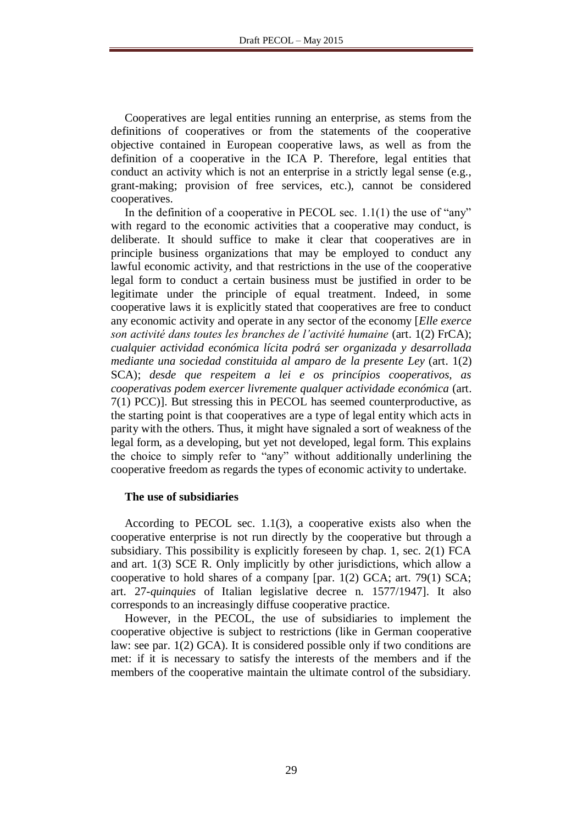Cooperatives are legal entities running an enterprise, as stems from the definitions of cooperatives or from the statements of the cooperative objective contained in European cooperative laws, as well as from the definition of a cooperative in the ICA P. Therefore, legal entities that conduct an activity which is not an enterprise in a strictly legal sense (e.g., grant-making; provision of free services, etc.), cannot be considered cooperatives.

In the definition of a cooperative in PECOL sec.  $1.1(1)$  the use of "any" with regard to the economic activities that a cooperative may conduct, is deliberate. It should suffice to make it clear that cooperatives are in principle business organizations that may be employed to conduct any lawful economic activity, and that restrictions in the use of the cooperative legal form to conduct a certain business must be justified in order to be legitimate under the principle of equal treatment. Indeed, in some cooperative laws it is explicitly stated that cooperatives are free to conduct any economic activity and operate in any sector of the economy [*Elle exerce son activité dans toutes les branches de l'activité humaine* (art. 1(2) FrCA); *cualquier actividad económica lícita podrá ser organizada y desarrollada mediante una sociedad constituida al amparo de la presente Ley* (art. 1(2) SCA); *desde que respeitem a lei e os princípios cooperativos, as cooperativas podem exercer livremente qualquer actividade económica* (art. 7(1) PCC)]. But stressing this in PECOL has seemed counterproductive, as the starting point is that cooperatives are a type of legal entity which acts in parity with the others. Thus, it might have signaled a sort of weakness of the legal form, as a developing, but yet not developed, legal form. This explains the choice to simply refer to "any" without additionally underlining the cooperative freedom as regards the types of economic activity to undertake.

#### **The use of subsidiaries**

According to PECOL sec. 1.1(3), a cooperative exists also when the cooperative enterprise is not run directly by the cooperative but through a subsidiary. This possibility is explicitly foreseen by chap. 1, sec. 2(1) FCA and art. 1(3) SCE R. Only implicitly by other jurisdictions, which allow a cooperative to hold shares of a company [par. 1(2) GCA; art. 79(1) SCA; art. 27-*quinquies* of Italian legislative decree n. 1577/1947]. It also corresponds to an increasingly diffuse cooperative practice.

However, in the PECOL, the use of subsidiaries to implement the cooperative objective is subject to restrictions (like in German cooperative law: see par. 1(2) GCA). It is considered possible only if two conditions are met: if it is necessary to satisfy the interests of the members and if the members of the cooperative maintain the ultimate control of the subsidiary.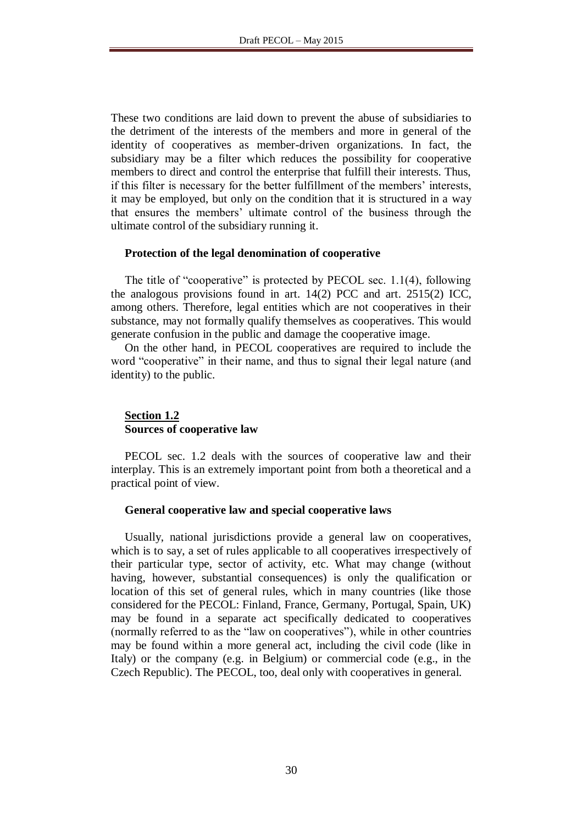These two conditions are laid down to prevent the abuse of subsidiaries to the detriment of the interests of the members and more in general of the identity of cooperatives as member-driven organizations. In fact, the subsidiary may be a filter which reduces the possibility for cooperative members to direct and control the enterprise that fulfill their interests. Thus, if this filter is necessary for the better fulfillment of the members' interests, it may be employed, but only on the condition that it is structured in a way that ensures the members' ultimate control of the business through the ultimate control of the subsidiary running it.

#### **Protection of the legal denomination of cooperative**

The title of "cooperative" is protected by PECOL sec. 1.1(4), following the analogous provisions found in art. 14(2) PCC and art. 2515(2) ICC, among others. Therefore, legal entities which are not cooperatives in their substance, may not formally qualify themselves as cooperatives. This would generate confusion in the public and damage the cooperative image.

On the other hand, in PECOL cooperatives are required to include the word "cooperative" in their name, and thus to signal their legal nature (and identity) to the public.

#### **Section 1.2 Sources of cooperative law**

PECOL sec. 1.2 deals with the sources of cooperative law and their interplay. This is an extremely important point from both a theoretical and a practical point of view.

#### **General cooperative law and special cooperative laws**

Usually, national jurisdictions provide a general law on cooperatives, which is to say, a set of rules applicable to all cooperatives irrespectively of their particular type, sector of activity, etc. What may change (without having, however, substantial consequences) is only the qualification or location of this set of general rules, which in many countries (like those considered for the PECOL: Finland, France, Germany, Portugal, Spain, UK) may be found in a separate act specifically dedicated to cooperatives (normally referred to as the "law on cooperatives"), while in other countries may be found within a more general act, including the civil code (like in Italy) or the company (e.g. in Belgium) or commercial code (e.g., in the Czech Republic). The PECOL, too, deal only with cooperatives in general.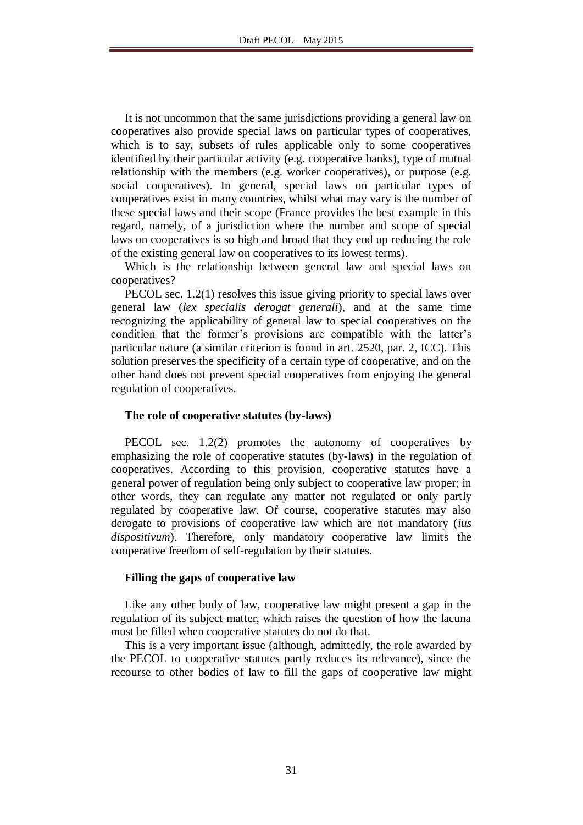It is not uncommon that the same jurisdictions providing a general law on cooperatives also provide special laws on particular types of cooperatives, which is to say, subsets of rules applicable only to some cooperatives identified by their particular activity (e.g. cooperative banks), type of mutual relationship with the members (e.g. worker cooperatives), or purpose (e.g. social cooperatives). In general, special laws on particular types of cooperatives exist in many countries, whilst what may vary is the number of these special laws and their scope (France provides the best example in this regard, namely, of a jurisdiction where the number and scope of special laws on cooperatives is so high and broad that they end up reducing the role of the existing general law on cooperatives to its lowest terms).

Which is the relationship between general law and special laws on cooperatives?

PECOL sec. 1.2(1) resolves this issue giving priority to special laws over general law (*lex specialis derogat generali*), and at the same time recognizing the applicability of general law to special cooperatives on the condition that the former's provisions are compatible with the latter's particular nature (a similar criterion is found in art. 2520, par. 2, ICC). This solution preserves the specificity of a certain type of cooperative, and on the other hand does not prevent special cooperatives from enjoying the general regulation of cooperatives.

#### **The role of cooperative statutes (by-laws)**

PECOL sec. 1.2(2) promotes the autonomy of cooperatives by emphasizing the role of cooperative statutes (by-laws) in the regulation of cooperatives. According to this provision, cooperative statutes have a general power of regulation being only subject to cooperative law proper; in other words, they can regulate any matter not regulated or only partly regulated by cooperative law. Of course, cooperative statutes may also derogate to provisions of cooperative law which are not mandatory (*ius dispositivum*). Therefore, only mandatory cooperative law limits the cooperative freedom of self-regulation by their statutes.

#### **Filling the gaps of cooperative law**

Like any other body of law, cooperative law might present a gap in the regulation of its subject matter, which raises the question of how the lacuna must be filled when cooperative statutes do not do that.

This is a very important issue (although, admittedly, the role awarded by the PECOL to cooperative statutes partly reduces its relevance), since the recourse to other bodies of law to fill the gaps of cooperative law might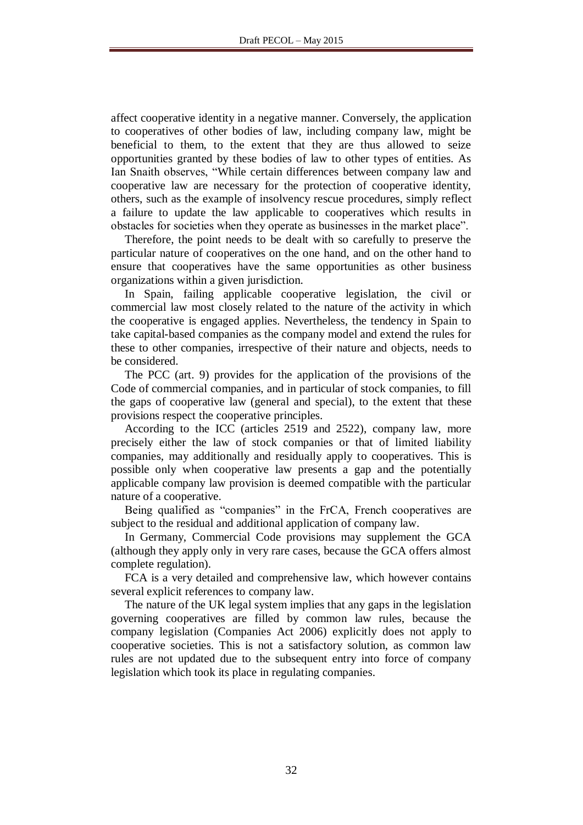affect cooperative identity in a negative manner. Conversely, the application to cooperatives of other bodies of law, including company law, might be beneficial to them, to the extent that they are thus allowed to seize opportunities granted by these bodies of law to other types of entities. As Ian Snaith observes, "While certain differences between company law and cooperative law are necessary for the protection of cooperative identity, others, such as the example of insolvency rescue procedures, simply reflect a failure to update the law applicable to cooperatives which results in obstacles for societies when they operate as businesses in the market place".

Therefore, the point needs to be dealt with so carefully to preserve the particular nature of cooperatives on the one hand, and on the other hand to ensure that cooperatives have the same opportunities as other business organizations within a given jurisdiction.

In Spain, failing applicable cooperative legislation, the civil or commercial law most closely related to the nature of the activity in which the cooperative is engaged applies. Nevertheless, the tendency in Spain to take capital-based companies as the company model and extend the rules for these to other companies, irrespective of their nature and objects, needs to be considered.

The PCC (art. 9) provides for the application of the provisions of the Code of commercial companies, and in particular of stock companies, to fill the gaps of cooperative law (general and special), to the extent that these provisions respect the cooperative principles.

According to the ICC (articles 2519 and 2522), company law, more precisely either the law of stock companies or that of limited liability companies, may additionally and residually apply to cooperatives. This is possible only when cooperative law presents a gap and the potentially applicable company law provision is deemed compatible with the particular nature of a cooperative.

Being qualified as "companies" in the FrCA, French cooperatives are subject to the residual and additional application of company law.

In Germany, Commercial Code provisions may supplement the GCA (although they apply only in very rare cases, because the GCA offers almost complete regulation).

FCA is a very detailed and comprehensive law, which however contains several explicit references to company law.

The nature of the UK legal system implies that any gaps in the legislation governing cooperatives are filled by common law rules, because the company legislation (Companies Act 2006) explicitly does not apply to cooperative societies. This is not a satisfactory solution, as common law rules are not updated due to the subsequent entry into force of company legislation which took its place in regulating companies.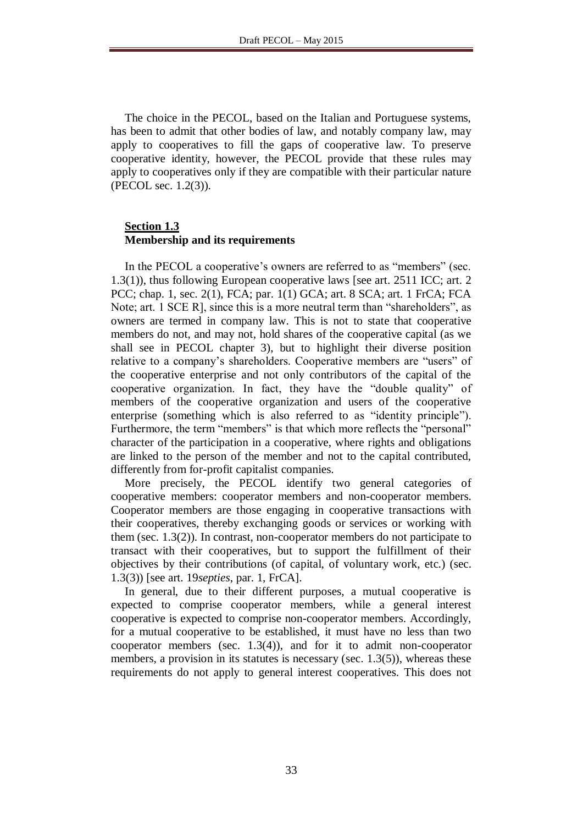The choice in the PECOL, based on the Italian and Portuguese systems, has been to admit that other bodies of law, and notably company law, may apply to cooperatives to fill the gaps of cooperative law. To preserve cooperative identity, however, the PECOL provide that these rules may apply to cooperatives only if they are compatible with their particular nature (PECOL sec. 1.2(3)).

## **Section 1.3 Membership and its requirements**

In the PECOL a cooperative's owners are referred to as "members" (sec. 1.3(1)), thus following European cooperative laws [see art. 2511 ICC; art. 2 PCC; chap. 1, sec. 2(1), FCA; par. 1(1) GCA; art. 8 SCA; art. 1 FrCA; FCA Note; art. 1 SCE R], since this is a more neutral term than "shareholders", as owners are termed in company law. This is not to state that cooperative members do not, and may not, hold shares of the cooperative capital (as we shall see in PECOL chapter 3), but to highlight their diverse position relative to a company's shareholders. Cooperative members are "users" of the cooperative enterprise and not only contributors of the capital of the cooperative organization. In fact, they have the "double quality" of members of the cooperative organization and users of the cooperative enterprise (something which is also referred to as "identity principle"). Furthermore, the term "members" is that which more reflects the "personal" character of the participation in a cooperative, where rights and obligations are linked to the person of the member and not to the capital contributed, differently from for-profit capitalist companies.

More precisely, the PECOL identify two general categories of cooperative members: cooperator members and non-cooperator members. Cooperator members are those engaging in cooperative transactions with their cooperatives, thereby exchanging goods or services or working with them (sec. 1.3(2)). In contrast, non-cooperator members do not participate to transact with their cooperatives, but to support the fulfillment of their objectives by their contributions (of capital, of voluntary work, etc.) (sec. 1.3(3)) [see art. 19*septies*, par. 1, FrCA].

In general, due to their different purposes, a mutual cooperative is expected to comprise cooperator members, while a general interest cooperative is expected to comprise non-cooperator members. Accordingly, for a mutual cooperative to be established, it must have no less than two cooperator members (sec. 1.3(4)), and for it to admit non-cooperator members, a provision in its statutes is necessary (sec. 1.3(5)), whereas these requirements do not apply to general interest cooperatives. This does not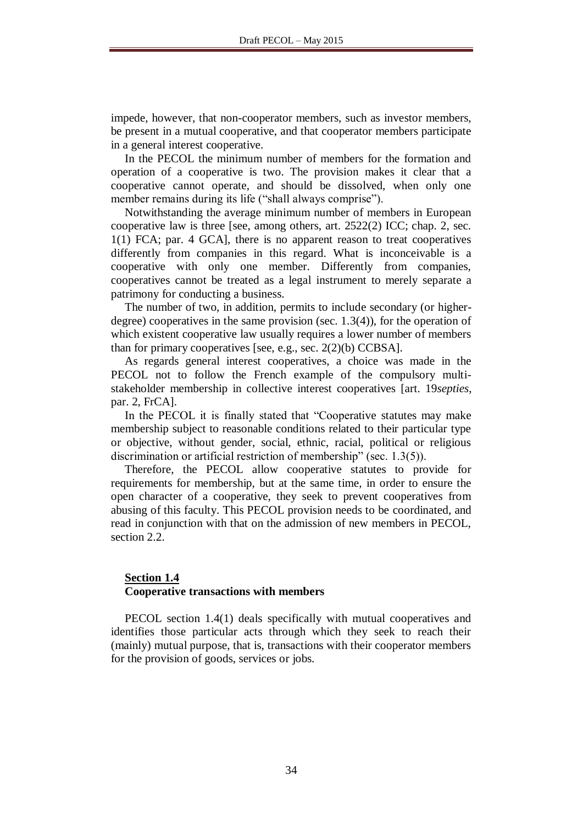impede, however, that non-cooperator members, such as investor members, be present in a mutual cooperative, and that cooperator members participate in a general interest cooperative.

In the PECOL the minimum number of members for the formation and operation of a cooperative is two. The provision makes it clear that a cooperative cannot operate, and should be dissolved, when only one member remains during its life ("shall always comprise").

Notwithstanding the average minimum number of members in European cooperative law is three [see, among others, art. 2522(2) ICC; chap. 2, sec. 1(1) FCA; par. 4 GCA], there is no apparent reason to treat cooperatives differently from companies in this regard. What is inconceivable is a cooperative with only one member. Differently from companies, cooperatives cannot be treated as a legal instrument to merely separate a patrimony for conducting a business.

The number of two, in addition, permits to include secondary (or higherdegree) cooperatives in the same provision (sec. 1.3(4)), for the operation of which existent cooperative law usually requires a lower number of members than for primary cooperatives [see, e.g., sec. 2(2)(b) CCBSA].

As regards general interest cooperatives, a choice was made in the PECOL not to follow the French example of the compulsory multistakeholder membership in collective interest cooperatives [art. 19*septies*, par. 2, FrCA].

In the PECOL it is finally stated that "Cooperative statutes may make membership subject to reasonable conditions related to their particular type or objective, without gender, social, ethnic, racial, political or religious discrimination or artificial restriction of membership" (sec. 1.3(5)).

Therefore, the PECOL allow cooperative statutes to provide for requirements for membership, but at the same time, in order to ensure the open character of a cooperative, they seek to prevent cooperatives from abusing of this faculty. This PECOL provision needs to be coordinated, and read in conjunction with that on the admission of new members in PECOL, section 2.2.

#### **Section 1.4 Cooperative transactions with members**

PECOL section 1.4(1) deals specifically with mutual cooperatives and identifies those particular acts through which they seek to reach their (mainly) mutual purpose, that is, transactions with their cooperator members for the provision of goods, services or jobs.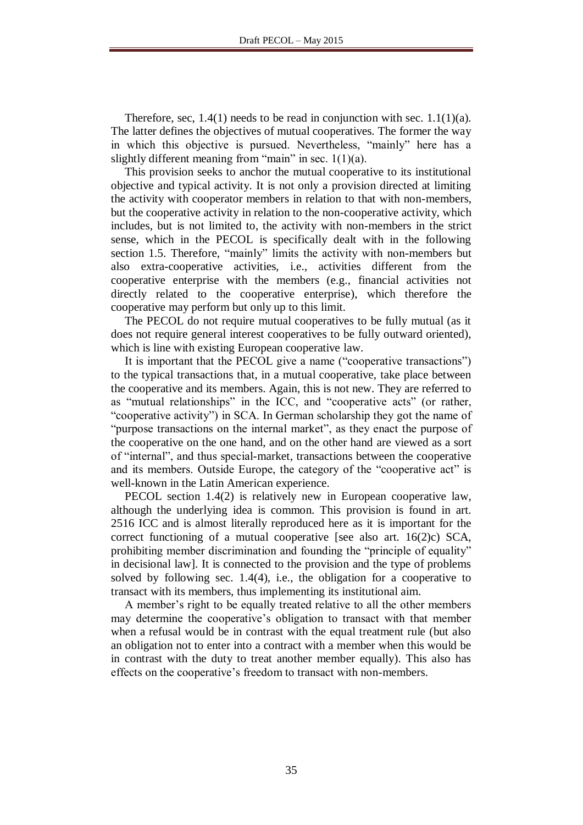Therefore, sec,  $1.4(1)$  needs to be read in conjunction with sec.  $1.1(1)(a)$ . The latter defines the objectives of mutual cooperatives. The former the way in which this objective is pursued. Nevertheless, "mainly" here has a slightly different meaning from "main" in sec.  $1(1)(a)$ .

This provision seeks to anchor the mutual cooperative to its institutional objective and typical activity. It is not only a provision directed at limiting the activity with cooperator members in relation to that with non-members, but the cooperative activity in relation to the non-cooperative activity, which includes, but is not limited to, the activity with non-members in the strict sense, which in the PECOL is specifically dealt with in the following section 1.5. Therefore, "mainly" limits the activity with non-members but also extra-cooperative activities, i.e., activities different from the cooperative enterprise with the members (e.g., financial activities not directly related to the cooperative enterprise), which therefore the cooperative may perform but only up to this limit.

The PECOL do not require mutual cooperatives to be fully mutual (as it does not require general interest cooperatives to be fully outward oriented), which is line with existing European cooperative law.

It is important that the PECOL give a name ("cooperative transactions") to the typical transactions that, in a mutual cooperative, take place between the cooperative and its members. Again, this is not new. They are referred to as "mutual relationships" in the ICC, and "cooperative acts" (or rather, "cooperative activity") in SCA. In German scholarship they got the name of "purpose transactions on the internal market", as they enact the purpose of the cooperative on the one hand, and on the other hand are viewed as a sort of "internal", and thus special-market, transactions between the cooperative and its members. Outside Europe, the category of the "cooperative act" is well-known in the Latin American experience.

PECOL section 1.4(2) is relatively new in European cooperative law, although the underlying idea is common. This provision is found in art. 2516 ICC and is almost literally reproduced here as it is important for the correct functioning of a mutual cooperative [see also art. 16(2)c) SCA, prohibiting member discrimination and founding the "principle of equality" in decisional law]. It is connected to the provision and the type of problems solved by following sec. 1.4(4), i.e., the obligation for a cooperative to transact with its members, thus implementing its institutional aim.

A member's right to be equally treated relative to all the other members may determine the cooperative's obligation to transact with that member when a refusal would be in contrast with the equal treatment rule (but also an obligation not to enter into a contract with a member when this would be in contrast with the duty to treat another member equally). This also has effects on the cooperative's freedom to transact with non-members.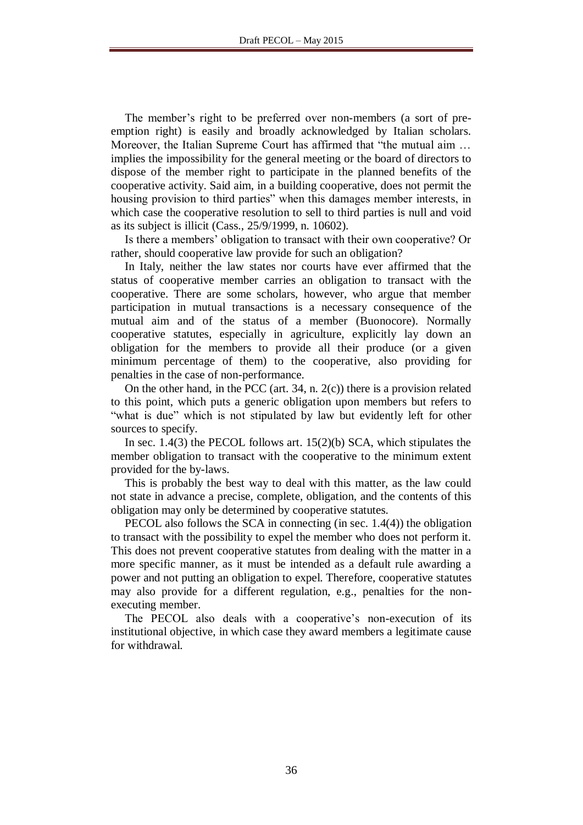The member's right to be preferred over non-members (a sort of preemption right) is easily and broadly acknowledged by Italian scholars. Moreover, the Italian Supreme Court has affirmed that "the mutual aim … implies the impossibility for the general meeting or the board of directors to dispose of the member right to participate in the planned benefits of the cooperative activity. Said aim, in a building cooperative, does not permit the housing provision to third parties" when this damages member interests, in which case the cooperative resolution to sell to third parties is null and void as its subject is illicit (Cass., 25/9/1999, n. 10602).

Is there a members' obligation to transact with their own cooperative? Or rather, should cooperative law provide for such an obligation?

In Italy, neither the law states nor courts have ever affirmed that the status of cooperative member carries an obligation to transact with the cooperative. There are some scholars, however, who argue that member participation in mutual transactions is a necessary consequence of the mutual aim and of the status of a member (Buonocore). Normally cooperative statutes, especially in agriculture, explicitly lay down an obligation for the members to provide all their produce (or a given minimum percentage of them) to the cooperative, also providing for penalties in the case of non-performance.

On the other hand, in the PCC (art. 34, n. 2(c)) there is a provision related to this point, which puts a generic obligation upon members but refers to "what is due" which is not stipulated by law but evidently left for other sources to specify.

In sec. 1.4(3) the PECOL follows art. 15(2)(b) SCA, which stipulates the member obligation to transact with the cooperative to the minimum extent provided for the by-laws.

This is probably the best way to deal with this matter, as the law could not state in advance a precise, complete, obligation, and the contents of this obligation may only be determined by cooperative statutes.

PECOL also follows the SCA in connecting (in sec. 1.4(4)) the obligation to transact with the possibility to expel the member who does not perform it. This does not prevent cooperative statutes from dealing with the matter in a more specific manner, as it must be intended as a default rule awarding a power and not putting an obligation to expel. Therefore, cooperative statutes may also provide for a different regulation, e.g., penalties for the nonexecuting member.

The PECOL also deals with a cooperative's non-execution of its institutional objective, in which case they award members a legitimate cause for withdrawal.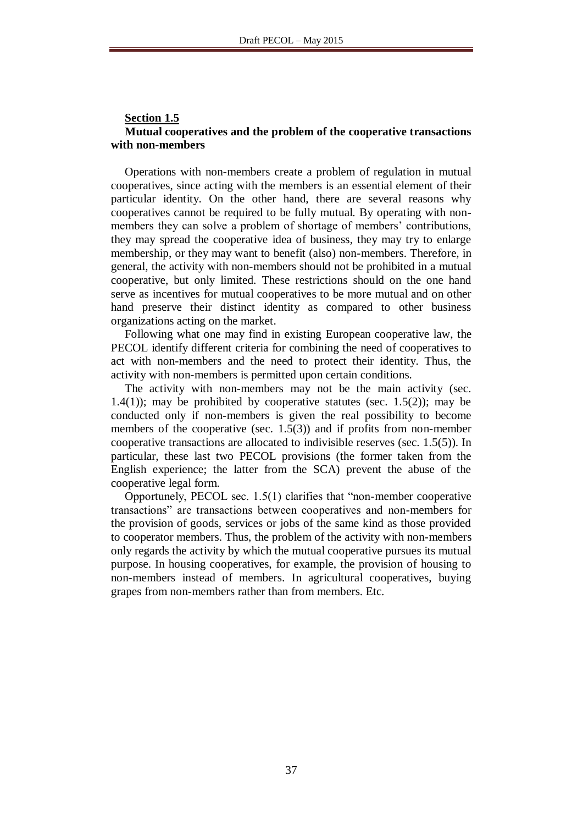### **Section 1.5 Mutual cooperatives and the problem of the cooperative transactions with non-members**

Operations with non-members create a problem of regulation in mutual cooperatives, since acting with the members is an essential element of their particular identity. On the other hand, there are several reasons why cooperatives cannot be required to be fully mutual. By operating with nonmembers they can solve a problem of shortage of members' contributions, they may spread the cooperative idea of business, they may try to enlarge membership, or they may want to benefit (also) non-members. Therefore, in general, the activity with non-members should not be prohibited in a mutual cooperative, but only limited. These restrictions should on the one hand serve as incentives for mutual cooperatives to be more mutual and on other hand preserve their distinct identity as compared to other business organizations acting on the market.

Following what one may find in existing European cooperative law, the PECOL identify different criteria for combining the need of cooperatives to act with non-members and the need to protect their identity. Thus, the activity with non-members is permitted upon certain conditions.

The activity with non-members may not be the main activity (sec. 1.4(1)); may be prohibited by cooperative statutes (sec. 1.5(2)); may be conducted only if non-members is given the real possibility to become members of the cooperative (sec. 1.5(3)) and if profits from non-member cooperative transactions are allocated to indivisible reserves (sec. 1.5(5)). In particular, these last two PECOL provisions (the former taken from the English experience; the latter from the SCA) prevent the abuse of the cooperative legal form.

Opportunely, PECOL sec. 1.5(1) clarifies that "non-member cooperative transactions" are transactions between cooperatives and non-members for the provision of goods, services or jobs of the same kind as those provided to cooperator members. Thus, the problem of the activity with non-members only regards the activity by which the mutual cooperative pursues its mutual purpose. In housing cooperatives, for example, the provision of housing to non-members instead of members. In agricultural cooperatives, buying grapes from non-members rather than from members. Etc.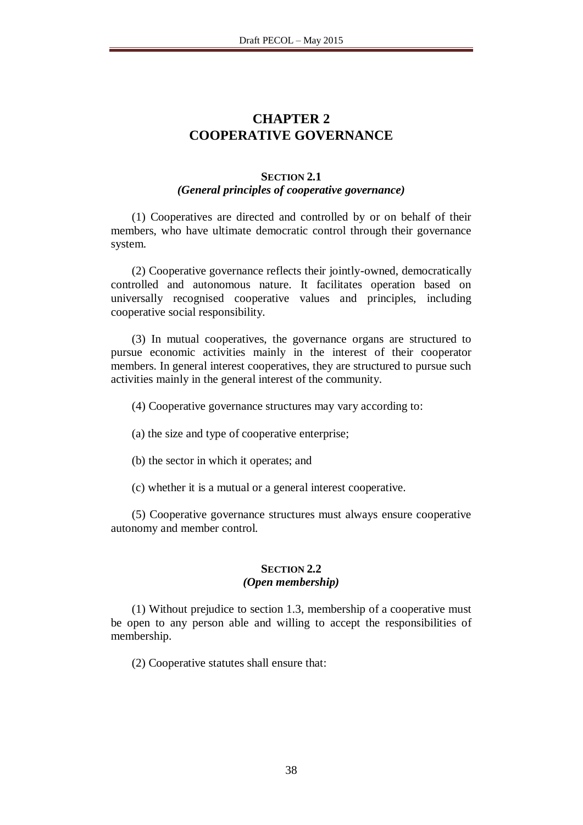# **CHAPTER 2 COOPERATIVE GOVERNANCE**

#### **SECTION 2.1**

### *(General principles of cooperative governance)*

(1) Cooperatives are directed and controlled by or on behalf of their members, who have ultimate democratic control through their governance system.

(2) Cooperative governance reflects their jointly-owned, democratically controlled and autonomous nature. It facilitates operation based on universally recognised cooperative values and principles, including cooperative social responsibility.

(3) In mutual cooperatives, the governance organs are structured to pursue economic activities mainly in the interest of their cooperator members. In general interest cooperatives, they are structured to pursue such activities mainly in the general interest of the community.

- (4) Cooperative governance structures may vary according to:
- (a) the size and type of cooperative enterprise;
- (b) the sector in which it operates; and
- (c) whether it is a mutual or a general interest cooperative.

(5) Cooperative governance structures must always ensure cooperative autonomy and member control.

#### **SECTION 2.2** *(Open membership)*

(1) Without prejudice to section 1.3, membership of a cooperative must be open to any person able and willing to accept the responsibilities of membership.

(2) Cooperative statutes shall ensure that: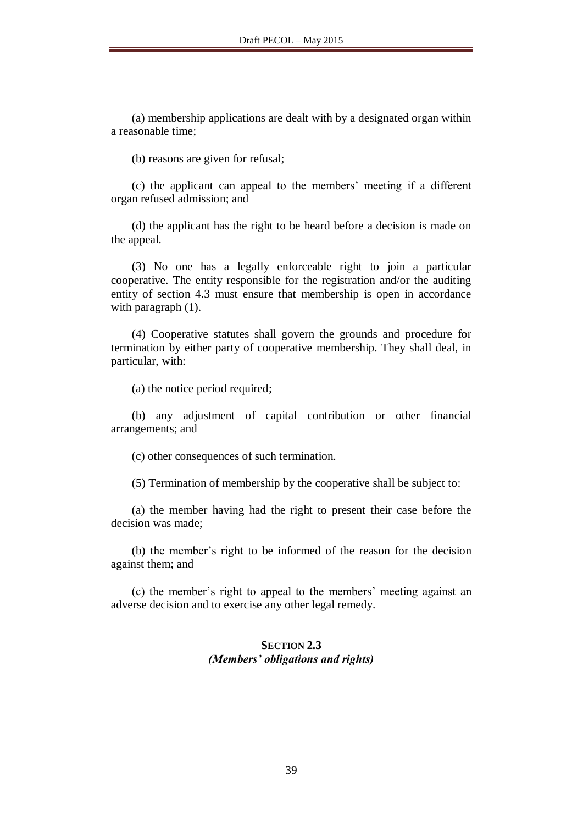(a) membership applications are dealt with by a designated organ within a reasonable time;

(b) reasons are given for refusal;

(c) the applicant can appeal to the members' meeting if a different organ refused admission; and

(d) the applicant has the right to be heard before a decision is made on the appeal.

(3) No one has a legally enforceable right to join a particular cooperative. The entity responsible for the registration and/or the auditing entity of section 4.3 must ensure that membership is open in accordance with paragraph  $(1)$ .

(4) Cooperative statutes shall govern the grounds and procedure for termination by either party of cooperative membership. They shall deal, in particular, with:

(a) the notice period required;

(b) any adjustment of capital contribution or other financial arrangements; and

(c) other consequences of such termination.

(5) Termination of membership by the cooperative shall be subject to:

(a) the member having had the right to present their case before the decision was made;

(b) the member's right to be informed of the reason for the decision against them; and

(c) the member's right to appeal to the members' meeting against an adverse decision and to exercise any other legal remedy.

## **SECTION 2.3** *(Members' obligations and rights)*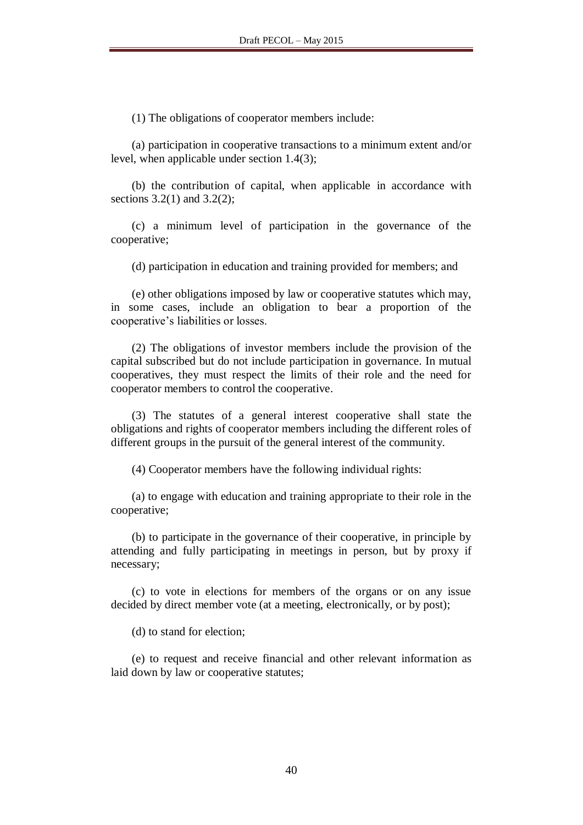(1) The obligations of cooperator members include:

(a) participation in cooperative transactions to a minimum extent and/or level, when applicable under section 1.4(3);

(b) the contribution of capital, when applicable in accordance with sections 3.2(1) and 3.2(2);

(c) a minimum level of participation in the governance of the cooperative;

(d) participation in education and training provided for members; and

(e) other obligations imposed by law or cooperative statutes which may, in some cases, include an obligation to bear a proportion of the cooperative's liabilities or losses.

(2) The obligations of investor members include the provision of the capital subscribed but do not include participation in governance. In mutual cooperatives, they must respect the limits of their role and the need for cooperator members to control the cooperative.

(3) The statutes of a general interest cooperative shall state the obligations and rights of cooperator members including the different roles of different groups in the pursuit of the general interest of the community.

(4) Cooperator members have the following individual rights:

(a) to engage with education and training appropriate to their role in the cooperative;

(b) to participate in the governance of their cooperative, in principle by attending and fully participating in meetings in person, but by proxy if necessary;

(c) to vote in elections for members of the organs or on any issue decided by direct member vote (at a meeting, electronically, or by post);

(d) to stand for election;

(e) to request and receive financial and other relevant information as laid down by law or cooperative statutes;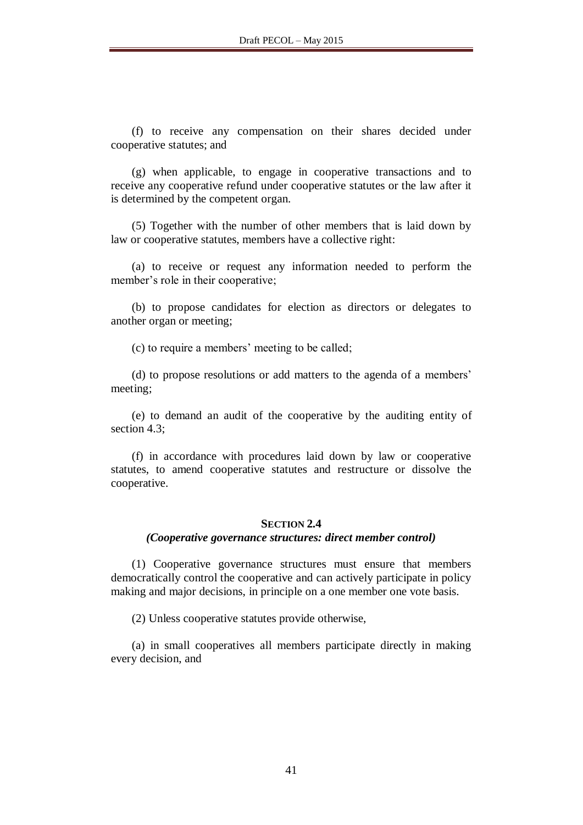(f) to receive any compensation on their shares decided under cooperative statutes; and

(g) when applicable, to engage in cooperative transactions and to receive any cooperative refund under cooperative statutes or the law after it is determined by the competent organ.

(5) Together with the number of other members that is laid down by law or cooperative statutes, members have a collective right:

(a) to receive or request any information needed to perform the member's role in their cooperative;

(b) to propose candidates for election as directors or delegates to another organ or meeting;

(c) to require a members' meeting to be called;

(d) to propose resolutions or add matters to the agenda of a members' meeting;

(e) to demand an audit of the cooperative by the auditing entity of section 4.3;

(f) in accordance with procedures laid down by law or cooperative statutes, to amend cooperative statutes and restructure or dissolve the cooperative.

#### **SECTION 2.4**

#### *(Cooperative governance structures: direct member control)*

(1) Cooperative governance structures must ensure that members democratically control the cooperative and can actively participate in policy making and major decisions, in principle on a one member one vote basis.

(2) Unless cooperative statutes provide otherwise,

(a) in small cooperatives all members participate directly in making every decision, and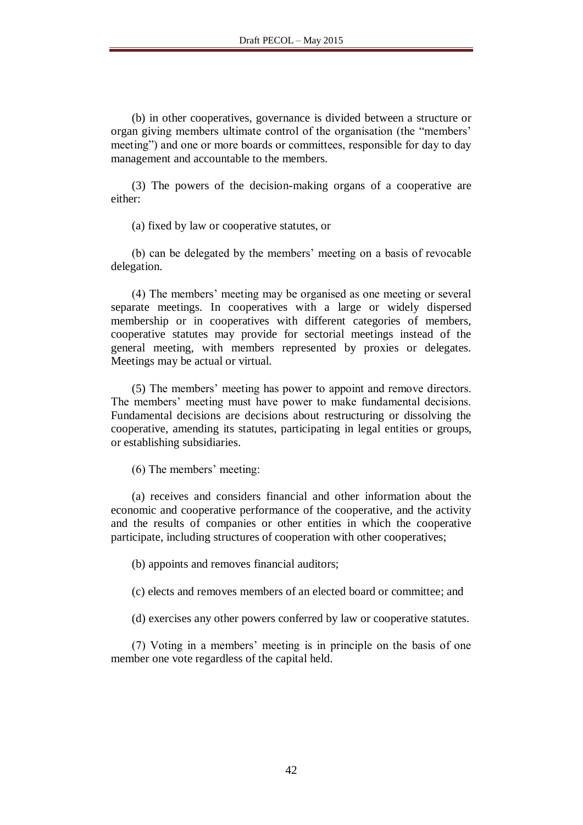(b) in other cooperatives, governance is divided between a structure or organ giving members ultimate control of the organisation (the "members' meeting") and one or more boards or committees, responsible for day to day management and accountable to the members.

(3) The powers of the decision-making organs of a cooperative are either:

(a) fixed by law or cooperative statutes, or

(b) can be delegated by the members' meeting on a basis of revocable delegation.

(4) The members' meeting may be organised as one meeting or several separate meetings. In cooperatives with a large or widely dispersed membership or in cooperatives with different categories of members, cooperative statutes may provide for sectorial meetings instead of the general meeting, with members represented by proxies or delegates. Meetings may be actual or virtual.

(5) The members' meeting has power to appoint and remove directors. The members' meeting must have power to make fundamental decisions. Fundamental decisions are decisions about restructuring or dissolving the cooperative, amending its statutes, participating in legal entities or groups, or establishing subsidiaries.

(6) The members' meeting:

(a) receives and considers financial and other information about the economic and cooperative performance of the cooperative, and the activity and the results of companies or other entities in which the cooperative participate, including structures of cooperation with other cooperatives;

(b) appoints and removes financial auditors;

(c) elects and removes members of an elected board or committee; and

(d) exercises any other powers conferred by law or cooperative statutes.

(7) Voting in a members' meeting is in principle on the basis of one member one vote regardless of the capital held.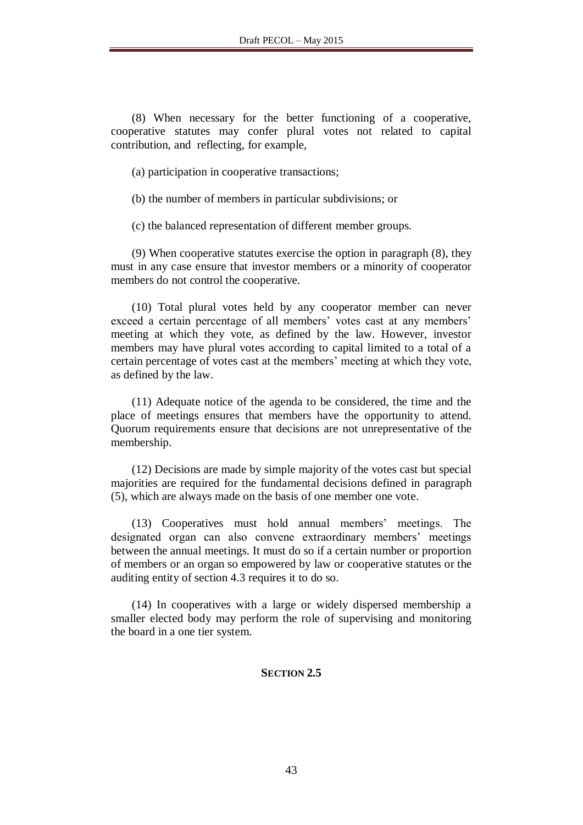(8) When necessary for the better functioning of a cooperative, cooperative statutes may confer plural votes not related to capital contribution, and reflecting, for example,

- (a) participation in cooperative transactions;
- (b) the number of members in particular subdivisions; or
- (c) the balanced representation of different member groups.

(9) When cooperative statutes exercise the option in paragraph (8), they must in any case ensure that investor members or a minority of cooperator members do not control the cooperative.

(10) Total plural votes held by any cooperator member can never exceed a certain percentage of all members' votes cast at any members' meeting at which they vote, as defined by the law. However, investor members may have plural votes according to capital limited to a total of a certain percentage of votes cast at the members' meeting at which they vote, as defined by the law.

(11) Adequate notice of the agenda to be considered, the time and the place of meetings ensures that members have the opportunity to attend. Quorum requirements ensure that decisions are not unrepresentative of the membership.

(12) Decisions are made by simple majority of the votes cast but special majorities are required for the fundamental decisions defined in paragraph (5), which are always made on the basis of one member one vote.

(13) Cooperatives must hold annual members' meetings. The designated organ can also convene extraordinary members' meetings between the annual meetings. It must do so if a certain number or proportion of members or an organ so empowered by law or cooperative statutes or the auditing entity of section 4.3 requires it to do so.

(14) In cooperatives with a large or widely dispersed membership a smaller elected body may perform the role of supervising and monitoring the board in a one tier system.

## **SECTION 2.5**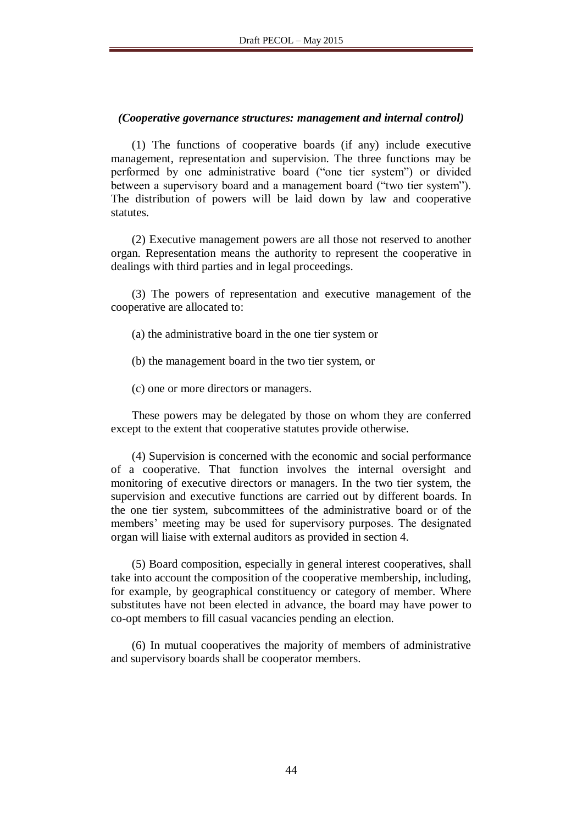### *(Cooperative governance structures: management and internal control)*

(1) The functions of cooperative boards (if any) include executive management, representation and supervision. The three functions may be performed by one administrative board ("one tier system") or divided between a supervisory board and a management board ("two tier system"). The distribution of powers will be laid down by law and cooperative statutes.

(2) Executive management powers are all those not reserved to another organ. Representation means the authority to represent the cooperative in dealings with third parties and in legal proceedings.

(3) The powers of representation and executive management of the cooperative are allocated to:

(a) the administrative board in the one tier system or

(b) the management board in the two tier system, or

(c) one or more directors or managers.

These powers may be delegated by those on whom they are conferred except to the extent that cooperative statutes provide otherwise.

(4) Supervision is concerned with the economic and social performance of a cooperative. That function involves the internal oversight and monitoring of executive directors or managers. In the two tier system, the supervision and executive functions are carried out by different boards. In the one tier system, subcommittees of the administrative board or of the members' meeting may be used for supervisory purposes. The designated organ will liaise with external auditors as provided in section 4.

(5) Board composition, especially in general interest cooperatives, shall take into account the composition of the cooperative membership, including, for example, by geographical constituency or category of member. Where substitutes have not been elected in advance, the board may have power to co-opt members to fill casual vacancies pending an election.

(6) In mutual cooperatives the majority of members of administrative and supervisory boards shall be cooperator members.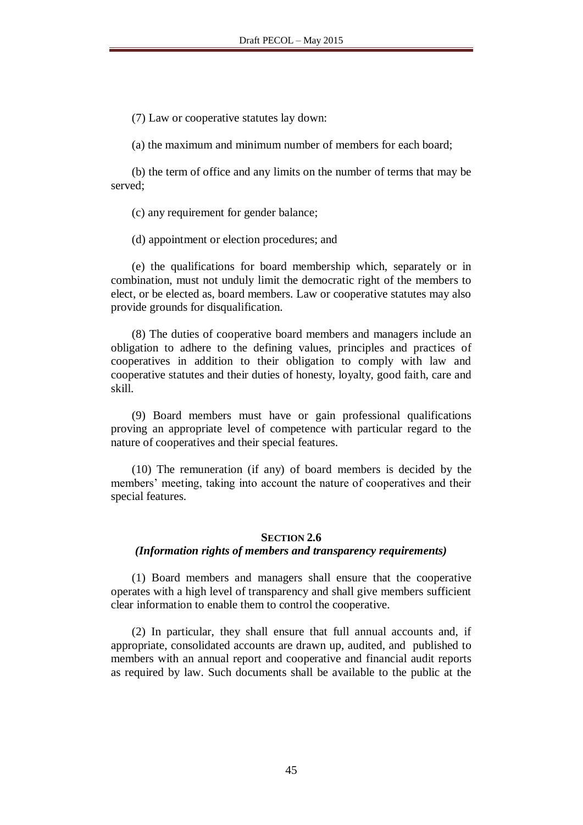(7) Law or cooperative statutes lay down:

(a) the maximum and minimum number of members for each board;

(b) the term of office and any limits on the number of terms that may be served;

(c) any requirement for gender balance;

(d) appointment or election procedures; and

(e) the qualifications for board membership which, separately or in combination, must not unduly limit the democratic right of the members to elect, or be elected as, board members. Law or cooperative statutes may also provide grounds for disqualification.

(8) The duties of cooperative board members and managers include an obligation to adhere to the defining values, principles and practices of cooperatives in addition to their obligation to comply with law and cooperative statutes and their duties of honesty, loyalty, good faith, care and skill.

(9) Board members must have or gain professional qualifications proving an appropriate level of competence with particular regard to the nature of cooperatives and their special features.

(10) The remuneration (if any) of board members is decided by the members' meeting, taking into account the nature of cooperatives and their special features.

#### **SECTION 2.6**

#### *(Information rights of members and transparency requirements)*

(1) Board members and managers shall ensure that the cooperative operates with a high level of transparency and shall give members sufficient clear information to enable them to control the cooperative.

(2) In particular, they shall ensure that full annual accounts and, if appropriate, consolidated accounts are drawn up, audited, and published to members with an annual report and cooperative and financial audit reports as required by law. Such documents shall be available to the public at the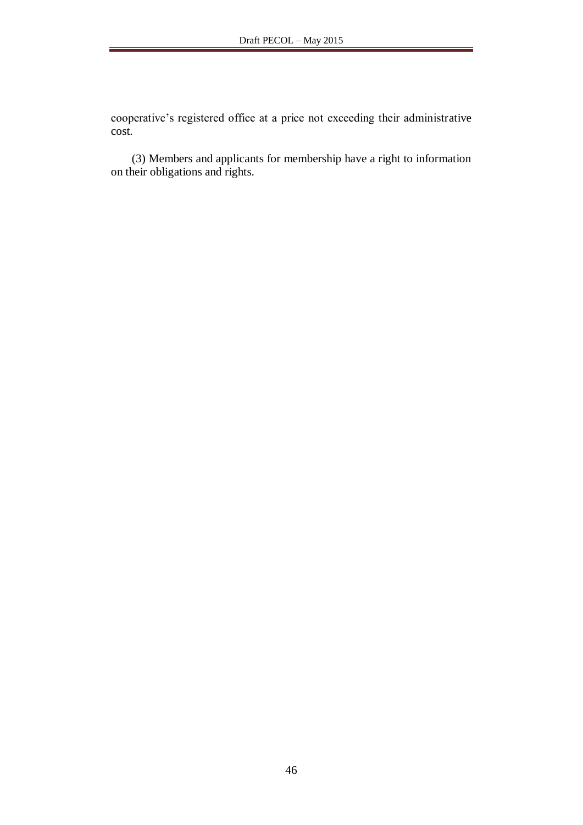cooperative's registered office at a price not exceeding their administrative cost.

(3) Members and applicants for membership have a right to information on their obligations and rights.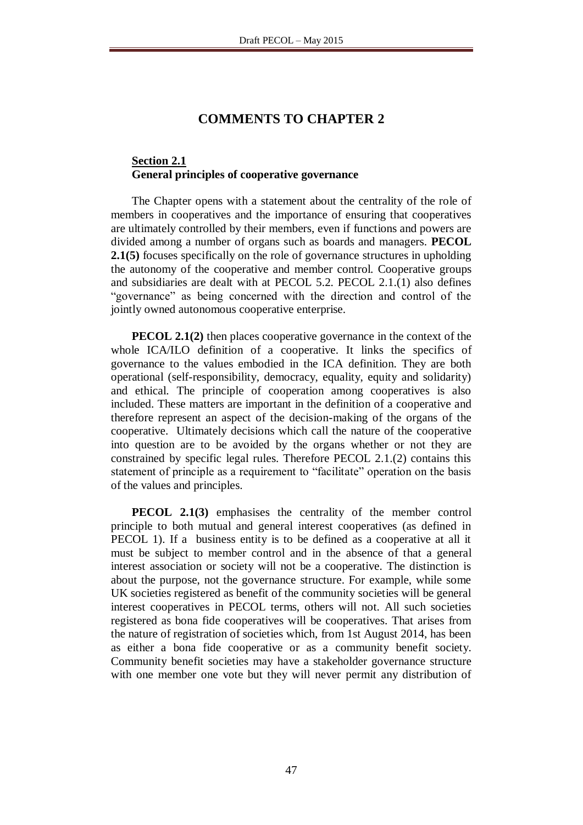# **COMMENTS TO CHAPTER 2**

## **Section 2.1 General principles of cooperative governance**

The Chapter opens with a statement about the centrality of the role of members in cooperatives and the importance of ensuring that cooperatives are ultimately controlled by their members, even if functions and powers are divided among a number of organs such as boards and managers. **PECOL 2.1(5)** focuses specifically on the role of governance structures in upholding the autonomy of the cooperative and member control. Cooperative groups and subsidiaries are dealt with at PECOL 5.2. PECOL 2.1.(1) also defines "governance" as being concerned with the direction and control of the jointly owned autonomous cooperative enterprise.

**PECOL 2.1(2)** then places cooperative governance in the context of the whole ICA/ILO definition of a cooperative. It links the specifics of governance to the values embodied in the ICA definition. They are both operational (self-responsibility, democracy, equality, equity and solidarity) and ethical. The principle of cooperation among cooperatives is also included. These matters are important in the definition of a cooperative and therefore represent an aspect of the decision-making of the organs of the cooperative. Ultimately decisions which call the nature of the cooperative into question are to be avoided by the organs whether or not they are constrained by specific legal rules. Therefore PECOL 2.1.(2) contains this statement of principle as a requirement to "facilitate" operation on the basis of the values and principles.

**PECOL 2.1(3)** emphasises the centrality of the member control principle to both mutual and general interest cooperatives (as defined in PECOL 1). If a business entity is to be defined as a cooperative at all it must be subject to member control and in the absence of that a general interest association or society will not be a cooperative. The distinction is about the purpose, not the governance structure. For example, while some UK societies registered as benefit of the community societies will be general interest cooperatives in PECOL terms, others will not. All such societies registered as bona fide cooperatives will be cooperatives. That arises from the nature of registration of societies which, from 1st August 2014, has been as either a bona fide cooperative or as a community benefit society. Community benefit societies may have a stakeholder governance structure with one member one vote but they will never permit any distribution of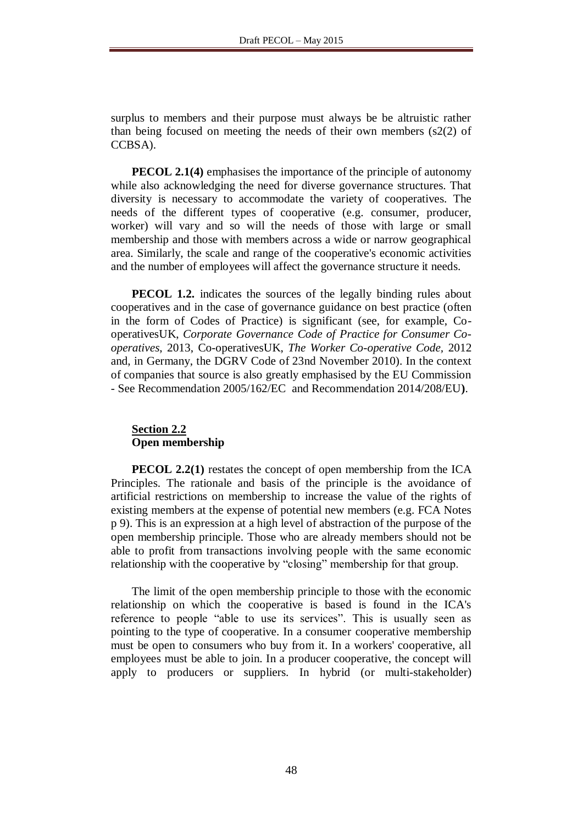surplus to members and their purpose must always be be altruistic rather than being focused on meeting the needs of their own members  $(s2(2)$  of CCBSA).

**PECOL 2.1(4)** emphasises the importance of the principle of autonomy while also acknowledging the need for diverse governance structures. That diversity is necessary to accommodate the variety of cooperatives. The needs of the different types of cooperative (e.g. consumer, producer, worker) will vary and so will the needs of those with large or small membership and those with members across a wide or narrow geographical area. Similarly, the scale and range of the cooperative's economic activities and the number of employees will affect the governance structure it needs.

**PECOL 1.2.** indicates the sources of the legally binding rules about cooperatives and in the case of governance guidance on best practice (often in the form of Codes of Practice) is significant (see, for example, CooperativesUK, *Corporate Governance Code of Practice for Consumer Cooperatives*, 2013, Co-operativesUK, *The Worker Co-operative Code,* 2012 and, in Germany, the DGRV Code of 23nd November 2010). In the context of companies that source is also greatly emphasised by the EU Commission - See Recommendation 2005/162/EC and Recommendation 2014/208/EU**)**.

## **Section 2.2 Open membership**

**PECOL 2.2(1)** restates the concept of open membership from the ICA Principles. The rationale and basis of the principle is the avoidance of artificial restrictions on membership to increase the value of the rights of existing members at the expense of potential new members (e.g. FCA Notes p 9). This is an expression at a high level of abstraction of the purpose of the open membership principle. Those who are already members should not be able to profit from transactions involving people with the same economic relationship with the cooperative by "closing" membership for that group.

The limit of the open membership principle to those with the economic relationship on which the cooperative is based is found in the ICA's reference to people "able to use its services". This is usually seen as pointing to the type of cooperative. In a consumer cooperative membership must be open to consumers who buy from it. In a workers' cooperative, all employees must be able to join. In a producer cooperative, the concept will apply to producers or suppliers. In hybrid (or multi-stakeholder)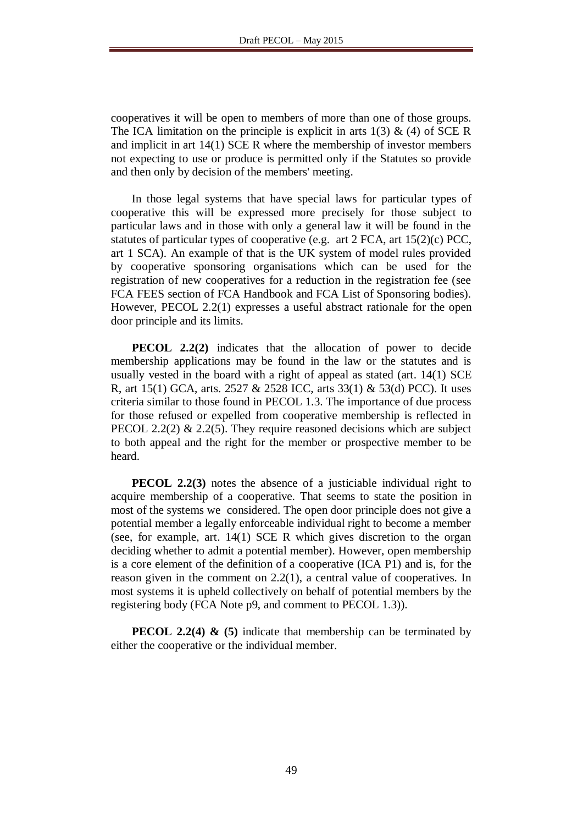cooperatives it will be open to members of more than one of those groups. The ICA limitation on the principle is explicit in arts  $1(3)$  & (4) of SCE R and implicit in art 14(1) SCE R where the membership of investor members not expecting to use or produce is permitted only if the Statutes so provide and then only by decision of the members' meeting.

In those legal systems that have special laws for particular types of cooperative this will be expressed more precisely for those subject to particular laws and in those with only a general law it will be found in the statutes of particular types of cooperative (e.g. art 2 FCA, art 15(2)(c) PCC, art 1 SCA). An example of that is the UK system of model rules provided by cooperative sponsoring organisations which can be used for the registration of new cooperatives for a reduction in the registration fee (see FCA FEES section of FCA Handbook and FCA List of Sponsoring bodies). However, PECOL 2.2(1) expresses a useful abstract rationale for the open door principle and its limits.

**PECOL 2.2(2)** indicates that the allocation of power to decide membership applications may be found in the law or the statutes and is usually vested in the board with a right of appeal as stated (art. 14(1) SCE R, art 15(1) GCA, arts. 2527 & 2528 ICC, arts 33(1) & 53(d) PCC). It uses criteria similar to those found in PECOL 1.3. The importance of due process for those refused or expelled from cooperative membership is reflected in PECOL 2.2(2) & 2.2(5). They require reasoned decisions which are subject to both appeal and the right for the member or prospective member to be heard.

**PECOL 2.2(3)** notes the absence of a justiciable individual right to acquire membership of a cooperative. That seems to state the position in most of the systems we considered. The open door principle does not give a potential member a legally enforceable individual right to become a member (see, for example, art. 14(1) SCE R which gives discretion to the organ deciding whether to admit a potential member). However, open membership is a core element of the definition of a cooperative (ICA P1) and is, for the reason given in the comment on 2.2(1), a central value of cooperatives. In most systems it is upheld collectively on behalf of potential members by the registering body (FCA Note p9, and comment to PECOL 1.3)).

**PECOL 2.2(4) & (5)** indicate that membership can be terminated by either the cooperative or the individual member.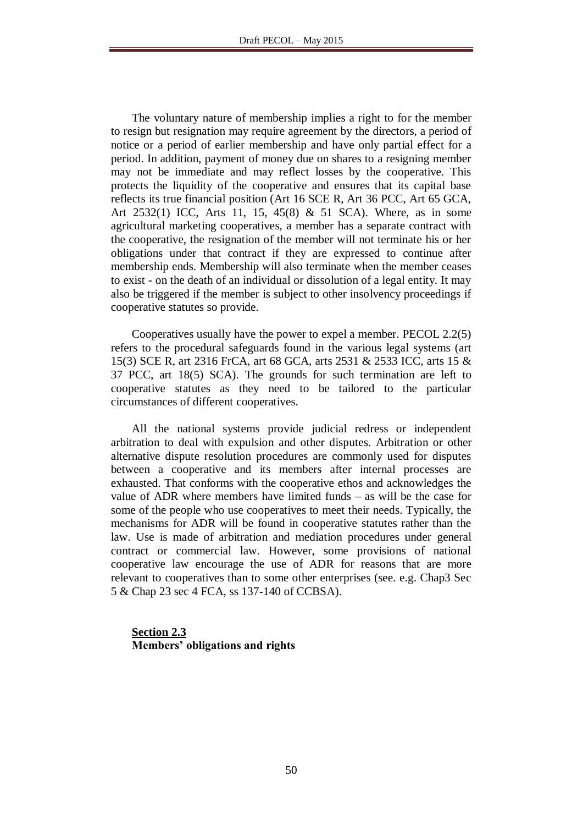The voluntary nature of membership implies a right to for the member to resign but resignation may require agreement by the directors, a period of notice or a period of earlier membership and have only partial effect for a period. In addition, payment of money due on shares to a resigning member may not be immediate and may reflect losses by the cooperative. This protects the liquidity of the cooperative and ensures that its capital base reflects its true financial position (Art 16 SCE R, Art 36 PCC, Art 65 GCA, Art 2532(1) ICC, Arts 11, 15, 45(8) & 51 SCA). Where, as in some agricultural marketing cooperatives, a member has a separate contract with the cooperative, the resignation of the member will not terminate his or her obligations under that contract if they are expressed to continue after membership ends. Membership will also terminate when the member ceases to exist - on the death of an individual or dissolution of a legal entity. It may also be triggered if the member is subject to other insolvency proceedings if cooperative statutes so provide.

Cooperatives usually have the power to expel a member. PECOL 2.2(5) refers to the procedural safeguards found in the various legal systems (art 15(3) SCE R, art 2316 FrCA, art 68 GCA, arts 2531 & 2533 ICC, arts 15 & 37 PCC, art 18(5) SCA). The grounds for such termination are left to cooperative statutes as they need to be tailored to the particular circumstances of different cooperatives.

All the national systems provide judicial redress or independent arbitration to deal with expulsion and other disputes. Arbitration or other alternative dispute resolution procedures are commonly used for disputes between a cooperative and its members after internal processes are exhausted. That conforms with the cooperative ethos and acknowledges the value of ADR where members have limited funds – as will be the case for some of the people who use cooperatives to meet their needs. Typically, the mechanisms for ADR will be found in cooperative statutes rather than the law. Use is made of arbitration and mediation procedures under general contract or commercial law. However, some provisions of national cooperative law encourage the use of ADR for reasons that are more relevant to cooperatives than to some other enterprises (see. e.g. Chap3 Sec 5 & Chap 23 sec 4 FCA, ss 137-140 of CCBSA).

**Section 2.3 Members' obligations and rights**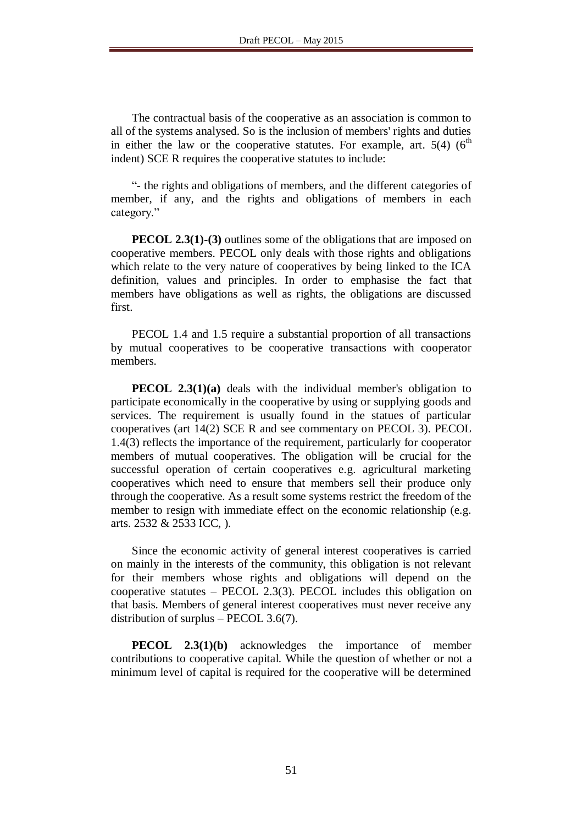The contractual basis of the cooperative as an association is common to all of the systems analysed. So is the inclusion of members' rights and duties in either the law or the cooperative statutes. For example, art.  $5(4)$  ( $6<sup>th</sup>$ indent) SCE R requires the cooperative statutes to include:

"- the rights and obligations of members, and the different categories of member, if any, and the rights and obligations of members in each category."

**PECOL 2.3(1)-(3)** outlines some of the obligations that are imposed on cooperative members. PECOL only deals with those rights and obligations which relate to the very nature of cooperatives by being linked to the ICA definition, values and principles. In order to emphasise the fact that members have obligations as well as rights, the obligations are discussed first.

PECOL 1.4 and 1.5 require a substantial proportion of all transactions by mutual cooperatives to be cooperative transactions with cooperator members.

**PECOL 2.3(1)(a)** deals with the individual member's obligation to participate economically in the cooperative by using or supplying goods and services. The requirement is usually found in the statues of particular cooperatives (art 14(2) SCE R and see commentary on PECOL 3). PECOL 1.4(3) reflects the importance of the requirement, particularly for cooperator members of mutual cooperatives. The obligation will be crucial for the successful operation of certain cooperatives e.g. agricultural marketing cooperatives which need to ensure that members sell their produce only through the cooperative. As a result some systems restrict the freedom of the member to resign with immediate effect on the economic relationship (e.g. arts. 2532 & 2533 ICC, ).

Since the economic activity of general interest cooperatives is carried on mainly in the interests of the community, this obligation is not relevant for their members whose rights and obligations will depend on the cooperative statutes – PECOL 2.3(3). PECOL includes this obligation on that basis. Members of general interest cooperatives must never receive any distribution of surplus – PECOL 3.6(7).

**PECOL 2.3(1)(b)** acknowledges the importance of member contributions to cooperative capital. While the question of whether or not a minimum level of capital is required for the cooperative will be determined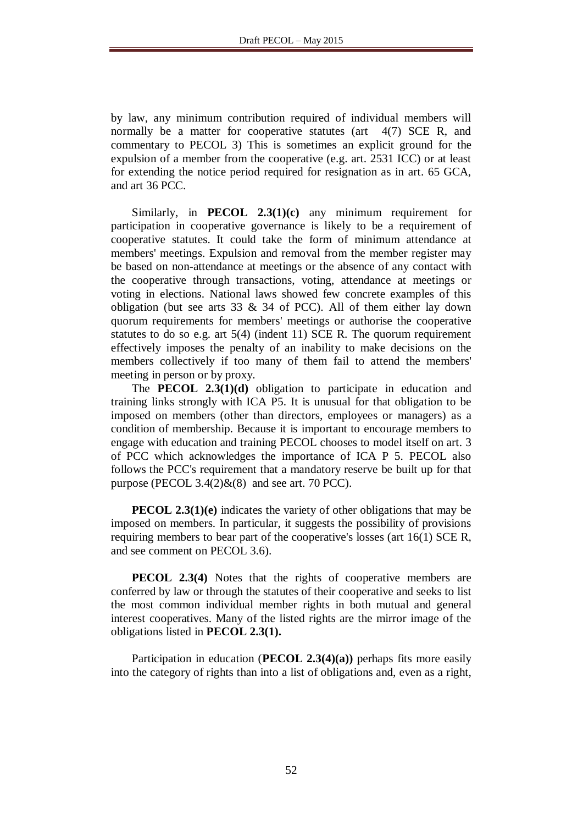by law, any minimum contribution required of individual members will normally be a matter for cooperative statutes (art  $4(7)$  SCE R, and commentary to PECOL 3) This is sometimes an explicit ground for the expulsion of a member from the cooperative (e.g. art. 2531 ICC) or at least for extending the notice period required for resignation as in art. 65 GCA, and art 36 PCC.

Similarly, in **PECOL 2.3(1)(c)** any minimum requirement for participation in cooperative governance is likely to be a requirement of cooperative statutes. It could take the form of minimum attendance at members' meetings. Expulsion and removal from the member register may be based on non-attendance at meetings or the absence of any contact with the cooperative through transactions, voting, attendance at meetings or voting in elections. National laws showed few concrete examples of this obligation (but see arts  $33 \& 34$  of PCC). All of them either lay down quorum requirements for members' meetings or authorise the cooperative statutes to do so e.g. art 5(4) (indent 11) SCE R. The quorum requirement effectively imposes the penalty of an inability to make decisions on the members collectively if too many of them fail to attend the members' meeting in person or by proxy.

The **PECOL 2.3(1)(d)** obligation to participate in education and training links strongly with ICA P5. It is unusual for that obligation to be imposed on members (other than directors, employees or managers) as a condition of membership. Because it is important to encourage members to engage with education and training PECOL chooses to model itself on art. 3 of PCC which acknowledges the importance of ICA P 5. PECOL also follows the PCC's requirement that a mandatory reserve be built up for that purpose (PECOL  $3.4(2)$ & $(8)$  and see art. 70 PCC).

**PECOL 2.3(1)(e)** indicates the variety of other obligations that may be imposed on members. In particular, it suggests the possibility of provisions requiring members to bear part of the cooperative's losses (art 16(1) SCE R, and see comment on PECOL 3.6).

**PECOL 2.3(4)** Notes that the rights of cooperative members are conferred by law or through the statutes of their cooperative and seeks to list the most common individual member rights in both mutual and general interest cooperatives. Many of the listed rights are the mirror image of the obligations listed in **PECOL 2.3(1).**

Participation in education (**PECOL 2.3(4)(a))** perhaps fits more easily into the category of rights than into a list of obligations and, even as a right,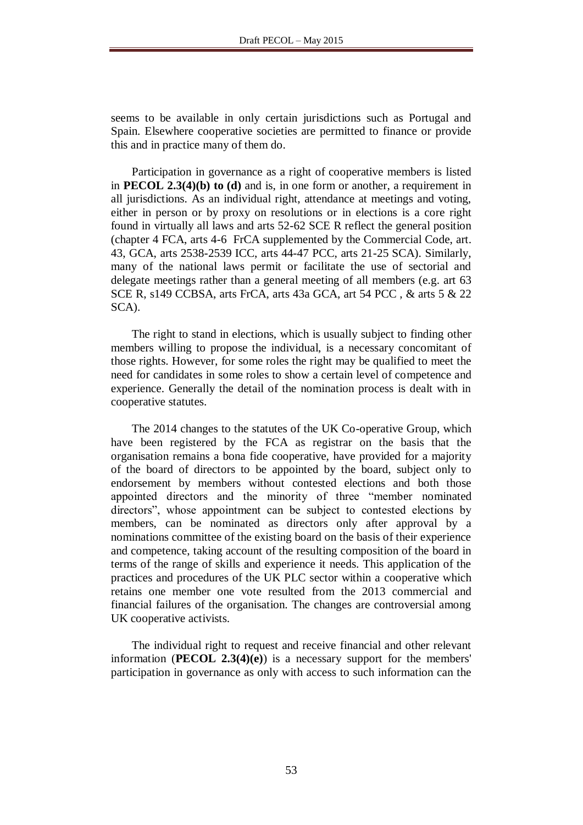seems to be available in only certain jurisdictions such as Portugal and Spain. Elsewhere cooperative societies are permitted to finance or provide this and in practice many of them do.

Participation in governance as a right of cooperative members is listed in **PECOL 2.3(4)(b) to (d)** and is, in one form or another, a requirement in all jurisdictions. As an individual right, attendance at meetings and voting, either in person or by proxy on resolutions or in elections is a core right found in virtually all laws and arts 52-62 SCE R reflect the general position (chapter 4 FCA, arts 4-6 FrCA supplemented by the Commercial Code, art. 43, GCA, arts 2538-2539 ICC, arts 44-47 PCC, arts 21-25 SCA). Similarly, many of the national laws permit or facilitate the use of sectorial and delegate meetings rather than a general meeting of all members (e.g. art 63 SCE R, s149 CCBSA, arts FrCA, arts 43a GCA, art 54 PCC , & arts 5 & 22 SCA).

The right to stand in elections, which is usually subject to finding other members willing to propose the individual, is a necessary concomitant of those rights. However, for some roles the right may be qualified to meet the need for candidates in some roles to show a certain level of competence and experience. Generally the detail of the nomination process is dealt with in cooperative statutes.

The 2014 changes to the statutes of the UK Co-operative Group, which have been registered by the FCA as registrar on the basis that the organisation remains a bona fide cooperative, have provided for a majority of the board of directors to be appointed by the board, subject only to endorsement by members without contested elections and both those appointed directors and the minority of three "member nominated directors", whose appointment can be subject to contested elections by members, can be nominated as directors only after approval by a nominations committee of the existing board on the basis of their experience and competence, taking account of the resulting composition of the board in terms of the range of skills and experience it needs. This application of the practices and procedures of the UK PLC sector within a cooperative which retains one member one vote resulted from the 2013 commercial and financial failures of the organisation. The changes are controversial among UK cooperative activists.

The individual right to request and receive financial and other relevant information (**PECOL 2.3(4)(e)**) is a necessary support for the members' participation in governance as only with access to such information can the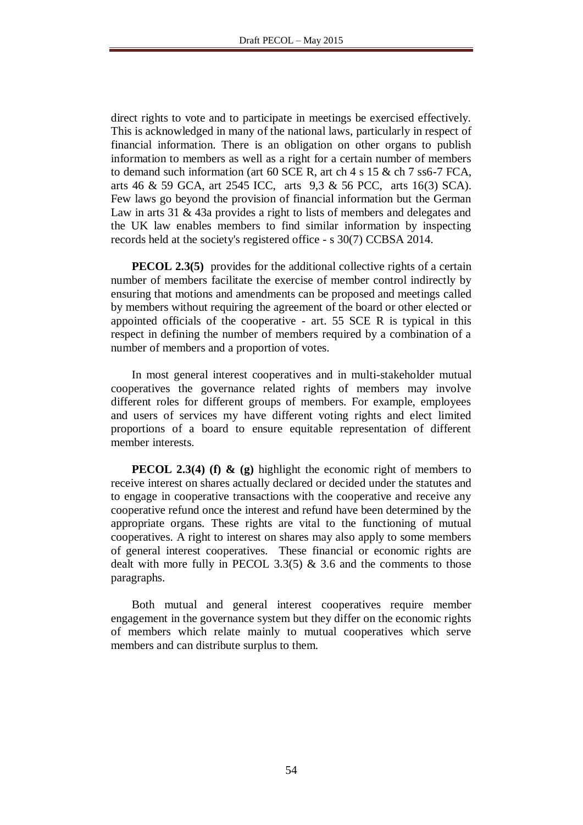direct rights to vote and to participate in meetings be exercised effectively. This is acknowledged in many of the national laws, particularly in respect of financial information. There is an obligation on other organs to publish information to members as well as a right for a certain number of members to demand such information (art 60 SCE R, art ch 4 s 15 & ch 7 ss6-7 FCA, arts 46 & 59 GCA, art 2545 ICC, arts 9,3 & 56 PCC, arts 16(3) SCA). Few laws go beyond the provision of financial information but the German Law in arts 31 & 43a provides a right to lists of members and delegates and the UK law enables members to find similar information by inspecting records held at the society's registered office - s 30(7) CCBSA 2014.

**PECOL 2.3(5)** provides for the additional collective rights of a certain number of members facilitate the exercise of member control indirectly by ensuring that motions and amendments can be proposed and meetings called by members without requiring the agreement of the board or other elected or appointed officials of the cooperative - art. 55 SCE R is typical in this respect in defining the number of members required by a combination of a number of members and a proportion of votes.

In most general interest cooperatives and in multi-stakeholder mutual cooperatives the governance related rights of members may involve different roles for different groups of members. For example, employees and users of services my have different voting rights and elect limited proportions of a board to ensure equitable representation of different member interests.

**PECOL 2.3(4) (f) & (g)** highlight the economic right of members to receive interest on shares actually declared or decided under the statutes and to engage in cooperative transactions with the cooperative and receive any cooperative refund once the interest and refund have been determined by the appropriate organs. These rights are vital to the functioning of mutual cooperatives. A right to interest on shares may also apply to some members of general interest cooperatives. These financial or economic rights are dealt with more fully in PECOL 3.3(5)  $\&$  3.6 and the comments to those paragraphs.

Both mutual and general interest cooperatives require member engagement in the governance system but they differ on the economic rights of members which relate mainly to mutual cooperatives which serve members and can distribute surplus to them.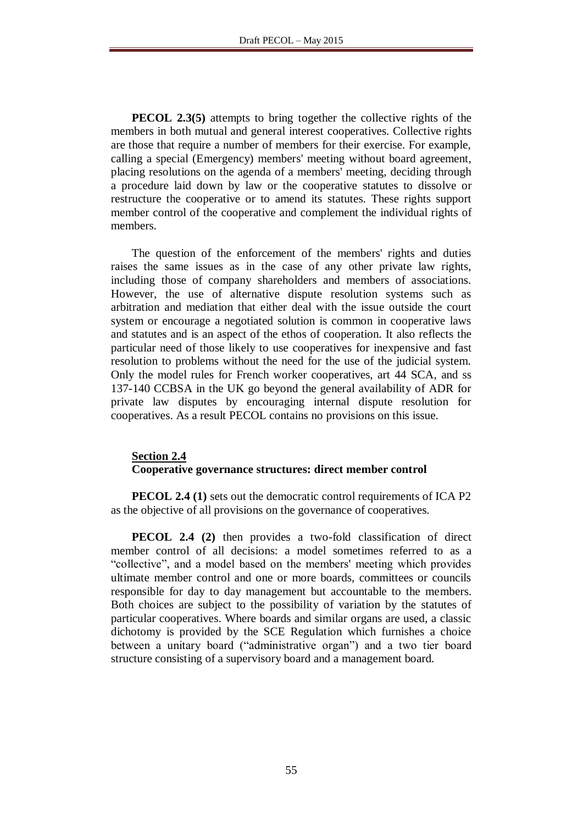**PECOL 2.3(5)** attempts to bring together the collective rights of the members in both mutual and general interest cooperatives. Collective rights are those that require a number of members for their exercise. For example, calling a special (Emergency) members' meeting without board agreement, placing resolutions on the agenda of a members' meeting, deciding through a procedure laid down by law or the cooperative statutes to dissolve or restructure the cooperative or to amend its statutes. These rights support member control of the cooperative and complement the individual rights of members.

The question of the enforcement of the members' rights and duties raises the same issues as in the case of any other private law rights, including those of company shareholders and members of associations. However, the use of alternative dispute resolution systems such as arbitration and mediation that either deal with the issue outside the court system or encourage a negotiated solution is common in cooperative laws and statutes and is an aspect of the ethos of cooperation. It also reflects the particular need of those likely to use cooperatives for inexpensive and fast resolution to problems without the need for the use of the judicial system. Only the model rules for French worker cooperatives, art 44 SCA, and ss 137-140 CCBSA in the UK go beyond the general availability of ADR for private law disputes by encouraging internal dispute resolution for cooperatives. As a result PECOL contains no provisions on this issue.

## **Section 2.4 Cooperative governance structures: direct member control**

**PECOL 2.4 (1)** sets out the democratic control requirements of ICA P2 as the objective of all provisions on the governance of cooperatives.

**PECOL 2.4 (2)** then provides a two-fold classification of direct member control of all decisions: a model sometimes referred to as a "collective", and a model based on the members' meeting which provides ultimate member control and one or more boards, committees or councils responsible for day to day management but accountable to the members. Both choices are subject to the possibility of variation by the statutes of particular cooperatives. Where boards and similar organs are used, a classic dichotomy is provided by the SCE Regulation which furnishes a choice between a unitary board ("administrative organ") and a two tier board structure consisting of a supervisory board and a management board.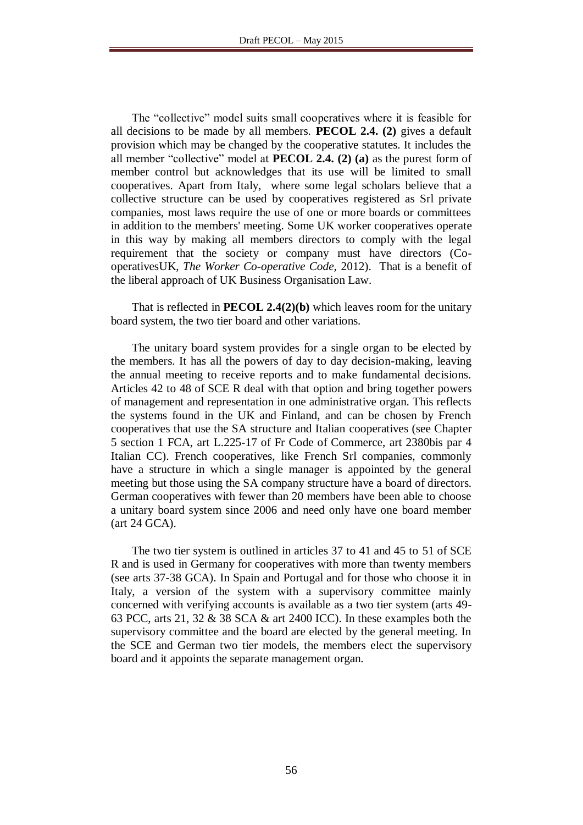The "collective" model suits small cooperatives where it is feasible for all decisions to be made by all members. **PECOL 2.4. (2)** gives a default provision which may be changed by the cooperative statutes. It includes the all member "collective" model at **PECOL 2.4. (2) (a)** as the purest form of member control but acknowledges that its use will be limited to small cooperatives. Apart from Italy, where some legal scholars believe that a collective structure can be used by cooperatives registered as Srl private companies, most laws require the use of one or more boards or committees in addition to the members' meeting. Some UK worker cooperatives operate in this way by making all members directors to comply with the legal requirement that the society or company must have directors (CooperativesUK, *The Worker Co-operative Code,* 2012). That is a benefit of the liberal approach of UK Business Organisation Law.

That is reflected in **PECOL 2.4(2)(b)** which leaves room for the unitary board system, the two tier board and other variations.

The unitary board system provides for a single organ to be elected by the members. It has all the powers of day to day decision-making, leaving the annual meeting to receive reports and to make fundamental decisions. Articles 42 to 48 of SCE R deal with that option and bring together powers of management and representation in one administrative organ. This reflects the systems found in the UK and Finland, and can be chosen by French cooperatives that use the SA structure and Italian cooperatives (see Chapter 5 section 1 FCA, art L.225-17 of Fr Code of Commerce, art 2380bis par 4 Italian CC). French cooperatives, like French Srl companies, commonly have a structure in which a single manager is appointed by the general meeting but those using the SA company structure have a board of directors. German cooperatives with fewer than 20 members have been able to choose a unitary board system since 2006 and need only have one board member (art 24 GCA).

The two tier system is outlined in articles 37 to 41 and 45 to 51 of SCE R and is used in Germany for cooperatives with more than twenty members (see arts 37-38 GCA). In Spain and Portugal and for those who choose it in Italy, a version of the system with a supervisory committee mainly concerned with verifying accounts is available as a two tier system (arts 49- 63 PCC, arts 21, 32 & 38 SCA & art 2400 ICC). In these examples both the supervisory committee and the board are elected by the general meeting. In the SCE and German two tier models, the members elect the supervisory board and it appoints the separate management organ.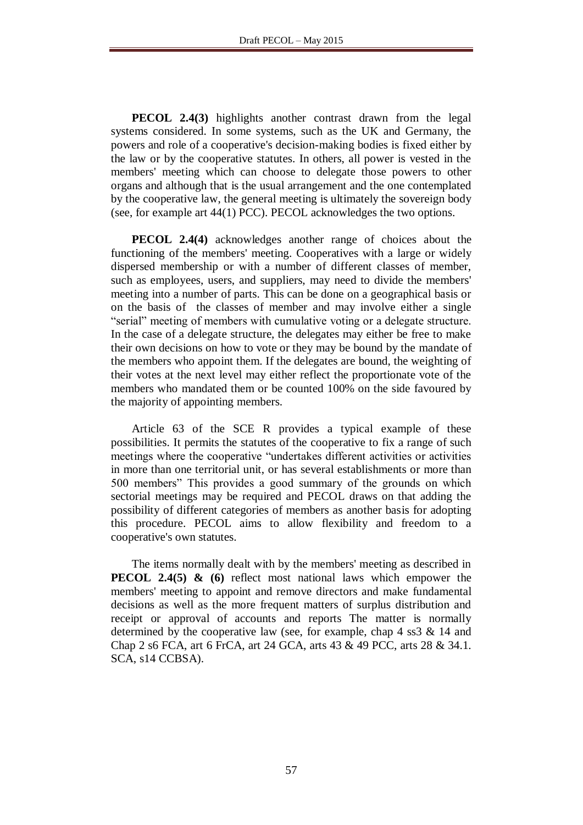**PECOL 2.4(3)** highlights another contrast drawn from the legal systems considered. In some systems, such as the UK and Germany, the powers and role of a cooperative's decision-making bodies is fixed either by the law or by the cooperative statutes. In others, all power is vested in the members' meeting which can choose to delegate those powers to other organs and although that is the usual arrangement and the one contemplated by the cooperative law, the general meeting is ultimately the sovereign body (see, for example art 44(1) PCC). PECOL acknowledges the two options.

**PECOL 2.4(4)** acknowledges another range of choices about the functioning of the members' meeting. Cooperatives with a large or widely dispersed membership or with a number of different classes of member, such as employees, users, and suppliers, may need to divide the members' meeting into a number of parts. This can be done on a geographical basis or on the basis of the classes of member and may involve either a single "serial" meeting of members with cumulative voting or a delegate structure. In the case of a delegate structure, the delegates may either be free to make their own decisions on how to vote or they may be bound by the mandate of the members who appoint them. If the delegates are bound, the weighting of their votes at the next level may either reflect the proportionate vote of the members who mandated them or be counted 100% on the side favoured by the majority of appointing members.

Article 63 of the SCE R provides a typical example of these possibilities. It permits the statutes of the cooperative to fix a range of such meetings where the cooperative "undertakes different activities or activities in more than one territorial unit, or has several establishments or more than 500 members" This provides a good summary of the grounds on which sectorial meetings may be required and PECOL draws on that adding the possibility of different categories of members as another basis for adopting this procedure. PECOL aims to allow flexibility and freedom to a cooperative's own statutes.

The items normally dealt with by the members' meeting as described in **PECOL 2.4(5) & (6)** reflect most national laws which empower the members' meeting to appoint and remove directors and make fundamental decisions as well as the more frequent matters of surplus distribution and receipt or approval of accounts and reports The matter is normally determined by the cooperative law (see, for example, chap  $4 \text{ ss}3 \text{ \& } 14$  and Chap 2 s6 FCA, art 6 FrCA, art 24 GCA, arts 43 & 49 PCC, arts 28 & 34.1. SCA, s14 CCBSA).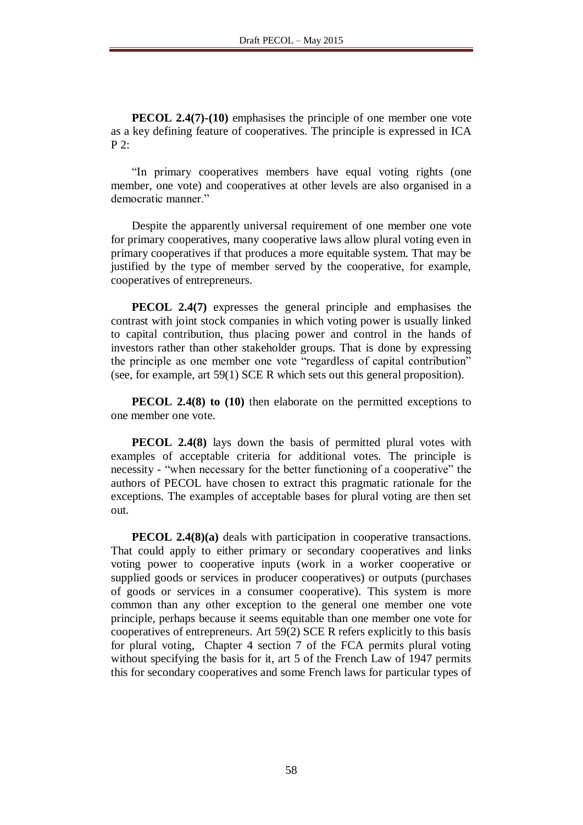**PECOL 2.4(7)-(10)** emphasises the principle of one member one vote as a key defining feature of cooperatives. The principle is expressed in ICA  $P$  2:

"In primary cooperatives members have equal voting rights (one member, one vote) and cooperatives at other levels are also organised in a democratic manner."

Despite the apparently universal requirement of one member one vote for primary cooperatives, many cooperative laws allow plural voting even in primary cooperatives if that produces a more equitable system. That may be justified by the type of member served by the cooperative, for example, cooperatives of entrepreneurs.

**PECOL 2.4(7)** expresses the general principle and emphasises the contrast with joint stock companies in which voting power is usually linked to capital contribution, thus placing power and control in the hands of investors rather than other stakeholder groups. That is done by expressing the principle as one member one vote "regardless of capital contribution" (see, for example, art 59(1) SCE R which sets out this general proposition).

**PECOL 2.4(8) to (10)** then elaborate on the permitted exceptions to one member one vote.

**PECOL 2.4(8)** lays down the basis of permitted plural votes with examples of acceptable criteria for additional votes. The principle is necessity - "when necessary for the better functioning of a cooperative" the authors of PECOL have chosen to extract this pragmatic rationale for the exceptions. The examples of acceptable bases for plural voting are then set out.

**PECOL 2.4(8)(a)** deals with participation in cooperative transactions. That could apply to either primary or secondary cooperatives and links voting power to cooperative inputs (work in a worker cooperative or supplied goods or services in producer cooperatives) or outputs (purchases of goods or services in a consumer cooperative). This system is more common than any other exception to the general one member one vote principle, perhaps because it seems equitable than one member one vote for cooperatives of entrepreneurs. Art 59(2) SCE R refers explicitly to this basis for plural voting, Chapter 4 section 7 of the FCA permits plural voting without specifying the basis for it, art 5 of the French Law of 1947 permits this for secondary cooperatives and some French laws for particular types of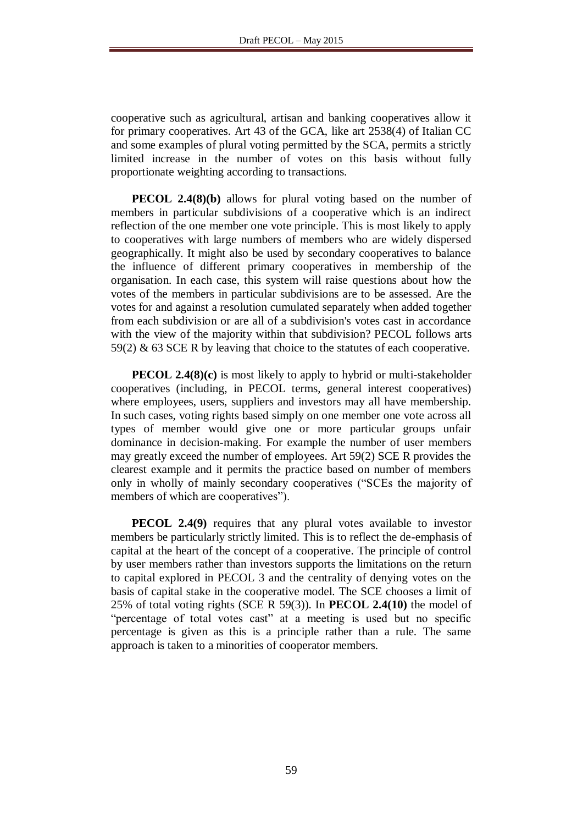cooperative such as agricultural, artisan and banking cooperatives allow it for primary cooperatives. Art 43 of the GCA, like art 2538(4) of Italian CC and some examples of plural voting permitted by the SCA, permits a strictly limited increase in the number of votes on this basis without fully proportionate weighting according to transactions.

**PECOL 2.4(8)(b)** allows for plural voting based on the number of members in particular subdivisions of a cooperative which is an indirect reflection of the one member one vote principle. This is most likely to apply to cooperatives with large numbers of members who are widely dispersed geographically. It might also be used by secondary cooperatives to balance the influence of different primary cooperatives in membership of the organisation. In each case, this system will raise questions about how the votes of the members in particular subdivisions are to be assessed. Are the votes for and against a resolution cumulated separately when added together from each subdivision or are all of a subdivision's votes cast in accordance with the view of the majority within that subdivision? PECOL follows arts 59(2)  $\&$  63 SCE R by leaving that choice to the statutes of each cooperative.

**PECOL 2.4(8)(c)** is most likely to apply to hybrid or multi-stakeholder cooperatives (including, in PECOL terms, general interest cooperatives) where employees, users, suppliers and investors may all have membership. In such cases, voting rights based simply on one member one vote across all types of member would give one or more particular groups unfair dominance in decision-making. For example the number of user members may greatly exceed the number of employees. Art 59(2) SCE R provides the clearest example and it permits the practice based on number of members only in wholly of mainly secondary cooperatives ("SCEs the majority of members of which are cooperatives").

**PECOL 2.4(9)** requires that any plural votes available to investor members be particularly strictly limited. This is to reflect the de-emphasis of capital at the heart of the concept of a cooperative. The principle of control by user members rather than investors supports the limitations on the return to capital explored in PECOL 3 and the centrality of denying votes on the basis of capital stake in the cooperative model. The SCE chooses a limit of 25% of total voting rights (SCE R 59(3)). In **PECOL 2.4(10)** the model of "percentage of total votes cast" at a meeting is used but no specific percentage is given as this is a principle rather than a rule. The same approach is taken to a minorities of cooperator members.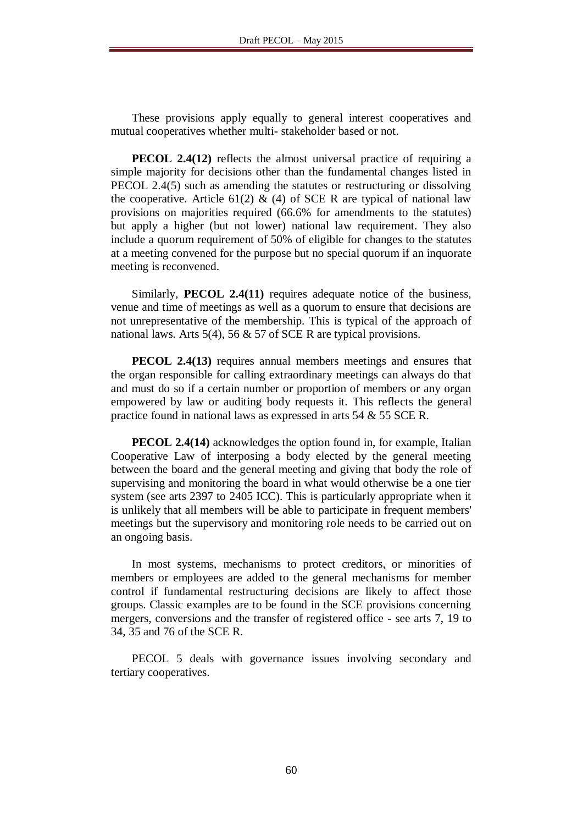These provisions apply equally to general interest cooperatives and mutual cooperatives whether multi- stakeholder based or not.

**PECOL 2.4(12)** reflects the almost universal practice of requiring a simple majority for decisions other than the fundamental changes listed in PECOL 2.4(5) such as amending the statutes or restructuring or dissolving the cooperative. Article 61(2)  $\&$  (4) of SCE R are typical of national law provisions on majorities required (66.6% for amendments to the statutes) but apply a higher (but not lower) national law requirement. They also include a quorum requirement of 50% of eligible for changes to the statutes at a meeting convened for the purpose but no special quorum if an inquorate meeting is reconvened.

Similarly, **PECOL 2.4(11)** requires adequate notice of the business, venue and time of meetings as well as a quorum to ensure that decisions are not unrepresentative of the membership. This is typical of the approach of national laws. Arts 5(4), 56 & 57 of SCE R are typical provisions.

**PECOL 2.4(13)** requires annual members meetings and ensures that the organ responsible for calling extraordinary meetings can always do that and must do so if a certain number or proportion of members or any organ empowered by law or auditing body requests it. This reflects the general practice found in national laws as expressed in arts 54 & 55 SCE R.

**PECOL 2.4(14)** acknowledges the option found in, for example, Italian Cooperative Law of interposing a body elected by the general meeting between the board and the general meeting and giving that body the role of supervising and monitoring the board in what would otherwise be a one tier system (see arts 2397 to 2405 ICC). This is particularly appropriate when it is unlikely that all members will be able to participate in frequent members' meetings but the supervisory and monitoring role needs to be carried out on an ongoing basis.

In most systems, mechanisms to protect creditors, or minorities of members or employees are added to the general mechanisms for member control if fundamental restructuring decisions are likely to affect those groups. Classic examples are to be found in the SCE provisions concerning mergers, conversions and the transfer of registered office - see arts 7, 19 to 34, 35 and 76 of the SCE R.

PECOL 5 deals with governance issues involving secondary and tertiary cooperatives.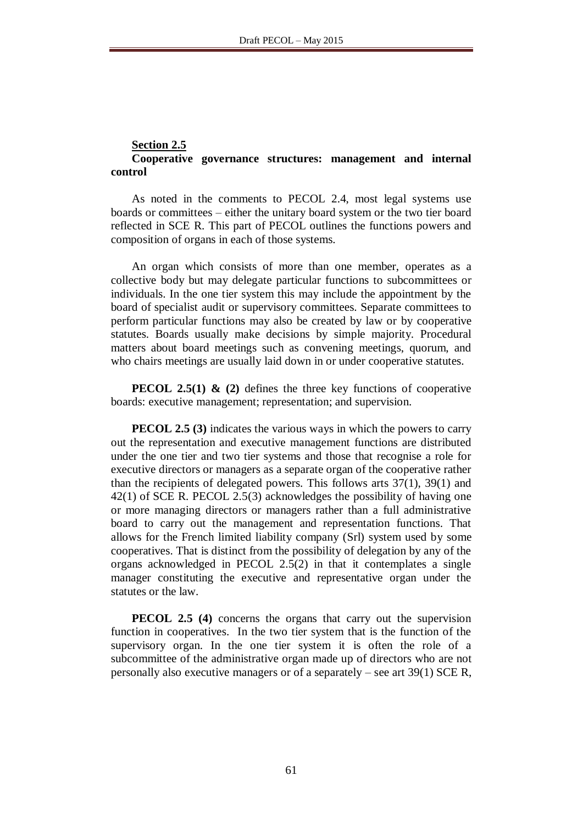### **Section 2.5 Cooperative governance structures: management and internal control**

As noted in the comments to PECOL 2.4, most legal systems use boards or committees – either the unitary board system or the two tier board reflected in SCE R. This part of PECOL outlines the functions powers and composition of organs in each of those systems.

An organ which consists of more than one member, operates as a collective body but may delegate particular functions to subcommittees or individuals. In the one tier system this may include the appointment by the board of specialist audit or supervisory committees. Separate committees to perform particular functions may also be created by law or by cooperative statutes. Boards usually make decisions by simple majority. Procedural matters about board meetings such as convening meetings, quorum, and who chairs meetings are usually laid down in or under cooperative statutes.

**PECOL 2.5(1) & (2)** defines the three key functions of cooperative boards: executive management; representation; and supervision.

**PECOL 2.5 (3)** indicates the various ways in which the powers to carry out the representation and executive management functions are distributed under the one tier and two tier systems and those that recognise a role for executive directors or managers as a separate organ of the cooperative rather than the recipients of delegated powers. This follows arts  $37(1)$ ,  $39(1)$  and 42(1) of SCE R. PECOL 2.5(3) acknowledges the possibility of having one or more managing directors or managers rather than a full administrative board to carry out the management and representation functions. That allows for the French limited liability company (Srl) system used by some cooperatives. That is distinct from the possibility of delegation by any of the organs acknowledged in PECOL 2.5(2) in that it contemplates a single manager constituting the executive and representative organ under the statutes or the law.

**PECOL 2.5 (4)** concerns the organs that carry out the supervision function in cooperatives. In the two tier system that is the function of the supervisory organ. In the one tier system it is often the role of a subcommittee of the administrative organ made up of directors who are not personally also executive managers or of a separately – see art 39(1) SCE R,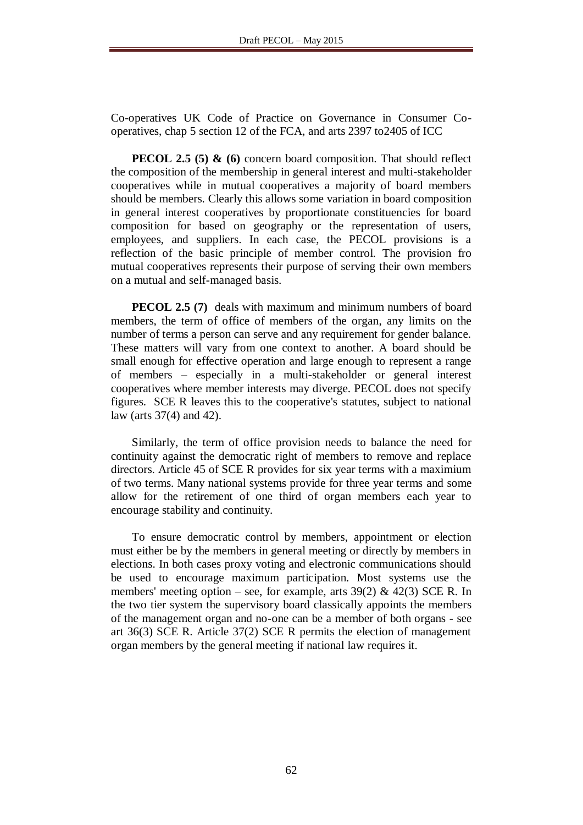Co-operatives UK Code of Practice on Governance in Consumer Cooperatives, chap 5 section 12 of the FCA, and arts 2397 to2405 of ICC

**PECOL 2.5 (5) & (6)** concern board composition. That should reflect the composition of the membership in general interest and multi-stakeholder cooperatives while in mutual cooperatives a majority of board members should be members. Clearly this allows some variation in board composition in general interest cooperatives by proportionate constituencies for board composition for based on geography or the representation of users, employees, and suppliers. In each case, the PECOL provisions is a reflection of the basic principle of member control. The provision fro mutual cooperatives represents their purpose of serving their own members on a mutual and self-managed basis.

**PECOL 2.5 (7)** deals with maximum and minimum numbers of board members, the term of office of members of the organ, any limits on the number of terms a person can serve and any requirement for gender balance. These matters will vary from one context to another. A board should be small enough for effective operation and large enough to represent a range of members – especially in a multi-stakeholder or general interest cooperatives where member interests may diverge. PECOL does not specify figures. SCE R leaves this to the cooperative's statutes, subject to national law (arts 37(4) and 42).

Similarly, the term of office provision needs to balance the need for continuity against the democratic right of members to remove and replace directors. Article 45 of SCE R provides for six year terms with a maximium of two terms. Many national systems provide for three year terms and some allow for the retirement of one third of organ members each year to encourage stability and continuity.

To ensure democratic control by members, appointment or election must either be by the members in general meeting or directly by members in elections. In both cases proxy voting and electronic communications should be used to encourage maximum participation. Most systems use the members' meeting option – see, for example, arts  $39(2)$  &  $42(3)$  SCE R. In the two tier system the supervisory board classically appoints the members of the management organ and no-one can be a member of both organs - see art 36(3) SCE R. Article 37(2) SCE R permits the election of management organ members by the general meeting if national law requires it.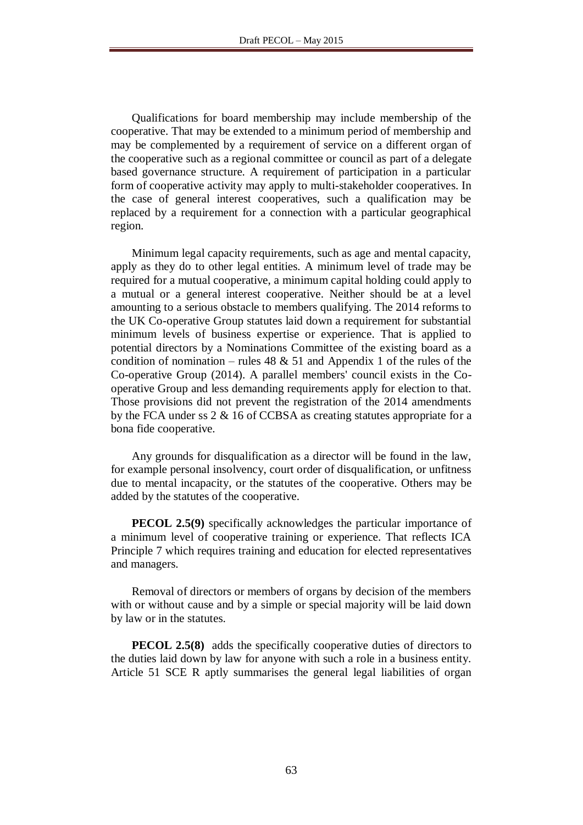Qualifications for board membership may include membership of the cooperative. That may be extended to a minimum period of membership and may be complemented by a requirement of service on a different organ of the cooperative such as a regional committee or council as part of a delegate based governance structure. A requirement of participation in a particular form of cooperative activity may apply to multi-stakeholder cooperatives. In the case of general interest cooperatives, such a qualification may be replaced by a requirement for a connection with a particular geographical region.

Minimum legal capacity requirements, such as age and mental capacity, apply as they do to other legal entities. A minimum level of trade may be required for a mutual cooperative, a minimum capital holding could apply to a mutual or a general interest cooperative. Neither should be at a level amounting to a serious obstacle to members qualifying. The 2014 reforms to the UK Co-operative Group statutes laid down a requirement for substantial minimum levels of business expertise or experience. That is applied to potential directors by a Nominations Committee of the existing board as a condition of nomination – rules  $48 \& 51$  and Appendix 1 of the rules of the Co-operative Group (2014). A parallel members' council exists in the Cooperative Group and less demanding requirements apply for election to that. Those provisions did not prevent the registration of the 2014 amendments by the FCA under ss 2 & 16 of CCBSA as creating statutes appropriate for a bona fide cooperative.

Any grounds for disqualification as a director will be found in the law, for example personal insolvency, court order of disqualification, or unfitness due to mental incapacity, or the statutes of the cooperative. Others may be added by the statutes of the cooperative.

**PECOL 2.5(9)** specifically acknowledges the particular importance of a minimum level of cooperative training or experience. That reflects ICA Principle 7 which requires training and education for elected representatives and managers.

Removal of directors or members of organs by decision of the members with or without cause and by a simple or special majority will be laid down by law or in the statutes.

**PECOL 2.5(8)** adds the specifically cooperative duties of directors to the duties laid down by law for anyone with such a role in a business entity. Article 51 SCE R aptly summarises the general legal liabilities of organ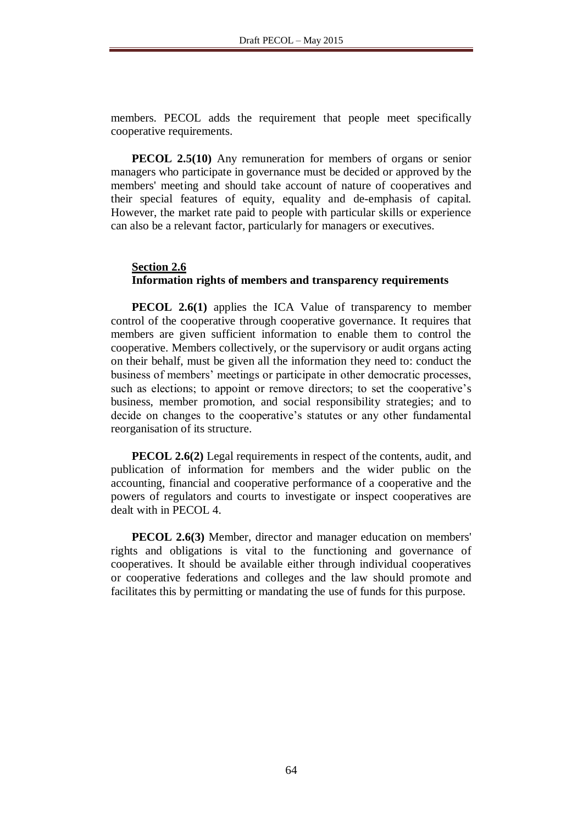members. PECOL adds the requirement that people meet specifically cooperative requirements.

**PECOL 2.5(10)** Any remuneration for members of organs or senior managers who participate in governance must be decided or approved by the members' meeting and should take account of nature of cooperatives and their special features of equity, equality and de-emphasis of capital. However, the market rate paid to people with particular skills or experience can also be a relevant factor, particularly for managers or executives.

## **Section 2.6 Information rights of members and transparency requirements**

**PECOL 2.6(1)** applies the ICA Value of transparency to member control of the cooperative through cooperative governance. It requires that members are given sufficient information to enable them to control the cooperative. Members collectively, or the supervisory or audit organs acting on their behalf, must be given all the information they need to: conduct the business of members' meetings or participate in other democratic processes, such as elections; to appoint or remove directors; to set the cooperative's business, member promotion, and social responsibility strategies; and to decide on changes to the cooperative's statutes or any other fundamental reorganisation of its structure.

**PECOL 2.6(2)** Legal requirements in respect of the contents, audit, and publication of information for members and the wider public on the accounting, financial and cooperative performance of a cooperative and the powers of regulators and courts to investigate or inspect cooperatives are dealt with in PECOL 4.

**PECOL 2.6(3)** Member, director and manager education on members' rights and obligations is vital to the functioning and governance of cooperatives. It should be available either through individual cooperatives or cooperative federations and colleges and the law should promote and facilitates this by permitting or mandating the use of funds for this purpose.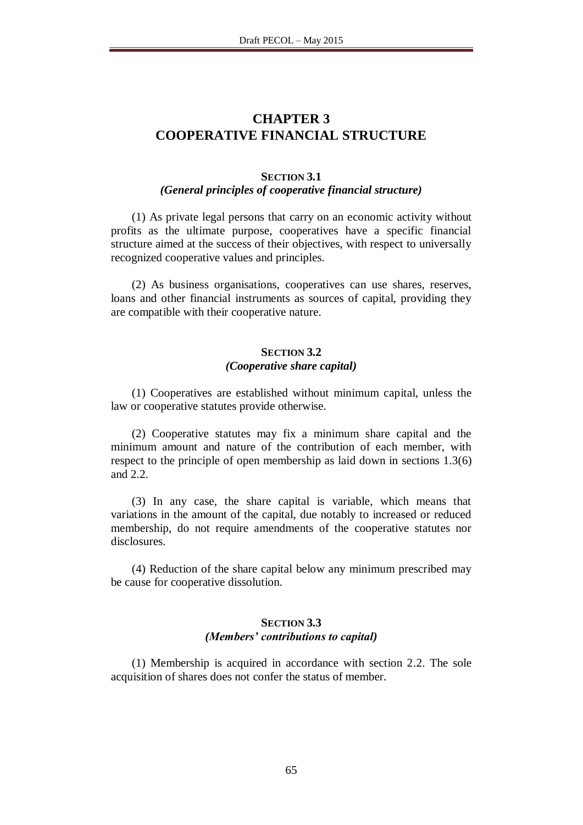# **CHAPTER 3 COOPERATIVE FINANCIAL STRUCTURE**

### **SECTION 3.1**

### *(General principles of cooperative financial structure)*

(1) As private legal persons that carry on an economic activity without profits as the ultimate purpose, cooperatives have a specific financial structure aimed at the success of their objectives, with respect to universally recognized cooperative values and principles.

(2) As business organisations, cooperatives can use shares, reserves, loans and other financial instruments as sources of capital, providing they are compatible with their cooperative nature.

## **SECTION 3.2** *(Cooperative share capital)*

(1) Cooperatives are established without minimum capital, unless the law or cooperative statutes provide otherwise.

(2) Cooperative statutes may fix a minimum share capital and the minimum amount and nature of the contribution of each member, with respect to the principle of open membership as laid down in sections 1.3(6) and 2.2.

(3) In any case, the share capital is variable, which means that variations in the amount of the capital, due notably to increased or reduced membership, do not require amendments of the cooperative statutes nor disclosures.

(4) Reduction of the share capital below any minimum prescribed may be cause for cooperative dissolution.

## **SECTION 3.3** *(Members' contributions to capital)*

(1) Membership is acquired in accordance with section 2.2. The sole acquisition of shares does not confer the status of member.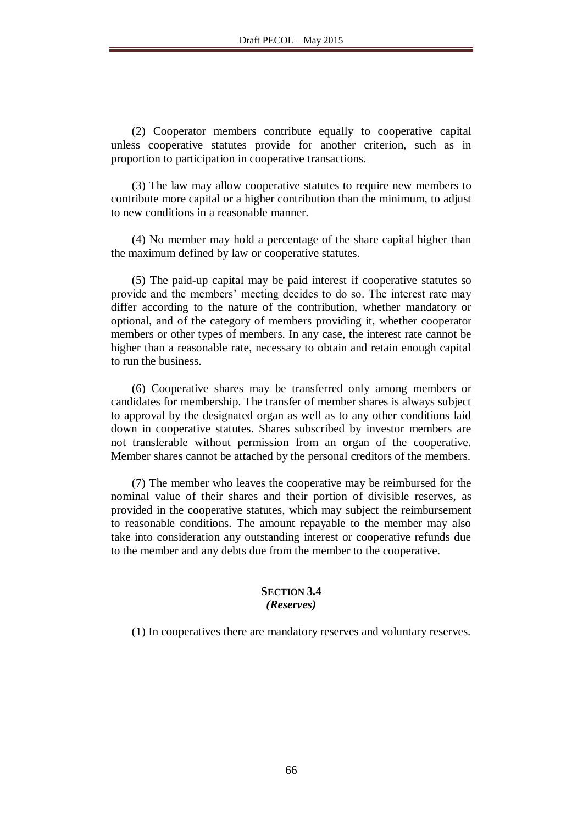(2) Cooperator members contribute equally to cooperative capital unless cooperative statutes provide for another criterion, such as in proportion to participation in cooperative transactions.

(3) The law may allow cooperative statutes to require new members to contribute more capital or a higher contribution than the minimum, to adjust to new conditions in a reasonable manner.

(4) No member may hold a percentage of the share capital higher than the maximum defined by law or cooperative statutes.

(5) The paid-up capital may be paid interest if cooperative statutes so provide and the members' meeting decides to do so. The interest rate may differ according to the nature of the contribution, whether mandatory or optional, and of the category of members providing it, whether cooperator members or other types of members. In any case, the interest rate cannot be higher than a reasonable rate, necessary to obtain and retain enough capital to run the business.

(6) Cooperative shares may be transferred only among members or candidates for membership. The transfer of member shares is always subject to approval by the designated organ as well as to any other conditions laid down in cooperative statutes. Shares subscribed by investor members are not transferable without permission from an organ of the cooperative. Member shares cannot be attached by the personal creditors of the members.

(7) The member who leaves the cooperative may be reimbursed for the nominal value of their shares and their portion of divisible reserves, as provided in the cooperative statutes, which may subject the reimbursement to reasonable conditions. The amount repayable to the member may also take into consideration any outstanding interest or cooperative refunds due to the member and any debts due from the member to the cooperative.

### **SECTION 3.4** *(Reserves)*

(1) In cooperatives there are mandatory reserves and voluntary reserves.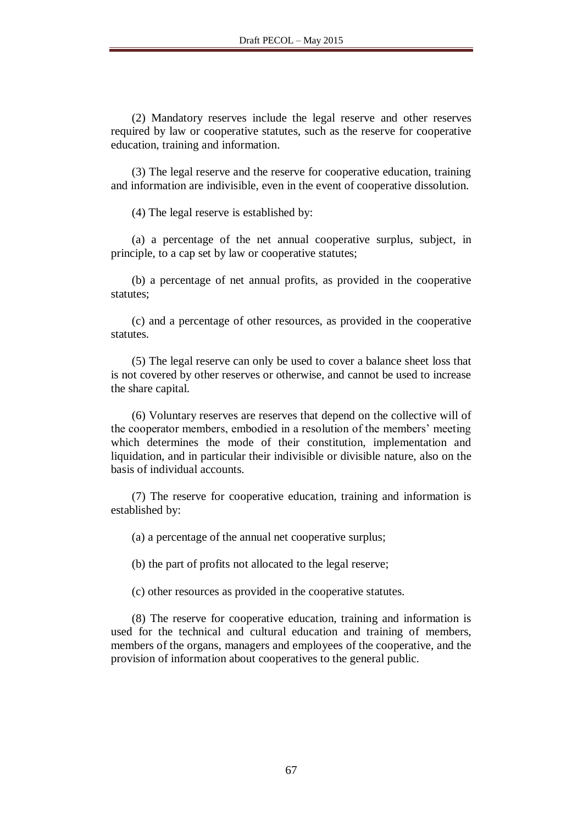(2) Mandatory reserves include the legal reserve and other reserves required by law or cooperative statutes, such as the reserve for cooperative education, training and information.

(3) The legal reserve and the reserve for cooperative education, training and information are indivisible, even in the event of cooperative dissolution.

(4) The legal reserve is established by:

(a) a percentage of the net annual cooperative surplus, subject, in principle, to a cap set by law or cooperative statutes;

(b) a percentage of net annual profits, as provided in the cooperative statutes;

(c) and a percentage of other resources, as provided in the cooperative statutes.

(5) The legal reserve can only be used to cover a balance sheet loss that is not covered by other reserves or otherwise, and cannot be used to increase the share capital.

(6) Voluntary reserves are reserves that depend on the collective will of the cooperator members, embodied in a resolution of the members' meeting which determines the mode of their constitution, implementation and liquidation, and in particular their indivisible or divisible nature, also on the basis of individual accounts.

(7) The reserve for cooperative education, training and information is established by:

(a) a percentage of the annual net cooperative surplus;

(b) the part of profits not allocated to the legal reserve;

(c) other resources as provided in the cooperative statutes.

(8) The reserve for cooperative education, training and information is used for the technical and cultural education and training of members, members of the organs, managers and employees of the cooperative, and the provision of information about cooperatives to the general public.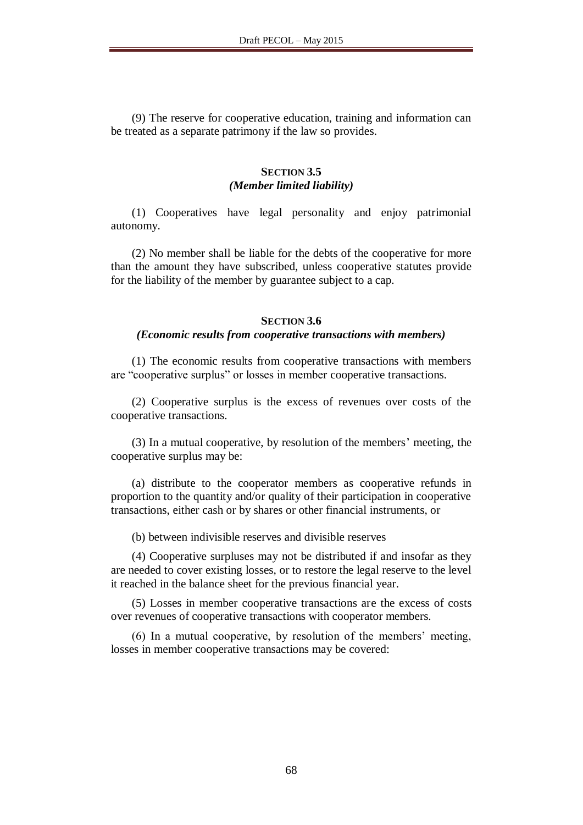(9) The reserve for cooperative education, training and information can be treated as a separate patrimony if the law so provides.

## **SECTION 3.5** *(Member limited liability)*

(1) Cooperatives have legal personality and enjoy patrimonial autonomy.

(2) No member shall be liable for the debts of the cooperative for more than the amount they have subscribed, unless cooperative statutes provide for the liability of the member by guarantee subject to a cap.

#### **SECTION 3.6**

#### *(Economic results from cooperative transactions with members)*

(1) The economic results from cooperative transactions with members are "cooperative surplus" or losses in member cooperative transactions.

(2) Cooperative surplus is the excess of revenues over costs of the cooperative transactions.

(3) In a mutual cooperative, by resolution of the members' meeting, the cooperative surplus may be:

(a) distribute to the cooperator members as cooperative refunds in proportion to the quantity and/or quality of their participation in cooperative transactions, either cash or by shares or other financial instruments, or

(b) between indivisible reserves and divisible reserves

(4) Cooperative surpluses may not be distributed if and insofar as they are needed to cover existing losses, or to restore the legal reserve to the level it reached in the balance sheet for the previous financial year.

(5) Losses in member cooperative transactions are the excess of costs over revenues of cooperative transactions with cooperator members.

(6) In a mutual cooperative, by resolution of the members' meeting, losses in member cooperative transactions may be covered: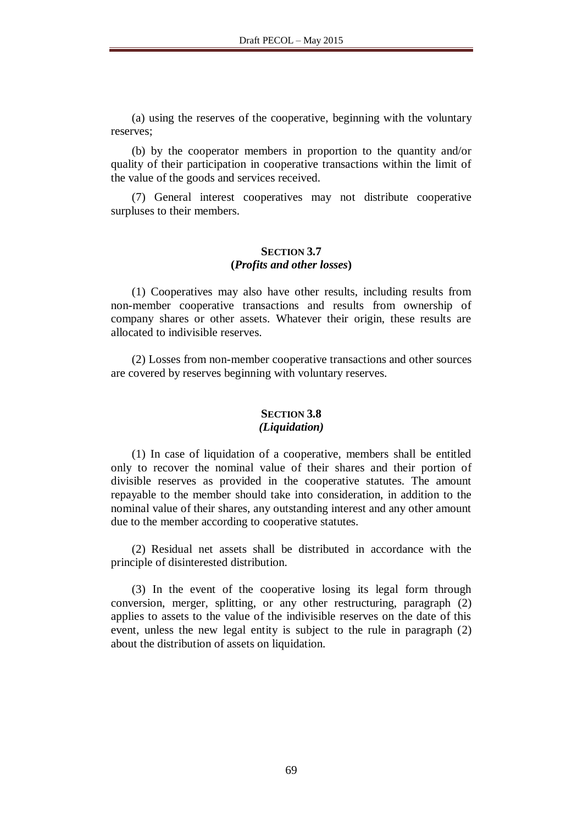(a) using the reserves of the cooperative, beginning with the voluntary reserves;

(b) by the cooperator members in proportion to the quantity and/or quality of their participation in cooperative transactions within the limit of the value of the goods and services received.

(7) General interest cooperatives may not distribute cooperative surpluses to their members.

## **SECTION 3.7 (***Profits and other losses***)**

(1) Cooperatives may also have other results, including results from non-member cooperative transactions and results from ownership of company shares or other assets. Whatever their origin, these results are allocated to indivisible reserves.

(2) Losses from non-member cooperative transactions and other sources are covered by reserves beginning with voluntary reserves.

#### **SECTION 3.8** *(Liquidation)*

(1) In case of liquidation of a cooperative, members shall be entitled only to recover the nominal value of their shares and their portion of divisible reserves as provided in the cooperative statutes. The amount repayable to the member should take into consideration, in addition to the nominal value of their shares, any outstanding interest and any other amount due to the member according to cooperative statutes.

(2) Residual net assets shall be distributed in accordance with the principle of disinterested distribution.

(3) In the event of the cooperative losing its legal form through conversion, merger, splitting, or any other restructuring, paragraph (2) applies to assets to the value of the indivisible reserves on the date of this event, unless the new legal entity is subject to the rule in paragraph (2) about the distribution of assets on liquidation.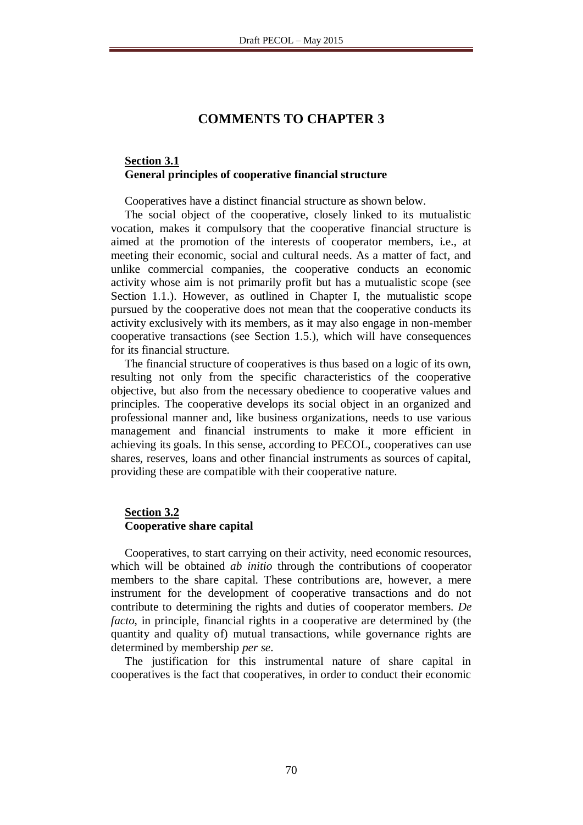## **COMMENTS TO CHAPTER 3**

## **Section 3.1 General principles of cooperative financial structure**

Cooperatives have a distinct financial structure as shown below.

The social object of the cooperative, closely linked to its mutualistic vocation, makes it compulsory that the cooperative financial structure is aimed at the promotion of the interests of cooperator members, i.e., at meeting their economic, social and cultural needs. As a matter of fact, and unlike commercial companies, the cooperative conducts an economic activity whose aim is not primarily profit but has a mutualistic scope (see Section 1.1.). However, as outlined in Chapter I, the mutualistic scope pursued by the cooperative does not mean that the cooperative conducts its activity exclusively with its members, as it may also engage in non-member cooperative transactions (see Section 1.5.), which will have consequences for its financial structure.

The financial structure of cooperatives is thus based on a logic of its own, resulting not only from the specific characteristics of the cooperative objective, but also from the necessary obedience to cooperative values and principles. The cooperative develops its social object in an organized and professional manner and, like business organizations, needs to use various management and financial instruments to make it more efficient in achieving its goals. In this sense, according to PECOL, cooperatives can use shares, reserves, loans and other financial instruments as sources of capital, providing these are compatible with their cooperative nature.

#### **Section 3.2 Cooperative share capital**

Cooperatives, to start carrying on their activity, need economic resources, which will be obtained *ab initio* through the contributions of cooperator members to the share capital. These contributions are, however, a mere instrument for the development of cooperative transactions and do not contribute to determining the rights and duties of cooperator members. *De facto*, in principle, financial rights in a cooperative are determined by (the quantity and quality of) mutual transactions, while governance rights are determined by membership *per se*.

The justification for this instrumental nature of share capital in cooperatives is the fact that cooperatives, in order to conduct their economic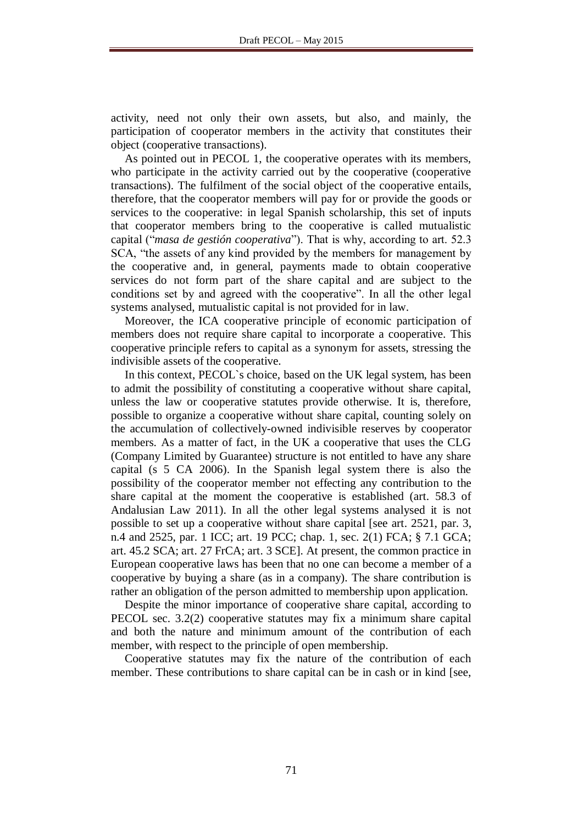activity, need not only their own assets, but also, and mainly, the participation of cooperator members in the activity that constitutes their object (cooperative transactions).

As pointed out in PECOL 1, the cooperative operates with its members, who participate in the activity carried out by the cooperative (cooperative transactions). The fulfilment of the social object of the cooperative entails, therefore, that the cooperator members will pay for or provide the goods or services to the cooperative: in legal Spanish scholarship, this set of inputs that cooperator members bring to the cooperative is called mutualistic capital ("*masa de gestión cooperativa*"). That is why, according to art. 52.3 SCA, "the assets of any kind provided by the members for management by the cooperative and, in general, payments made to obtain cooperative services do not form part of the share capital and are subject to the conditions set by and agreed with the cooperative". In all the other legal systems analysed, mutualistic capital is not provided for in law.

Moreover, the ICA cooperative principle of economic participation of members does not require share capital to incorporate a cooperative. This cooperative principle refers to capital as a synonym for assets, stressing the indivisible assets of the cooperative.

In this context, PECOL`s choice, based on the UK legal system, has been to admit the possibility of constituting a cooperative without share capital, unless the law or cooperative statutes provide otherwise. It is, therefore, possible to organize a cooperative without share capital, counting solely on the accumulation of collectively-owned indivisible reserves by cooperator members. As a matter of fact, in the UK a cooperative that uses the CLG (Company Limited by Guarantee) structure is not entitled to have any share capital (s 5 CA 2006). In the Spanish legal system there is also the possibility of the cooperator member not effecting any contribution to the share capital at the moment the cooperative is established (art. 58.3 of Andalusian Law 2011). In all the other legal systems analysed it is not possible to set up a cooperative without share capital [see art. 2521, par. 3, n.4 and 2525, par. 1 ICC; art. 19 PCC; chap. 1, sec. 2(1) FCA; § 7.1 GCA; art. 45.2 SCA; art. 27 FrCA; art. 3 SCE]. At present, the common practice in European cooperative laws has been that no one can become a member of a cooperative by buying a share (as in a company). The share contribution is rather an obligation of the person admitted to membership upon application.

Despite the minor importance of cooperative share capital, according to PECOL sec. 3.2(2) cooperative statutes may fix a minimum share capital and both the nature and minimum amount of the contribution of each member, with respect to the principle of open membership.

Cooperative statutes may fix the nature of the contribution of each member. These contributions to share capital can be in cash or in kind [see,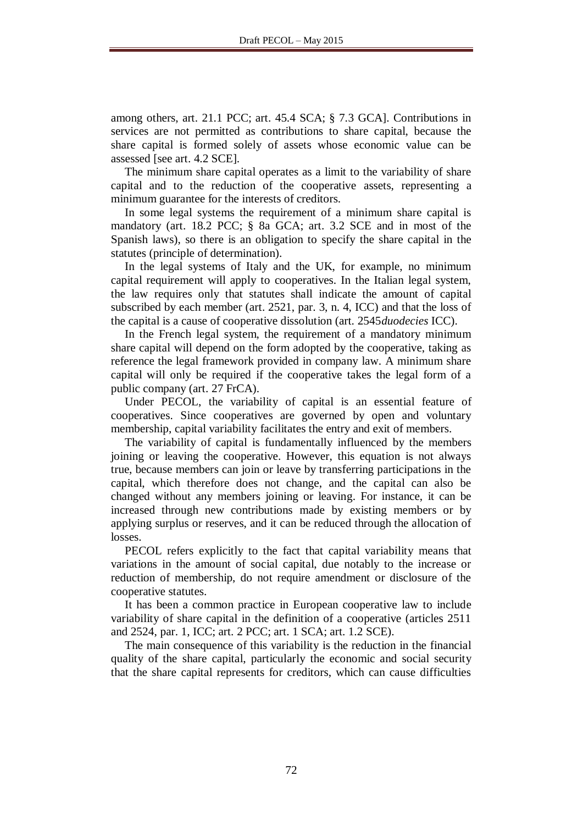among others, art. 21.1 PCC; art. 45.4 SCA; § 7.3 GCA]. Contributions in services are not permitted as contributions to share capital, because the share capital is formed solely of assets whose economic value can be assessed [see art. 4.2 SCE].

The minimum share capital operates as a limit to the variability of share capital and to the reduction of the cooperative assets, representing a minimum guarantee for the interests of creditors.

In some legal systems the requirement of a minimum share capital is mandatory (art. 18.2 PCC; § 8a GCA; art. 3.2 SCE and in most of the Spanish laws), so there is an obligation to specify the share capital in the statutes (principle of determination).

In the legal systems of Italy and the UK, for example, no minimum capital requirement will apply to cooperatives. In the Italian legal system, the law requires only that statutes shall indicate the amount of capital subscribed by each member (art. 2521, par. 3, n. 4, ICC) and that the loss of the capital is a cause of cooperative dissolution (art. 2545*duodecies* ICC).

In the French legal system, the requirement of a mandatory minimum share capital will depend on the form adopted by the cooperative, taking as reference the legal framework provided in company law. A minimum share capital will only be required if the cooperative takes the legal form of a public company (art. 27 FrCA).

Under PECOL, the variability of capital is an essential feature of cooperatives. Since cooperatives are governed by open and voluntary membership, capital variability facilitates the entry and exit of members.

The variability of capital is fundamentally influenced by the members joining or leaving the cooperative. However, this equation is not always true, because members can join or leave by transferring participations in the capital, which therefore does not change, and the capital can also be changed without any members joining or leaving. For instance, it can be increased through new contributions made by existing members or by applying surplus or reserves, and it can be reduced through the allocation of losses.

PECOL refers explicitly to the fact that capital variability means that variations in the amount of social capital, due notably to the increase or reduction of membership, do not require amendment or disclosure of the cooperative statutes.

It has been a common practice in European cooperative law to include variability of share capital in the definition of a cooperative (articles 2511 and 2524, par. 1, ICC; art. 2 PCC; art. 1 SCA; art. 1.2 SCE).

The main consequence of this variability is the reduction in the financial quality of the share capital, particularly the economic and social security that the share capital represents for creditors, which can cause difficulties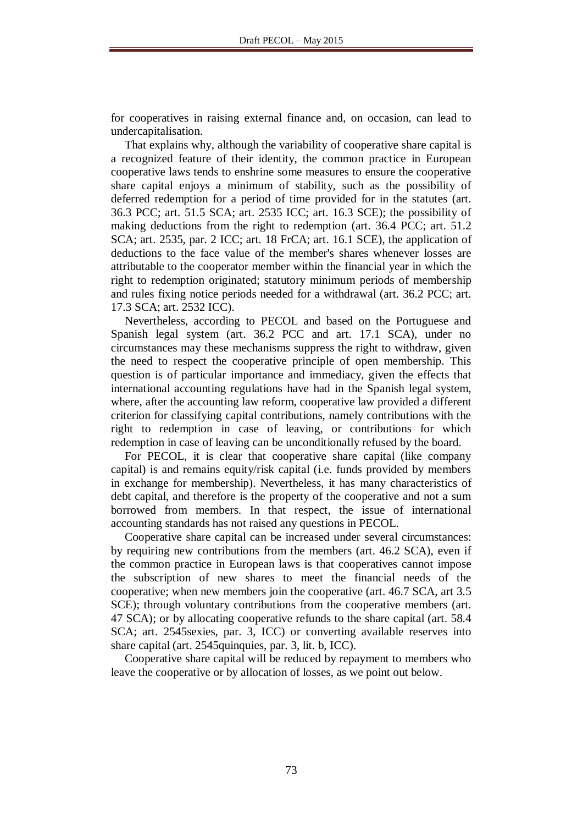for cooperatives in raising external finance and, on occasion, can lead to undercapitalisation.

That explains why, although the variability of cooperative share capital is a recognized feature of their identity, the common practice in European cooperative laws tends to enshrine some measures to ensure the cooperative share capital enjoys a minimum of stability, such as the possibility of deferred redemption for a period of time provided for in the statutes (art. 36.3 PCC; art. 51.5 SCA; art. 2535 ICC; art. 16.3 SCE); the possibility of making deductions from the right to redemption (art. 36.4 PCC; art. 51.2 SCA; art. 2535, par. 2 ICC; art. 18 FrCA; art. 16.1 SCE), the application of deductions to the face value of the member's shares whenever losses are attributable to the cooperator member within the financial year in which the right to redemption originated; statutory minimum periods of membership and rules fixing notice periods needed for a withdrawal (art. 36.2 PCC; art. 17.3 SCA; art. 2532 ICC).

Nevertheless, according to PECOL and based on the Portuguese and Spanish legal system (art. 36.2 PCC and art. 17.1 SCA), under no circumstances may these mechanisms suppress the right to withdraw, given the need to respect the cooperative principle of open membership. This question is of particular importance and immediacy, given the effects that international accounting regulations have had in the Spanish legal system, where, after the accounting law reform, cooperative law provided a different criterion for classifying capital contributions, namely contributions with the right to redemption in case of leaving, or contributions for which redemption in case of leaving can be unconditionally refused by the board.

For PECOL, it is clear that cooperative share capital (like company capital) is and remains equity/risk capital (i.e. funds provided by members in exchange for membership). Nevertheless, it has many characteristics of debt capital, and therefore is the property of the cooperative and not a sum borrowed from members. In that respect, the issue of international accounting standards has not raised any questions in PECOL.

Cooperative share capital can be increased under several circumstances: by requiring new contributions from the members (art. 46.2 SCA), even if the common practice in European laws is that cooperatives cannot impose the subscription of new shares to meet the financial needs of the cooperative; when new members join the cooperative (art. 46.7 SCA, art 3.5 SCE); through voluntary contributions from the cooperative members (art. 47 SCA); or by allocating cooperative refunds to the share capital (art. 58.4 SCA; art. 2545sexies, par. 3, ICC) or converting available reserves into share capital (art. 2545quinquies, par. 3, lit. b, ICC).

Cooperative share capital will be reduced by repayment to members who leave the cooperative or by allocation of losses, as we point out below.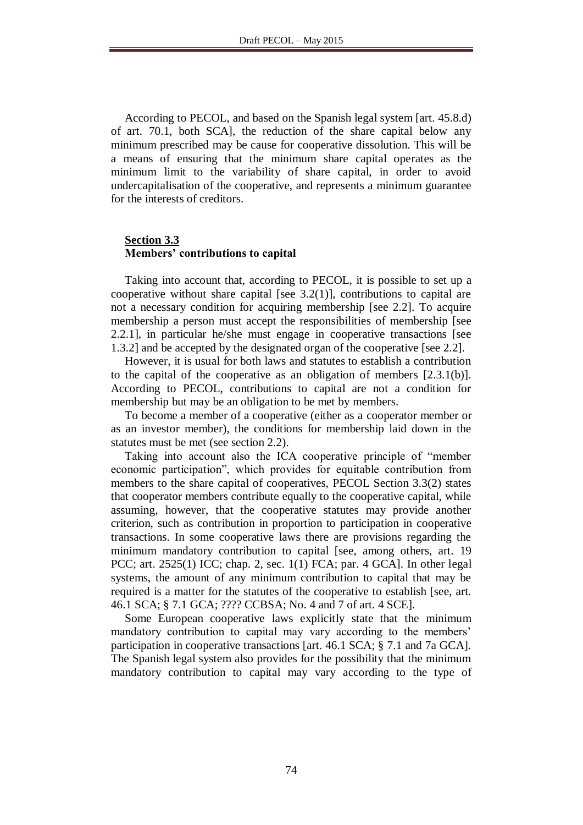According to PECOL, and based on the Spanish legal system [art. 45.8.d) of art. 70.1, both SCA], the reduction of the share capital below any minimum prescribed may be cause for cooperative dissolution. This will be a means of ensuring that the minimum share capital operates as the minimum limit to the variability of share capital, in order to avoid undercapitalisation of the cooperative, and represents a minimum guarantee for the interests of creditors.

### **Section 3.3 Members' contributions to capital**

Taking into account that, according to PECOL, it is possible to set up a cooperative without share capital [see  $3.2(1)$ ], contributions to capital are not a necessary condition for acquiring membership [see 2.2]. To acquire membership a person must accept the responsibilities of membership [see 2.2.1], in particular he/she must engage in cooperative transactions [see 1.3.2] and be accepted by the designated organ of the cooperative [see 2.2].

However, it is usual for both laws and statutes to establish a contribution to the capital of the cooperative as an obligation of members [2.3.1(b)]. According to PECOL, contributions to capital are not a condition for membership but may be an obligation to be met by members.

To become a member of a cooperative (either as a cooperator member or as an investor member), the conditions for membership laid down in the statutes must be met (see section 2.2).

Taking into account also the ICA cooperative principle of "member economic participation", which provides for equitable contribution from members to the share capital of cooperatives, PECOL Section 3.3(2) states that cooperator members contribute equally to the cooperative capital, while assuming, however, that the cooperative statutes may provide another criterion, such as contribution in proportion to participation in cooperative transactions. In some cooperative laws there are provisions regarding the minimum mandatory contribution to capital [see, among others, art. 19 PCC; art. 2525(1) ICC; chap. 2, sec. 1(1) FCA; par. 4 GCA]. In other legal systems, the amount of any minimum contribution to capital that may be required is a matter for the statutes of the cooperative to establish [see, art. 46.1 SCA; § 7.1 GCA; ???? CCBSA; No. 4 and 7 of art. 4 SCE].

Some European cooperative laws explicitly state that the minimum mandatory contribution to capital may vary according to the members' participation in cooperative transactions [art. 46.1 SCA; § 7.1 and 7a GCA]. The Spanish legal system also provides for the possibility that the minimum mandatory contribution to capital may vary according to the type of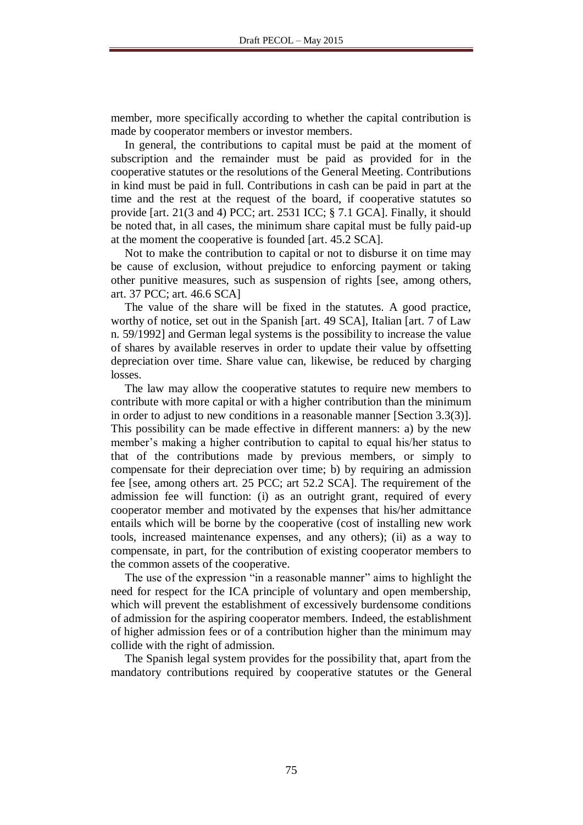member, more specifically according to whether the capital contribution is made by cooperator members or investor members.

In general, the contributions to capital must be paid at the moment of subscription and the remainder must be paid as provided for in the cooperative statutes or the resolutions of the General Meeting. Contributions in kind must be paid in full. Contributions in cash can be paid in part at the time and the rest at the request of the board, if cooperative statutes so provide [art. 21(3 and 4) PCC; art. 2531 ICC; § 7.1 GCA]. Finally, it should be noted that, in all cases, the minimum share capital must be fully paid-up at the moment the cooperative is founded [art. 45.2 SCA].

Not to make the contribution to capital or not to disburse it on time may be cause of exclusion, without prejudice to enforcing payment or taking other punitive measures, such as suspension of rights [see, among others, art. 37 PCC; art. 46.6 SCA]

The value of the share will be fixed in the statutes. A good practice, worthy of notice, set out in the Spanish [art. 49 SCA], Italian [art. 7 of Law n. 59/1992] and German legal systems is the possibility to increase the value of shares by available reserves in order to update their value by offsetting depreciation over time. Share value can, likewise, be reduced by charging losses.

The law may allow the cooperative statutes to require new members to contribute with more capital or with a higher contribution than the minimum in order to adjust to new conditions in a reasonable manner [Section 3.3(3)]. This possibility can be made effective in different manners: a) by the new member's making a higher contribution to capital to equal his/her status to that of the contributions made by previous members, or simply to compensate for their depreciation over time; b) by requiring an admission fee [see, among others art. 25 PCC; art 52.2 SCA]. The requirement of the admission fee will function: (i) as an outright grant, required of every cooperator member and motivated by the expenses that his/her admittance entails which will be borne by the cooperative (cost of installing new work tools, increased maintenance expenses, and any others); (ii) as a way to compensate, in part, for the contribution of existing cooperator members to the common assets of the cooperative.

The use of the expression "in a reasonable manner" aims to highlight the need for respect for the ICA principle of voluntary and open membership, which will prevent the establishment of excessively burdensome conditions of admission for the aspiring cooperator members. Indeed, the establishment of higher admission fees or of a contribution higher than the minimum may collide with the right of admission.

The Spanish legal system provides for the possibility that, apart from the mandatory contributions required by cooperative statutes or the General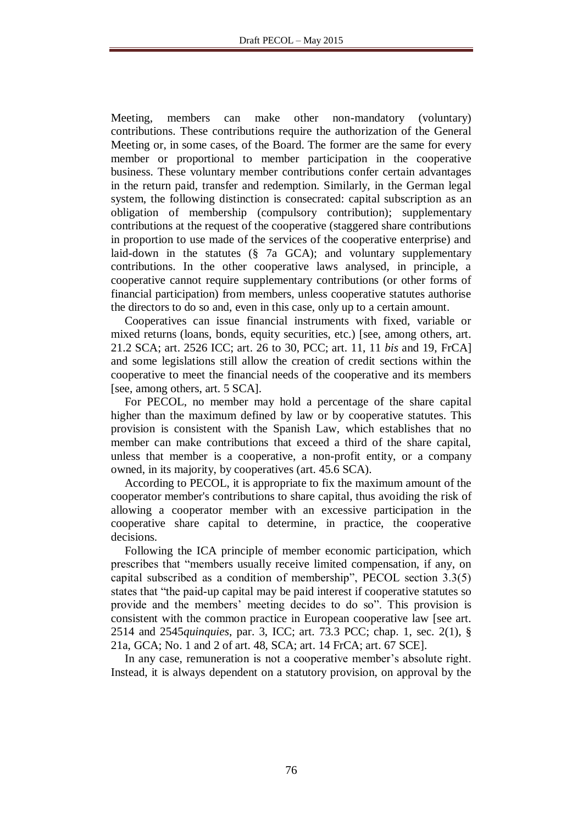Meeting, members can make other non-mandatory (voluntary) contributions. These contributions require the authorization of the General Meeting or, in some cases, of the Board. The former are the same for every member or proportional to member participation in the cooperative business. These voluntary member contributions confer certain advantages in the return paid, transfer and redemption. Similarly, in the German legal system, the following distinction is consecrated: capital subscription as an obligation of membership (compulsory contribution); supplementary contributions at the request of the cooperative (staggered share contributions in proportion to use made of the services of the cooperative enterprise) and laid-down in the statutes (§ 7a GCA); and voluntary supplementary contributions. In the other cooperative laws analysed, in principle, a cooperative cannot require supplementary contributions (or other forms of financial participation) from members, unless cooperative statutes authorise the directors to do so and, even in this case, only up to a certain amount.

Cooperatives can issue financial instruments with fixed, variable or mixed returns (loans, bonds, equity securities, etc.) [see, among others, art. 21.2 SCA; art. 2526 ICC; art. 26 to 30, PCC; art. 11, 11 *bis* and 19, FrCA] and some legislations still allow the creation of credit sections within the cooperative to meet the financial needs of the cooperative and its members [see, among others, art. 5 SCA].

For PECOL, no member may hold a percentage of the share capital higher than the maximum defined by law or by cooperative statutes. This provision is consistent with the Spanish Law, which establishes that no member can make contributions that exceed a third of the share capital, unless that member is a cooperative, a non-profit entity, or a company owned, in its majority, by cooperatives (art. 45.6 SCA).

According to PECOL, it is appropriate to fix the maximum amount of the cooperator member's contributions to share capital, thus avoiding the risk of allowing a cooperator member with an excessive participation in the cooperative share capital to determine, in practice, the cooperative decisions.

Following the ICA principle of member economic participation, which prescribes that "members usually receive limited compensation, if any, on capital subscribed as a condition of membership", PECOL section 3.3(5) states that "the paid-up capital may be paid interest if cooperative statutes so provide and the members' meeting decides to do so". This provision is consistent with the common practice in European cooperative law [see art. 2514 and 2545*quinquies*, par. 3, ICC; art. 73.3 PCC; chap. 1, sec. 2(1), § 21a, GCA; No. 1 and 2 of art. 48, SCA; art. 14 FrCA; art. 67 SCE].

In any case, remuneration is not a cooperative member's absolute right. Instead, it is always dependent on a statutory provision, on approval by the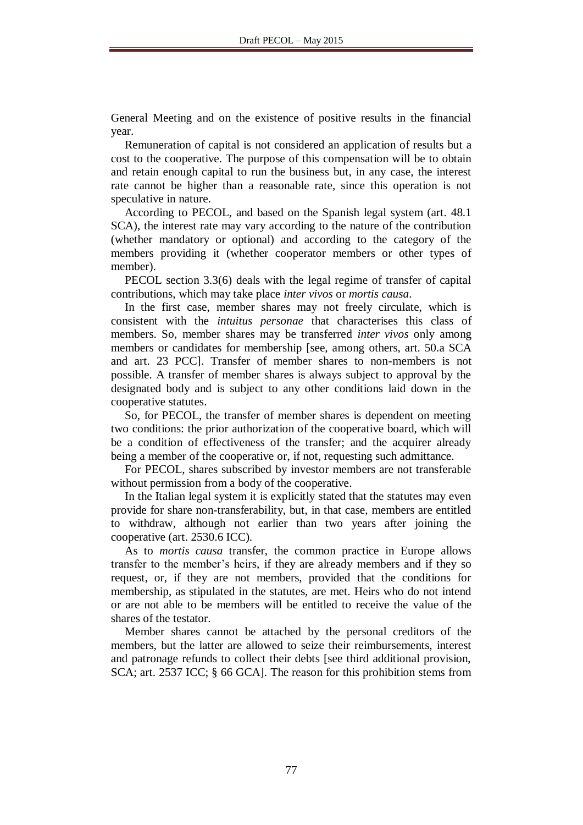General Meeting and on the existence of positive results in the financial year.

Remuneration of capital is not considered an application of results but a cost to the cooperative. The purpose of this compensation will be to obtain and retain enough capital to run the business but, in any case, the interest rate cannot be higher than a reasonable rate, since this operation is not speculative in nature.

According to PECOL, and based on the Spanish legal system (art. 48.1 SCA), the interest rate may vary according to the nature of the contribution (whether mandatory or optional) and according to the category of the members providing it (whether cooperator members or other types of member).

PECOL section 3.3(6) deals with the legal regime of transfer of capital contributions, which may take place *inter vivos* or *mortis causa*.

In the first case, member shares may not freely circulate, which is consistent with the *intuitus personae* that characterises this class of members. So, member shares may be transferred *inter vivos* only among members or candidates for membership [see, among others, art. 50.a SCA and art. 23 PCC]. Transfer of member shares to non-members is not possible. A transfer of member shares is always subject to approval by the designated body and is subject to any other conditions laid down in the cooperative statutes.

So, for PECOL, the transfer of member shares is dependent on meeting two conditions: the prior authorization of the cooperative board, which will be a condition of effectiveness of the transfer; and the acquirer already being a member of the cooperative or, if not, requesting such admittance.

For PECOL, shares subscribed by investor members are not transferable without permission from a body of the cooperative.

In the Italian legal system it is explicitly stated that the statutes may even provide for share non-transferability, but, in that case, members are entitled to withdraw, although not earlier than two years after joining the cooperative (art. 2530.6 ICC).

As to *mortis causa* transfer, the common practice in Europe allows transfer to the member's heirs, if they are already members and if they so request, or, if they are not members, provided that the conditions for membership, as stipulated in the statutes, are met. Heirs who do not intend or are not able to be members will be entitled to receive the value of the shares of the testator.

Member shares cannot be attached by the personal creditors of the members, but the latter are allowed to seize their reimbursements, interest and patronage refunds to collect their debts [see third additional provision, SCA; art. 2537 ICC; § 66 GCA]. The reason for this prohibition stems from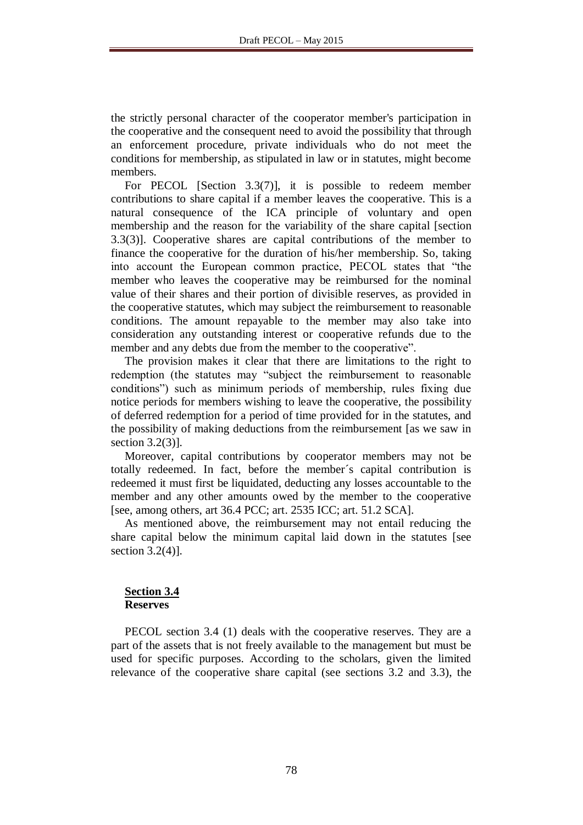the strictly personal character of the cooperator member's participation in the cooperative and the consequent need to avoid the possibility that through an enforcement procedure, private individuals who do not meet the conditions for membership, as stipulated in law or in statutes, might become members.

For PECOL [Section 3.3(7)], it is possible to redeem member contributions to share capital if a member leaves the cooperative. This is a natural consequence of the ICA principle of voluntary and open membership and the reason for the variability of the share capital [section 3.3(3)]. Cooperative shares are capital contributions of the member to finance the cooperative for the duration of his/her membership. So, taking into account the European common practice, PECOL states that "the member who leaves the cooperative may be reimbursed for the nominal value of their shares and their portion of divisible reserves, as provided in the cooperative statutes, which may subject the reimbursement to reasonable conditions. The amount repayable to the member may also take into consideration any outstanding interest or cooperative refunds due to the member and any debts due from the member to the cooperative".

The provision makes it clear that there are limitations to the right to redemption (the statutes may "subject the reimbursement to reasonable conditions") such as minimum periods of membership, rules fixing due notice periods for members wishing to leave the cooperative, the possibility of deferred redemption for a period of time provided for in the statutes, and the possibility of making deductions from the reimbursement [as we saw in section 3.2(3)].

Moreover, capital contributions by cooperator members may not be totally redeemed. In fact, before the member´s capital contribution is redeemed it must first be liquidated, deducting any losses accountable to the member and any other amounts owed by the member to the cooperative [see, among others, art 36.4 PCC; art. 2535 ICC; art. 51.2 SCA].

As mentioned above, the reimbursement may not entail reducing the share capital below the minimum capital laid down in the statutes [see section 3.2(4)].

# **Section 3.4 Reserves**

PECOL section 3.4 (1) deals with the cooperative reserves. They are a part of the assets that is not freely available to the management but must be used for specific purposes. According to the scholars, given the limited relevance of the cooperative share capital (see sections 3.2 and 3.3), the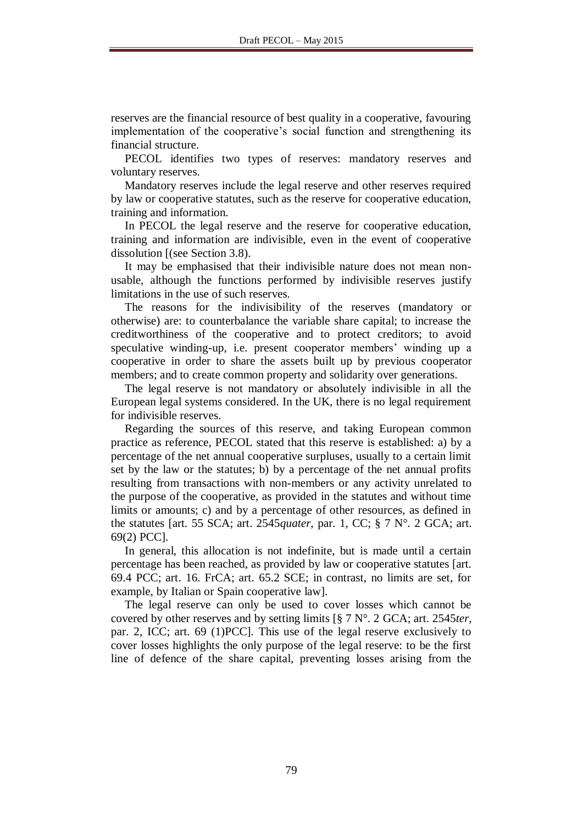reserves are the financial resource of best quality in a cooperative, favouring implementation of the cooperative's social function and strengthening its financial structure.

PECOL identifies two types of reserves: mandatory reserves and voluntary reserves.

Mandatory reserves include the legal reserve and other reserves required by law or cooperative statutes, such as the reserve for cooperative education, training and information.

In PECOL the legal reserve and the reserve for cooperative education, training and information are indivisible, even in the event of cooperative dissolution [(see Section 3.8).

It may be emphasised that their indivisible nature does not mean nonusable, although the functions performed by indivisible reserves justify limitations in the use of such reserves.

The reasons for the indivisibility of the reserves (mandatory or otherwise) are: to counterbalance the variable share capital; to increase the creditworthiness of the cooperative and to protect creditors; to avoid speculative winding-up, i.e. present cooperator members' winding up a cooperative in order to share the assets built up by previous cooperator members; and to create common property and solidarity over generations.

The legal reserve is not mandatory or absolutely indivisible in all the European legal systems considered. In the UK, there is no legal requirement for indivisible reserves.

Regarding the sources of this reserve, and taking European common practice as reference, PECOL stated that this reserve is established: a) by a percentage of the net annual cooperative surpluses, usually to a certain limit set by the law or the statutes; b) by a percentage of the net annual profits resulting from transactions with non-members or any activity unrelated to the purpose of the cooperative, as provided in the statutes and without time limits or amounts; c) and by a percentage of other resources, as defined in the statutes [art. 55 SCA; art. 2545*quater*, par. 1, CC; § 7 N°. 2 GCA; art. 69(2) PCC].

In general, this allocation is not indefinite, but is made until a certain percentage has been reached, as provided by law or cooperative statutes [art. 69.4 PCC; art. 16. FrCA; art. 65.2 SCE; in contrast, no limits are set, for example, by Italian or Spain cooperative law].

The legal reserve can only be used to cover losses which cannot be covered by other reserves and by setting limits [§ 7 N°. 2 GCA; art. 2545*ter*, par. 2, ICC; art. 69 (1)PCC]. This use of the legal reserve exclusively to cover losses highlights the only purpose of the legal reserve: to be the first line of defence of the share capital, preventing losses arising from the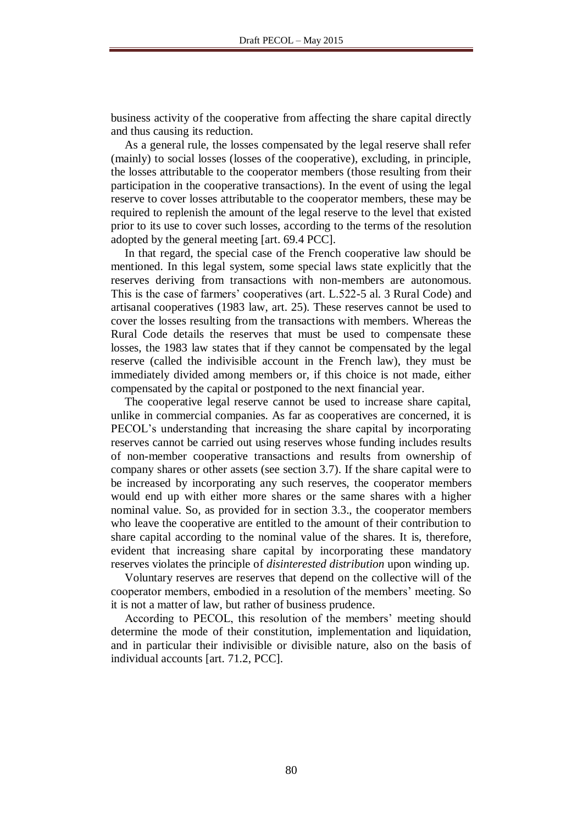business activity of the cooperative from affecting the share capital directly and thus causing its reduction.

As a general rule, the losses compensated by the legal reserve shall refer (mainly) to social losses (losses of the cooperative), excluding, in principle, the losses attributable to the cooperator members (those resulting from their participation in the cooperative transactions). In the event of using the legal reserve to cover losses attributable to the cooperator members, these may be required to replenish the amount of the legal reserve to the level that existed prior to its use to cover such losses, according to the terms of the resolution adopted by the general meeting [art. 69.4 PCC].

In that regard, the special case of the French cooperative law should be mentioned. In this legal system, some special laws state explicitly that the reserves deriving from transactions with non-members are autonomous. This is the case of farmers' cooperatives (art. L.522-5 al. 3 Rural Code) and artisanal cooperatives (1983 law, art. 25). These reserves cannot be used to cover the losses resulting from the transactions with members. Whereas the Rural Code details the reserves that must be used to compensate these losses, the 1983 law states that if they cannot be compensated by the legal reserve (called the indivisible account in the French law), they must be immediately divided among members or, if this choice is not made, either compensated by the capital or postponed to the next financial year.

The cooperative legal reserve cannot be used to increase share capital, unlike in commercial companies. As far as cooperatives are concerned, it is PECOL's understanding that increasing the share capital by incorporating reserves cannot be carried out using reserves whose funding includes results of non-member cooperative transactions and results from ownership of company shares or other assets (see section 3.7). If the share capital were to be increased by incorporating any such reserves, the cooperator members would end up with either more shares or the same shares with a higher nominal value. So, as provided for in section 3.3., the cooperator members who leave the cooperative are entitled to the amount of their contribution to share capital according to the nominal value of the shares. It is, therefore, evident that increasing share capital by incorporating these mandatory reserves violates the principle of *disinterested distribution* upon winding up.

Voluntary reserves are reserves that depend on the collective will of the cooperator members, embodied in a resolution of the members' meeting. So it is not a matter of law, but rather of business prudence.

According to PECOL, this resolution of the members' meeting should determine the mode of their constitution, implementation and liquidation, and in particular their indivisible or divisible nature, also on the basis of individual accounts [art. 71.2, PCC].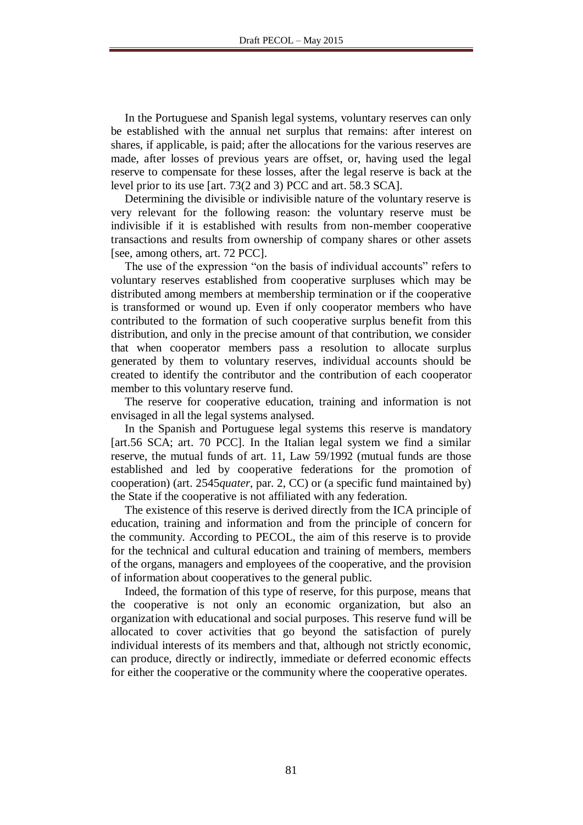In the Portuguese and Spanish legal systems, voluntary reserves can only be established with the annual net surplus that remains: after interest on shares, if applicable, is paid; after the allocations for the various reserves are made, after losses of previous years are offset, or, having used the legal reserve to compensate for these losses, after the legal reserve is back at the level prior to its use [art. 73(2 and 3) PCC and art. 58.3 SCA].

Determining the divisible or indivisible nature of the voluntary reserve is very relevant for the following reason: the voluntary reserve must be indivisible if it is established with results from non-member cooperative transactions and results from ownership of company shares or other assets [see, among others, art. 72 PCC].

The use of the expression "on the basis of individual accounts" refers to voluntary reserves established from cooperative surpluses which may be distributed among members at membership termination or if the cooperative is transformed or wound up. Even if only cooperator members who have contributed to the formation of such cooperative surplus benefit from this distribution, and only in the precise amount of that contribution, we consider that when cooperator members pass a resolution to allocate surplus generated by them to voluntary reserves, individual accounts should be created to identify the contributor and the contribution of each cooperator member to this voluntary reserve fund.

The reserve for cooperative education, training and information is not envisaged in all the legal systems analysed.

In the Spanish and Portuguese legal systems this reserve is mandatory [art.56 SCA; art. 70 PCC]. In the Italian legal system we find a similar reserve, the mutual funds of art. 11, Law 59/1992 (mutual funds are those established and led by cooperative federations for the promotion of cooperation) (art. 2545*quater*, par. 2, CC) or (a specific fund maintained by) the State if the cooperative is not affiliated with any federation.

The existence of this reserve is derived directly from the ICA principle of education, training and information and from the principle of concern for the community. According to PECOL, the aim of this reserve is to provide for the technical and cultural education and training of members, members of the organs, managers and employees of the cooperative, and the provision of information about cooperatives to the general public.

Indeed, the formation of this type of reserve, for this purpose, means that the cooperative is not only an economic organization, but also an organization with educational and social purposes. This reserve fund will be allocated to cover activities that go beyond the satisfaction of purely individual interests of its members and that, although not strictly economic, can produce, directly or indirectly, immediate or deferred economic effects for either the cooperative or the community where the cooperative operates.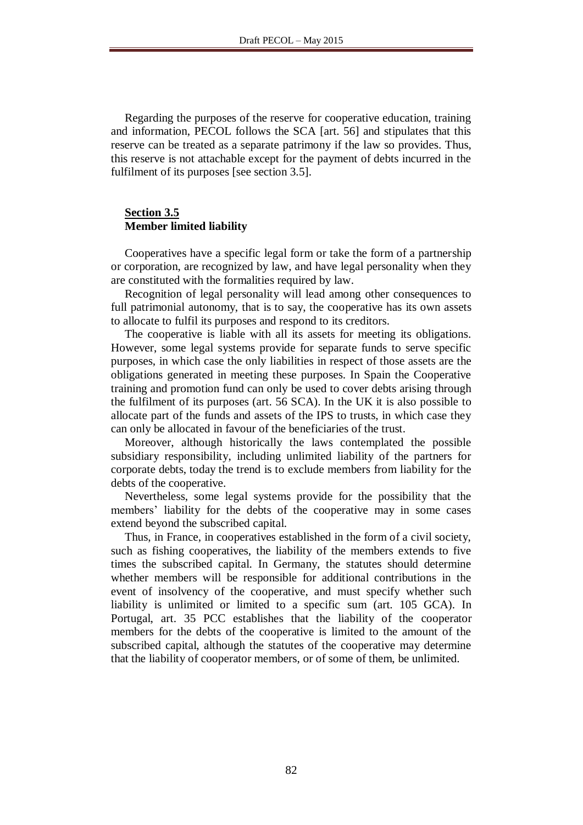Regarding the purposes of the reserve for cooperative education, training and information, PECOL follows the SCA [art. 56] and stipulates that this reserve can be treated as a separate patrimony if the law so provides. Thus, this reserve is not attachable except for the payment of debts incurred in the fulfilment of its purposes [see section 3.5].

### **Section 3.5 Member limited liability**

Cooperatives have a specific legal form or take the form of a partnership or corporation, are recognized by law, and have legal personality when they are constituted with the formalities required by law.

Recognition of legal personality will lead among other consequences to full patrimonial autonomy, that is to say, the cooperative has its own assets to allocate to fulfil its purposes and respond to its creditors.

The cooperative is liable with all its assets for meeting its obligations. However, some legal systems provide for separate funds to serve specific purposes, in which case the only liabilities in respect of those assets are the obligations generated in meeting these purposes. In Spain the Cooperative training and promotion fund can only be used to cover debts arising through the fulfilment of its purposes (art. 56 SCA). In the UK it is also possible to allocate part of the funds and assets of the IPS to trusts, in which case they can only be allocated in favour of the beneficiaries of the trust.

Moreover, although historically the laws contemplated the possible subsidiary responsibility, including unlimited liability of the partners for corporate debts, today the trend is to exclude members from liability for the debts of the cooperative.

Nevertheless, some legal systems provide for the possibility that the members' liability for the debts of the cooperative may in some cases extend beyond the subscribed capital.

Thus, in France, in cooperatives established in the form of a civil society, such as fishing cooperatives, the liability of the members extends to five times the subscribed capital. In Germany, the statutes should determine whether members will be responsible for additional contributions in the event of insolvency of the cooperative, and must specify whether such liability is unlimited or limited to a specific sum (art. 105 GCA). In Portugal, art. 35 PCC establishes that the liability of the cooperator members for the debts of the cooperative is limited to the amount of the subscribed capital, although the statutes of the cooperative may determine that the liability of cooperator members, or of some of them, be unlimited.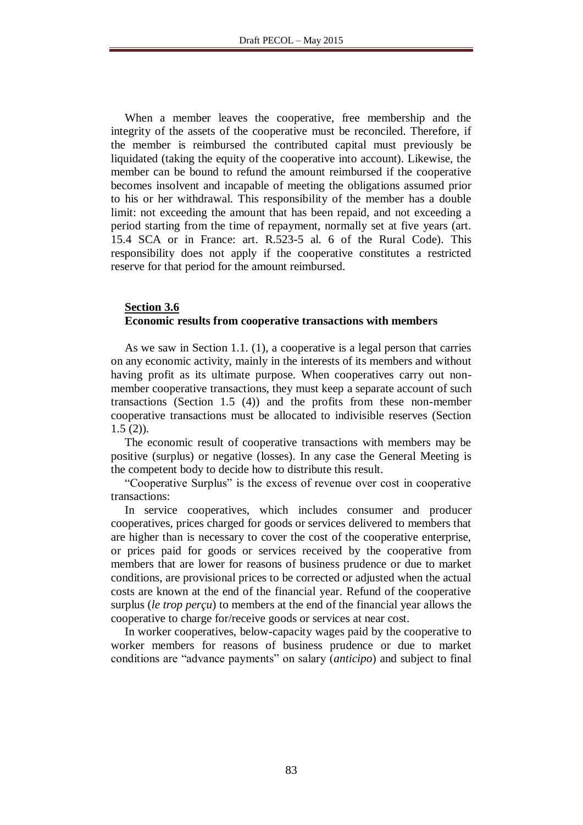When a member leaves the cooperative, free membership and the integrity of the assets of the cooperative must be reconciled. Therefore, if the member is reimbursed the contributed capital must previously be liquidated (taking the equity of the cooperative into account). Likewise, the member can be bound to refund the amount reimbursed if the cooperative becomes insolvent and incapable of meeting the obligations assumed prior to his or her withdrawal. This responsibility of the member has a double limit: not exceeding the amount that has been repaid, and not exceeding a period starting from the time of repayment, normally set at five years (art. 15.4 SCA or in France: art. R.523-5 al. 6 of the Rural Code). This responsibility does not apply if the cooperative constitutes a restricted reserve for that period for the amount reimbursed.

### **Section 3.6 Economic results from cooperative transactions with members**

As we saw in Section 1.1. (1), a cooperative is a legal person that carries on any economic activity, mainly in the interests of its members and without having profit as its ultimate purpose. When cooperatives carry out nonmember cooperative transactions, they must keep a separate account of such transactions (Section 1.5 (4)) and the profits from these non-member cooperative transactions must be allocated to indivisible reserves (Section  $1.5(2)$ .

The economic result of cooperative transactions with members may be positive (surplus) or negative (losses). In any case the General Meeting is the competent body to decide how to distribute this result.

"Cooperative Surplus" is the excess of revenue over cost in cooperative transactions:

In service cooperatives, which includes consumer and producer cooperatives, prices charged for goods or services delivered to members that are higher than is necessary to cover the cost of the cooperative enterprise, or prices paid for goods or services received by the cooperative from members that are lower for reasons of business prudence or due to market conditions, are provisional prices to be corrected or adjusted when the actual costs are known at the end of the financial year. Refund of the cooperative surplus (*le trop perçu*) to members at the end of the financial year allows the cooperative to charge for/receive goods or services at near cost.

In worker cooperatives, below-capacity wages paid by the cooperative to worker members for reasons of business prudence or due to market conditions are "advance payments" on salary (*anticipo*) and subject to final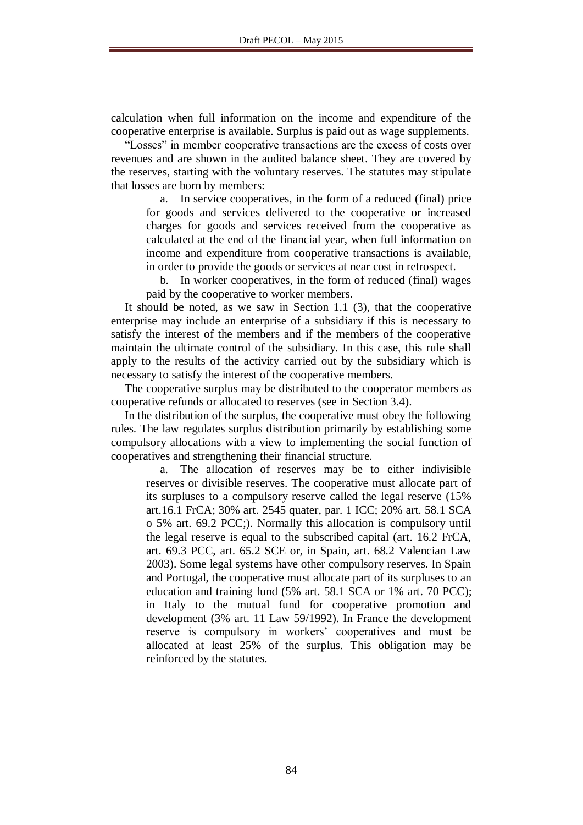calculation when full information on the income and expenditure of the cooperative enterprise is available. Surplus is paid out as wage supplements.

"Losses" in member cooperative transactions are the excess of costs over revenues and are shown in the audited balance sheet. They are covered by the reserves, starting with the voluntary reserves. The statutes may stipulate that losses are born by members:

a. In service cooperatives, in the form of a reduced (final) price for goods and services delivered to the cooperative or increased charges for goods and services received from the cooperative as calculated at the end of the financial year, when full information on income and expenditure from cooperative transactions is available, in order to provide the goods or services at near cost in retrospect.

b. In worker cooperatives, in the form of reduced (final) wages paid by the cooperative to worker members.

It should be noted, as we saw in Section 1.1 (3), that the cooperative enterprise may include an enterprise of a subsidiary if this is necessary to satisfy the interest of the members and if the members of the cooperative maintain the ultimate control of the subsidiary. In this case, this rule shall apply to the results of the activity carried out by the subsidiary which is necessary to satisfy the interest of the cooperative members.

The cooperative surplus may be distributed to the cooperator members as cooperative refunds or allocated to reserves (see in Section 3.4).

In the distribution of the surplus, the cooperative must obey the following rules. The law regulates surplus distribution primarily by establishing some compulsory allocations with a view to implementing the social function of cooperatives and strengthening their financial structure.

a. The allocation of reserves may be to either indivisible reserves or divisible reserves. The cooperative must allocate part of its surpluses to a compulsory reserve called the legal reserve (15% art.16.1 FrCA; 30% art. 2545 quater, par. 1 ICC; 20% art. 58.1 SCA o 5% art. 69.2 PCC;). Normally this allocation is compulsory until the legal reserve is equal to the subscribed capital (art. 16.2 FrCA, art. 69.3 PCC, art. 65.2 SCE or, in Spain, art. 68.2 Valencian Law 2003). Some legal systems have other compulsory reserves. In Spain and Portugal, the cooperative must allocate part of its surpluses to an education and training fund (5% art. 58.1 SCA or 1% art. 70 PCC); in Italy to the mutual fund for cooperative promotion and development (3% art. 11 Law 59/1992). In France the development reserve is compulsory in workers' cooperatives and must be allocated at least 25% of the surplus. This obligation may be reinforced by the statutes.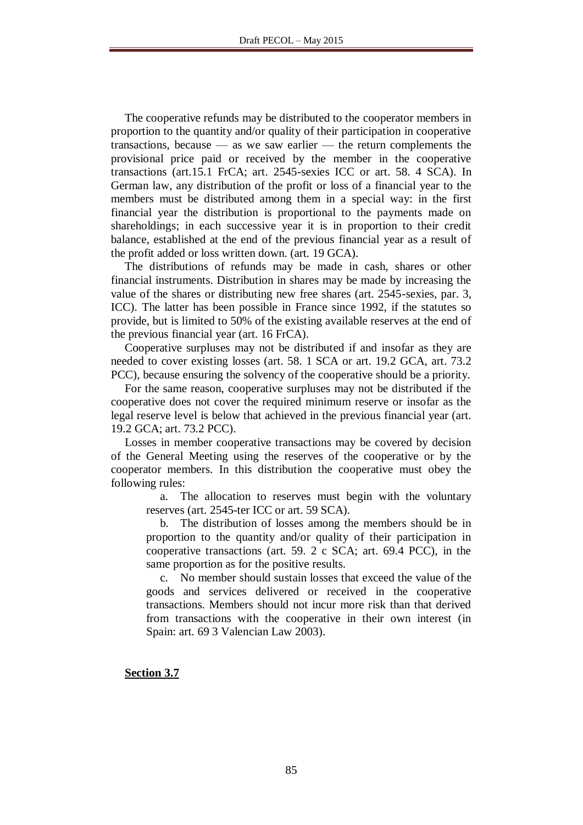The cooperative refunds may be distributed to the cooperator members in proportion to the quantity and/or quality of their participation in cooperative transactions, because — as we saw earlier — the return complements the provisional price paid or received by the member in the cooperative transactions (art.15.1 FrCA; art. 2545-sexies ICC or art. 58. 4 SCA). In German law, any distribution of the profit or loss of a financial year to the members must be distributed among them in a special way: in the first financial year the distribution is proportional to the payments made on shareholdings; in each successive year it is in proportion to their credit balance, established at the end of the previous financial year as a result of the profit added or loss written down. (art. 19 GCA).

The distributions of refunds may be made in cash, shares or other financial instruments. Distribution in shares may be made by increasing the value of the shares or distributing new free shares (art. 2545-sexies, par. 3, ICC). The latter has been possible in France since 1992, if the statutes so provide, but is limited to 50% of the existing available reserves at the end of the previous financial year (art. 16 FrCA).

Cooperative surpluses may not be distributed if and insofar as they are needed to cover existing losses (art. 58. 1 SCA or art. 19.2 GCA, art. 73.2 PCC), because ensuring the solvency of the cooperative should be a priority.

For the same reason, cooperative surpluses may not be distributed if the cooperative does not cover the required minimum reserve or insofar as the legal reserve level is below that achieved in the previous financial year (art. 19.2 GCA; art. 73.2 PCC).

Losses in member cooperative transactions may be covered by decision of the General Meeting using the reserves of the cooperative or by the cooperator members. In this distribution the cooperative must obey the following rules:

a. The allocation to reserves must begin with the voluntary reserves (art. 2545-ter ICC or art. 59 SCA).

b. The distribution of losses among the members should be in proportion to the quantity and/or quality of their participation in cooperative transactions (art. 59. 2 c SCA; art. 69.4 PCC), in the same proportion as for the positive results.

c. No member should sustain losses that exceed the value of the goods and services delivered or received in the cooperative transactions. Members should not incur more risk than that derived from transactions with the cooperative in their own interest (in Spain: art. 69 3 Valencian Law 2003).

### **Section 3.7**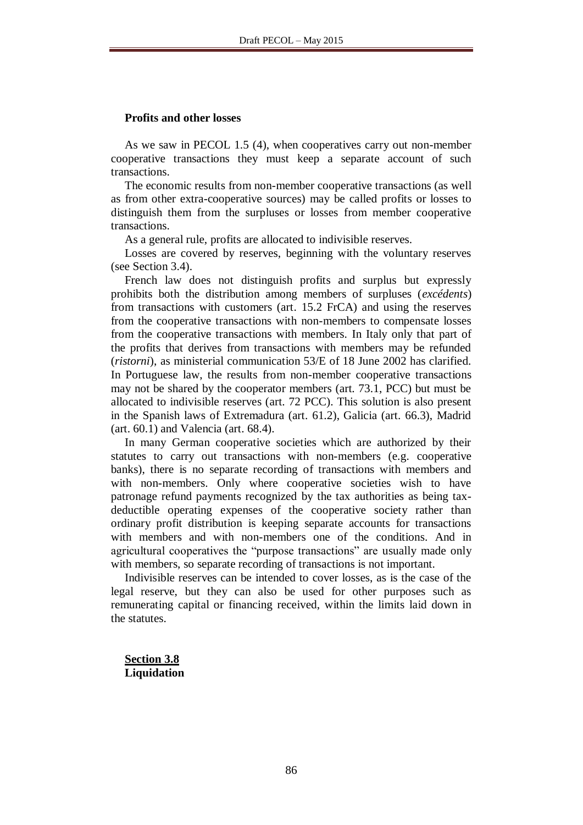#### **Profits and other losses**

As we saw in PECOL 1.5 (4), when cooperatives carry out non-member cooperative transactions they must keep a separate account of such transactions.

The economic results from non-member cooperative transactions (as well as from other extra-cooperative sources) may be called profits or losses to distinguish them from the surpluses or losses from member cooperative transactions.

As a general rule, profits are allocated to indivisible reserves.

Losses are covered by reserves, beginning with the voluntary reserves (see Section 3.4).

French law does not distinguish profits and surplus but expressly prohibits both the distribution among members of surpluses (*excédents*) from transactions with customers (art. 15.2 FrCA) and using the reserves from the cooperative transactions with non-members to compensate losses from the cooperative transactions with members. In Italy only that part of the profits that derives from transactions with members may be refunded (*ristorni*), as ministerial communication 53/E of 18 June 2002 has clarified. In Portuguese law, the results from non-member cooperative transactions may not be shared by the cooperator members (art. 73.1, PCC) but must be allocated to indivisible reserves (art. 72 PCC). This solution is also present in the Spanish laws of Extremadura (art. 61.2), Galicia (art. 66.3), Madrid (art. 60.1) and Valencia (art. 68.4).

In many German cooperative societies which are authorized by their statutes to carry out transactions with non-members (e.g. cooperative banks), there is no separate recording of transactions with members and with non-members. Only where cooperative societies wish to have patronage refund payments recognized by the tax authorities as being taxdeductible operating expenses of the cooperative society rather than ordinary profit distribution is keeping separate accounts for transactions with members and with non-members one of the conditions. And in agricultural cooperatives the "purpose transactions" are usually made only with members, so separate recording of transactions is not important.

Indivisible reserves can be intended to cover losses, as is the case of the legal reserve, but they can also be used for other purposes such as remunerating capital or financing received, within the limits laid down in the statutes.

**Section 3.8 Liquidation**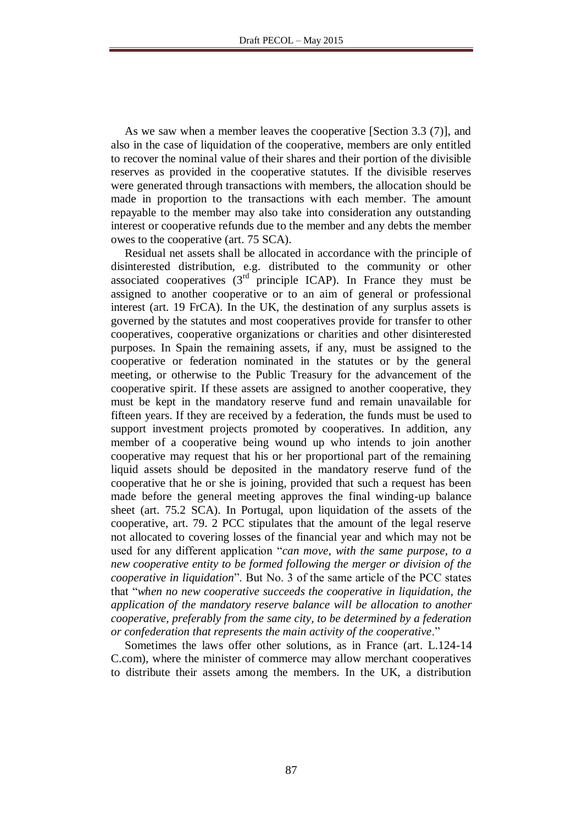As we saw when a member leaves the cooperative [Section 3.3 (7)], and also in the case of liquidation of the cooperative, members are only entitled to recover the nominal value of their shares and their portion of the divisible reserves as provided in the cooperative statutes. If the divisible reserves were generated through transactions with members, the allocation should be made in proportion to the transactions with each member. The amount repayable to the member may also take into consideration any outstanding interest or cooperative refunds due to the member and any debts the member owes to the cooperative (art. 75 SCA).

Residual net assets shall be allocated in accordance with the principle of disinterested distribution, e.g. distributed to the community or other associated cooperatives  $(3<sup>rd</sup>$  principle ICAP). In France they must be assigned to another cooperative or to an aim of general or professional interest (art. 19 FrCA). In the UK, the destination of any surplus assets is governed by the statutes and most cooperatives provide for transfer to other cooperatives, cooperative organizations or charities and other disinterested purposes. In Spain the remaining assets, if any, must be assigned to the cooperative or federation nominated in the statutes or by the general meeting, or otherwise to the Public Treasury for the advancement of the cooperative spirit. If these assets are assigned to another cooperative, they must be kept in the mandatory reserve fund and remain unavailable for fifteen years. If they are received by a federation, the funds must be used to support investment projects promoted by cooperatives. In addition, any member of a cooperative being wound up who intends to join another cooperative may request that his or her proportional part of the remaining liquid assets should be deposited in the mandatory reserve fund of the cooperative that he or she is joining, provided that such a request has been made before the general meeting approves the final winding-up balance sheet (art. 75.2 SCA). In Portugal, upon liquidation of the assets of the cooperative, art. 79. 2 PCC stipulates that the amount of the legal reserve not allocated to covering losses of the financial year and which may not be used for any different application "*can move, with the same purpose, to a new cooperative entity to be formed following the merger or division of the cooperative in liquidation*". But No. 3 of the same article of the PCC states that "*when no new cooperative succeeds the cooperative in liquidation, the application of the mandatory reserve balance will be allocation to another cooperative, preferably from the same city, to be determined by a federation or confederation that represents the main activity of the cooperative*."

Sometimes the laws offer other solutions, as in France (art. L.124-14 C.com), where the minister of commerce may allow merchant cooperatives to distribute their assets among the members. In the UK, a distribution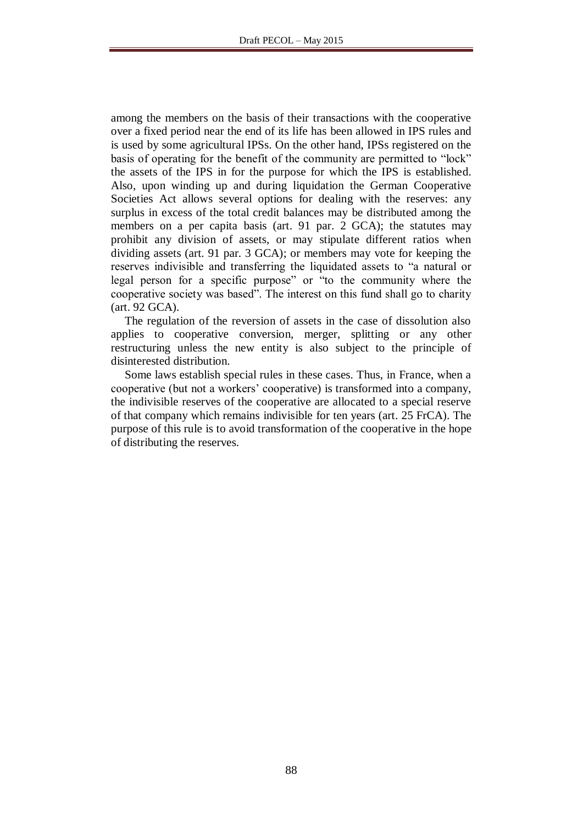among the members on the basis of their transactions with the cooperative over a fixed period near the end of its life has been allowed in IPS rules and is used by some agricultural IPSs. On the other hand, IPSs registered on the basis of operating for the benefit of the community are permitted to "lock" the assets of the IPS in for the purpose for which the IPS is established. Also, upon winding up and during liquidation the German Cooperative Societies Act allows several options for dealing with the reserves: any surplus in excess of the total credit balances may be distributed among the members on a per capita basis (art. 91 par. 2 GCA); the statutes may prohibit any division of assets, or may stipulate different ratios when dividing assets (art. 91 par. 3 GCA); or members may vote for keeping the reserves indivisible and transferring the liquidated assets to "a natural or legal person for a specific purpose" or "to the community where the cooperative society was based". The interest on this fund shall go to charity (art. 92 GCA).

The regulation of the reversion of assets in the case of dissolution also applies to cooperative conversion, merger, splitting or any other restructuring unless the new entity is also subject to the principle of disinterested distribution.

Some laws establish special rules in these cases. Thus, in France, when a cooperative (but not a workers' cooperative) is transformed into a company, the indivisible reserves of the cooperative are allocated to a special reserve of that company which remains indivisible for ten years (art. 25 FrCA). The purpose of this rule is to avoid transformation of the cooperative in the hope of distributing the reserves.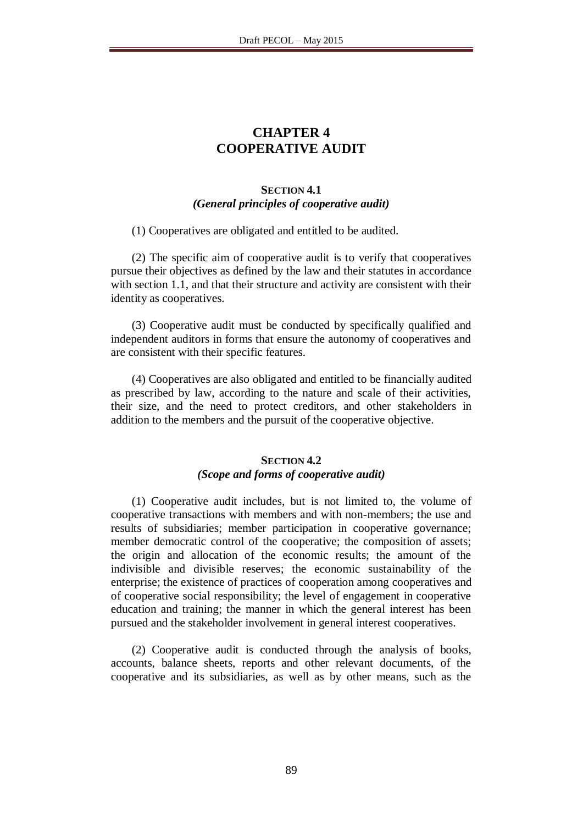# **CHAPTER 4 COOPERATIVE AUDIT**

# **SECTION 4.1** *(General principles of cooperative audit)*

(1) Cooperatives are obligated and entitled to be audited.

(2) The specific aim of cooperative audit is to verify that cooperatives pursue their objectives as defined by the law and their statutes in accordance with section 1.1, and that their structure and activity are consistent with their identity as cooperatives.

(3) Cooperative audit must be conducted by specifically qualified and independent auditors in forms that ensure the autonomy of cooperatives and are consistent with their specific features.

(4) Cooperatives are also obligated and entitled to be financially audited as prescribed by law, according to the nature and scale of their activities, their size, and the need to protect creditors, and other stakeholders in addition to the members and the pursuit of the cooperative objective.

# **SECTION 4.2** *(Scope and forms of cooperative audit)*

(1) Cooperative audit includes, but is not limited to, the volume of cooperative transactions with members and with non-members; the use and results of subsidiaries; member participation in cooperative governance; member democratic control of the cooperative; the composition of assets; the origin and allocation of the economic results; the amount of the indivisible and divisible reserves; the economic sustainability of the enterprise; the existence of practices of cooperation among cooperatives and of cooperative social responsibility; the level of engagement in cooperative education and training; the manner in which the general interest has been pursued and the stakeholder involvement in general interest cooperatives.

(2) Cooperative audit is conducted through the analysis of books, accounts, balance sheets, reports and other relevant documents, of the cooperative and its subsidiaries, as well as by other means, such as the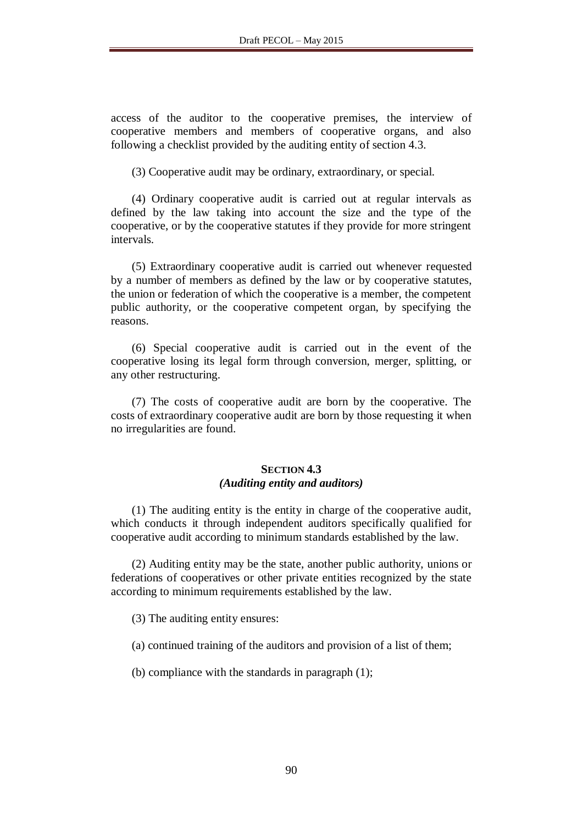access of the auditor to the cooperative premises, the interview of cooperative members and members of cooperative organs, and also following a checklist provided by the auditing entity of section 4.3.

(3) Cooperative audit may be ordinary, extraordinary, or special.

(4) Ordinary cooperative audit is carried out at regular intervals as defined by the law taking into account the size and the type of the cooperative, or by the cooperative statutes if they provide for more stringent intervals.

(5) Extraordinary cooperative audit is carried out whenever requested by a number of members as defined by the law or by cooperative statutes, the union or federation of which the cooperative is a member, the competent public authority, or the cooperative competent organ, by specifying the reasons.

(6) Special cooperative audit is carried out in the event of the cooperative losing its legal form through conversion, merger, splitting, or any other restructuring.

(7) The costs of cooperative audit are born by the cooperative. The costs of extraordinary cooperative audit are born by those requesting it when no irregularities are found.

### **SECTION 4.3** *(Auditing entity and auditors)*

(1) The auditing entity is the entity in charge of the cooperative audit, which conducts it through independent auditors specifically qualified for cooperative audit according to minimum standards established by the law.

(2) Auditing entity may be the state, another public authority, unions or federations of cooperatives or other private entities recognized by the state according to minimum requirements established by the law.

(3) The auditing entity ensures:

(a) continued training of the auditors and provision of a list of them;

(b) compliance with the standards in paragraph (1);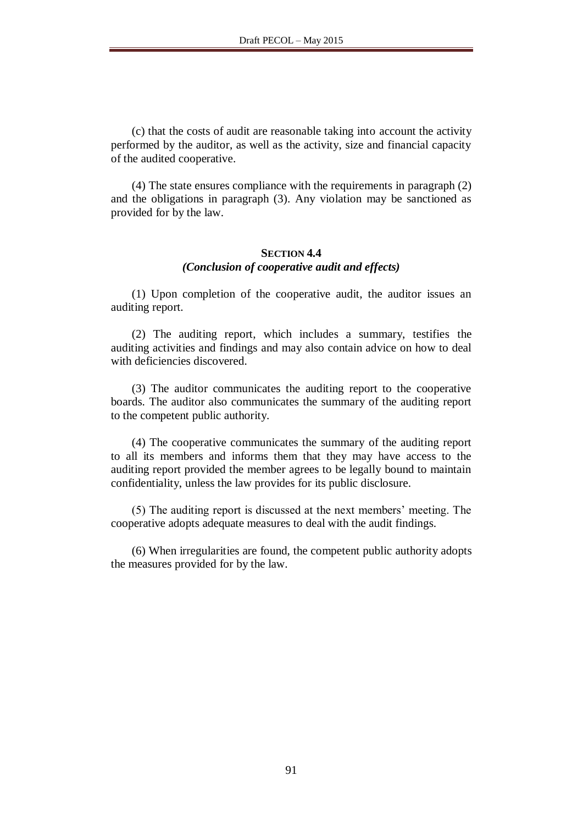(c) that the costs of audit are reasonable taking into account the activity performed by the auditor, as well as the activity, size and financial capacity of the audited cooperative.

(4) The state ensures compliance with the requirements in paragraph (2) and the obligations in paragraph (3). Any violation may be sanctioned as provided for by the law.

# **SECTION 4.4** *(Conclusion of cooperative audit and effects)*

(1) Upon completion of the cooperative audit, the auditor issues an auditing report.

(2) The auditing report, which includes a summary, testifies the auditing activities and findings and may also contain advice on how to deal with deficiencies discovered.

(3) The auditor communicates the auditing report to the cooperative boards. The auditor also communicates the summary of the auditing report to the competent public authority.

(4) The cooperative communicates the summary of the auditing report to all its members and informs them that they may have access to the auditing report provided the member agrees to be legally bound to maintain confidentiality, unless the law provides for its public disclosure.

(5) The auditing report is discussed at the next members' meeting. The cooperative adopts adequate measures to deal with the audit findings.

(6) When irregularities are found, the competent public authority adopts the measures provided for by the law.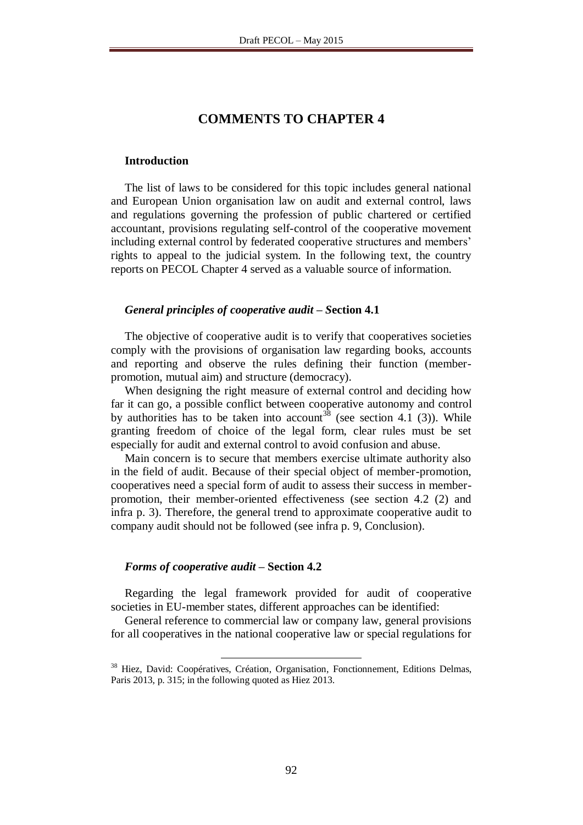# **COMMENTS TO CHAPTER 4**

#### **Introduction**

The list of laws to be considered for this topic includes general national and European Union organisation law on audit and external control, laws and regulations governing the profession of public chartered or certified accountant, provisions regulating self-control of the cooperative movement including external control by federated cooperative structures and members' rights to appeal to the judicial system. In the following text, the country reports on PECOL Chapter 4 served as a valuable source of information.

#### *General principles of cooperative audit – S***ection 4.1**

The objective of cooperative audit is to verify that cooperatives societies comply with the provisions of organisation law regarding books, accounts and reporting and observe the rules defining their function (memberpromotion, mutual aim) and structure (democracy).

When designing the right measure of external control and deciding how far it can go, a possible conflict between cooperative autonomy and control by authorities has to be taken into account<sup>38</sup> (see section 4.1 (3)). While granting freedom of choice of the legal form, clear rules must be set especially for audit and external control to avoid confusion and abuse.

Main concern is to secure that members exercise ultimate authority also in the field of audit. Because of their special object of member-promotion, cooperatives need a special form of audit to assess their success in memberpromotion, their member-oriented effectiveness (see section 4.2 (2) and infra p. 3). Therefore, the general trend to approximate cooperative audit to company audit should not be followed (see infra p. 9, Conclusion).

#### *Forms of cooperative audit –* **Section 4.2**

<u>.</u>

Regarding the legal framework provided for audit of cooperative societies in EU-member states, different approaches can be identified:

General reference to commercial law or company law, general provisions for all cooperatives in the national cooperative law or special regulations for

<sup>&</sup>lt;sup>38</sup> Hiez, David: Coopératives, Création, Organisation, Fonctionnement, Editions Delmas, Paris 2013, p. 315; in the following quoted as Hiez 2013.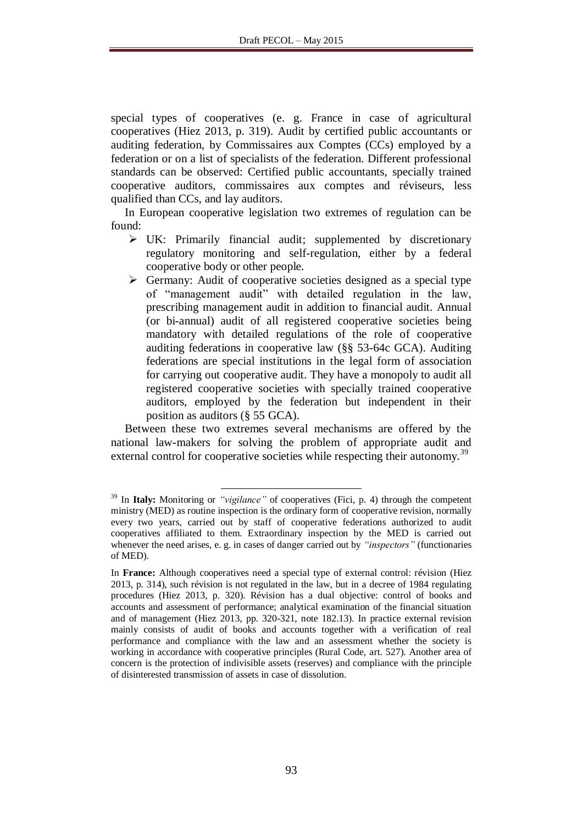special types of cooperatives (e. g. France in case of agricultural cooperatives (Hiez 2013, p. 319). Audit by certified public accountants or auditing federation, by Commissaires aux Comptes (CCs) employed by a federation or on a list of specialists of the federation. Different professional standards can be observed: Certified public accountants, specially trained cooperative auditors, commissaires aux comptes and réviseurs, less qualified than CCs, and lay auditors.

In European cooperative legislation two extremes of regulation can be found:

- $\triangleright$  UK: Primarily financial audit; supplemented by discretionary regulatory monitoring and self-regulation, either by a federal cooperative body or other people.
- $\triangleright$  Germany: Audit of cooperative societies designed as a special type of "management audit" with detailed regulation in the law, prescribing management audit in addition to financial audit. Annual (or bi-annual) audit of all registered cooperative societies being mandatory with detailed regulations of the role of cooperative auditing federations in cooperative law (§§ 53-64c GCA). Auditing federations are special institutions in the legal form of association for carrying out cooperative audit. They have a monopoly to audit all registered cooperative societies with specially trained cooperative auditors, employed by the federation but independent in their position as auditors (§ 55 GCA).

Between these two extremes several mechanisms are offered by the national law-makers for solving the problem of appropriate audit and external control for cooperative societies while respecting their autonomy.<sup>39</sup>

1

<sup>39</sup> In **Italy:** Monitoring or *"vigilance"* of cooperatives (Fici, p. 4) through the competent ministry (MED) as routine inspection is the ordinary form of cooperative revision, normally every two years, carried out by staff of cooperative federations authorized to audit cooperatives affiliated to them. Extraordinary inspection by the MED is carried out whenever the need arises, e. g. in cases of danger carried out by *"inspectors"* (functionaries of MED).

In **France:** Although cooperatives need a special type of external control: révision (Hiez 2013, p. 314), such révision is not regulated in the law, but in a decree of 1984 regulating procedures (Hiez 2013, p. 320). Révision has a dual objective: control of books and accounts and assessment of performance; analytical examination of the financial situation and of management (Hiez 2013, pp. 320-321, note 182.13). In practice external revision mainly consists of audit of books and accounts together with a verification of real performance and compliance with the law and an assessment whether the society is working in accordance with cooperative principles (Rural Code, art. 527). Another area of concern is the protection of indivisible assets (reserves) and compliance with the principle of disinterested transmission of assets in case of dissolution.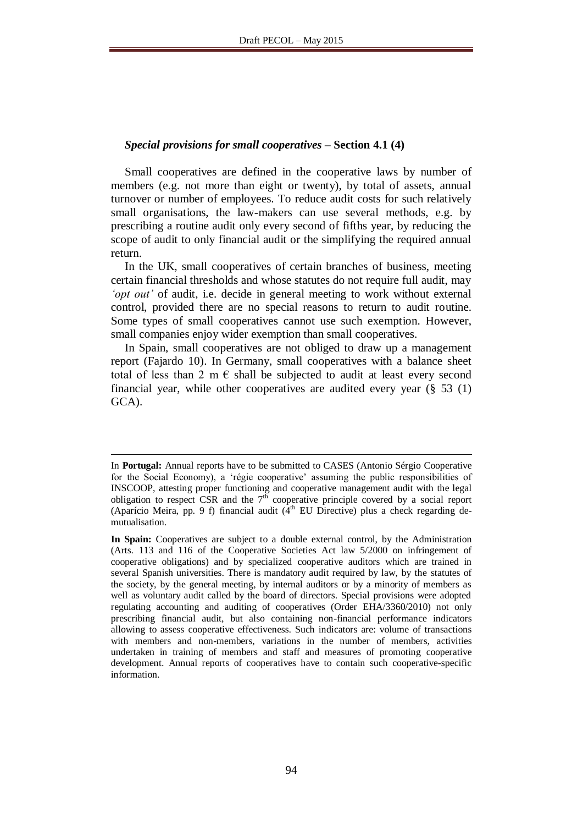### *Special provisions for small cooperatives –* **Section 4.1 (4)**

Small cooperatives are defined in the cooperative laws by number of members (e.g. not more than eight or twenty), by total of assets, annual turnover or number of employees. To reduce audit costs for such relatively small organisations, the law-makers can use several methods, e.g. by prescribing a routine audit only every second of fifths year, by reducing the scope of audit to only financial audit or the simplifying the required annual return.

In the UK, small cooperatives of certain branches of business, meeting certain financial thresholds and whose statutes do not require full audit, may *'opt out'* of audit, i.e. decide in general meeting to work without external control, provided there are no special reasons to return to audit routine. Some types of small cooperatives cannot use such exemption. However, small companies enjoy wider exemption than small cooperatives.

In Spain, small cooperatives are not obliged to draw up a management report (Fajardo 10). In Germany, small cooperatives with a balance sheet total of less than 2 m  $\epsilon$  shall be subjected to audit at least every second financial year, while other cooperatives are audited every year  $(\S 53 (1))$ GCA).

<u>.</u>

In **Portugal:** Annual reports have to be submitted to CASES (Antonio Sérgio Cooperative for the Social Economy), a 'régie cooperative' assuming the public responsibilities of INSCOOP, attesting proper functioning and cooperative management audit with the legal obligation to respect CSR and the  $7<sup>th</sup>$  cooperative principle covered by a social report (Aparício Meira, pp. 9 f) financial audit ( $4<sup>th</sup>$  EU Directive) plus a check regarding demutualisation.

**In Spain:** Cooperatives are subject to a double external control, by the Administration (Arts. 113 and 116 of the Cooperative Societies Act law 5/2000 on infringement of cooperative obligations) and by specialized cooperative auditors which are trained in several Spanish universities. There is mandatory audit required by law, by the statutes of the society, by the general meeting, by internal auditors or by a minority of members as well as voluntary audit called by the board of directors. Special provisions were adopted regulating accounting and auditing of cooperatives (Order EHA/3360/2010) not only prescribing financial audit, but also containing non-financial performance indicators allowing to assess cooperative effectiveness. Such indicators are: volume of transactions with members and non-members, variations in the number of members, activities undertaken in training of members and staff and measures of promoting cooperative development. Annual reports of cooperatives have to contain such cooperative-specific information.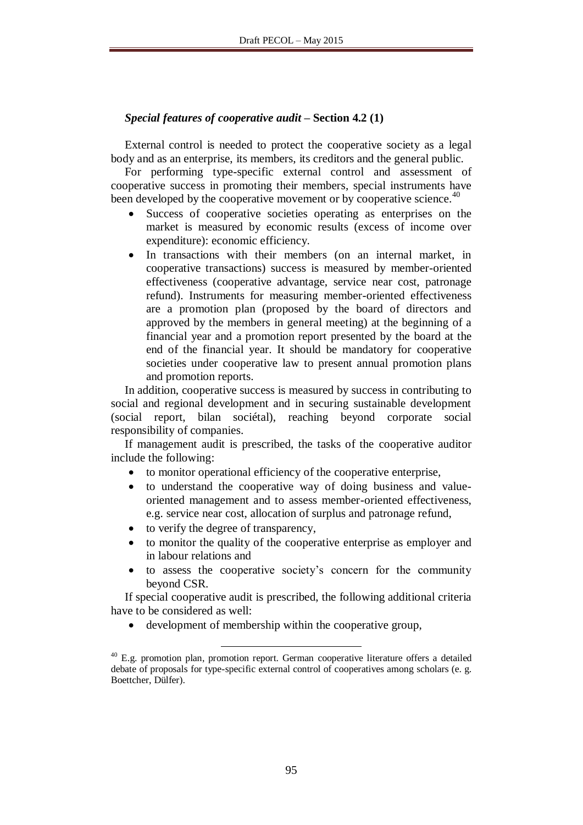# *Special features of cooperative audit –* **Section 4.2 (1)**

External control is needed to protect the cooperative society as a legal body and as an enterprise, its members, its creditors and the general public.

For performing type-specific external control and assessment of cooperative success in promoting their members, special instruments have been developed by the cooperative movement or by cooperative science.<sup>40</sup>

- Success of cooperative societies operating as enterprises on the market is measured by economic results (excess of income over expenditure): economic efficiency.
- In transactions with their members (on an internal market, in cooperative transactions) success is measured by member-oriented effectiveness (cooperative advantage, service near cost, patronage refund). Instruments for measuring member-oriented effectiveness are a promotion plan (proposed by the board of directors and approved by the members in general meeting) at the beginning of a financial year and a promotion report presented by the board at the end of the financial year. It should be mandatory for cooperative societies under cooperative law to present annual promotion plans and promotion reports.

In addition, cooperative success is measured by success in contributing to social and regional development and in securing sustainable development (social report, bilan sociétal), reaching beyond corporate social responsibility of companies.

If management audit is prescribed, the tasks of the cooperative auditor include the following:

- to monitor operational efficiency of the cooperative enterprise,
- to understand the cooperative way of doing business and valueoriented management and to assess member-oriented effectiveness, e.g. service near cost, allocation of surplus and patronage refund,
- to verify the degree of transparency,

1

- to monitor the quality of the cooperative enterprise as employer and in labour relations and
- to assess the cooperative society's concern for the community beyond CSR.

If special cooperative audit is prescribed, the following additional criteria have to be considered as well:

development of membership within the cooperative group,

 $40$  E.g. promotion plan, promotion report. German cooperative literature offers a detailed debate of proposals for type-specific external control of cooperatives among scholars (e. g. Boettcher, Dülfer).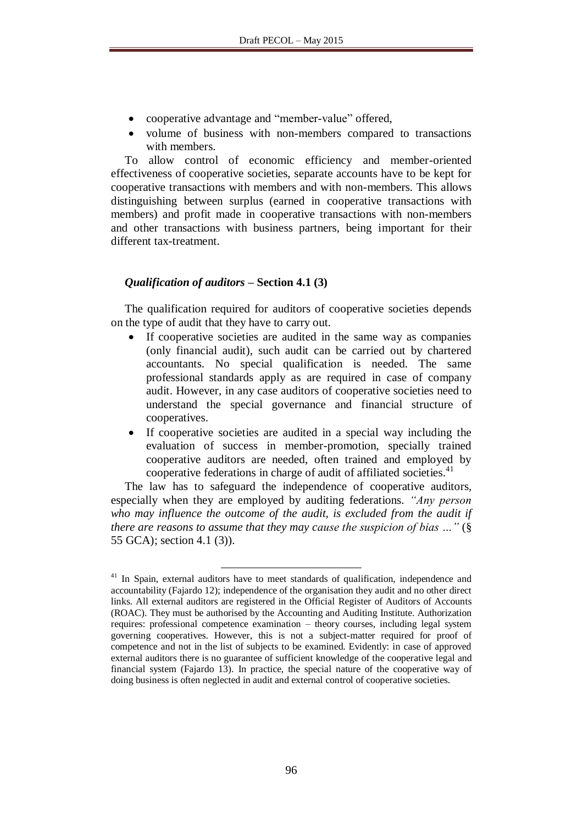- cooperative advantage and "member-value" offered,
- volume of business with non-members compared to transactions with members.

To allow control of economic efficiency and member-oriented effectiveness of cooperative societies, separate accounts have to be kept for cooperative transactions with members and with non-members. This allows distinguishing between surplus (earned in cooperative transactions with members) and profit made in cooperative transactions with non-members and other transactions with business partners, being important for their different tax-treatment.

## *Qualification of auditors –* **Section 4.1 (3)**

<u>.</u>

The qualification required for auditors of cooperative societies depends on the type of audit that they have to carry out.

- If cooperative societies are audited in the same way as companies (only financial audit), such audit can be carried out by chartered accountants. No special qualification is needed. The same professional standards apply as are required in case of company audit. However, in any case auditors of cooperative societies need to understand the special governance and financial structure of cooperatives.
- If cooperative societies are audited in a special way including the evaluation of success in member-promotion, specially trained cooperative auditors are needed, often trained and employed by cooperative federations in charge of audit of affiliated societies.<sup>41</sup>

The law has to safeguard the independence of cooperative auditors, especially when they are employed by auditing federations. *"Any person*  who may influence the outcome of the audit, is excluded from the audit if *there are reasons to assume that they may cause the suspicion of bias …"* (§ 55 GCA); section 4.1 (3)).

<sup>&</sup>lt;sup>41</sup> In Spain, external auditors have to meet standards of qualification, independence and accountability (Fajardo 12); independence of the organisation they audit and no other direct links. All external auditors are registered in the Official Register of Auditors of Accounts (ROAC). They must be authorised by the Accounting and Auditing Institute. Authorization requires: professional competence examination – theory courses, including legal system governing cooperatives. However, this is not a subject-matter required for proof of competence and not in the list of subjects to be examined. Evidently: in case of approved external auditors there is no guarantee of sufficient knowledge of the cooperative legal and financial system (Fajardo 13). In practice, the special nature of the cooperative way of doing business is often neglected in audit and external control of cooperative societies.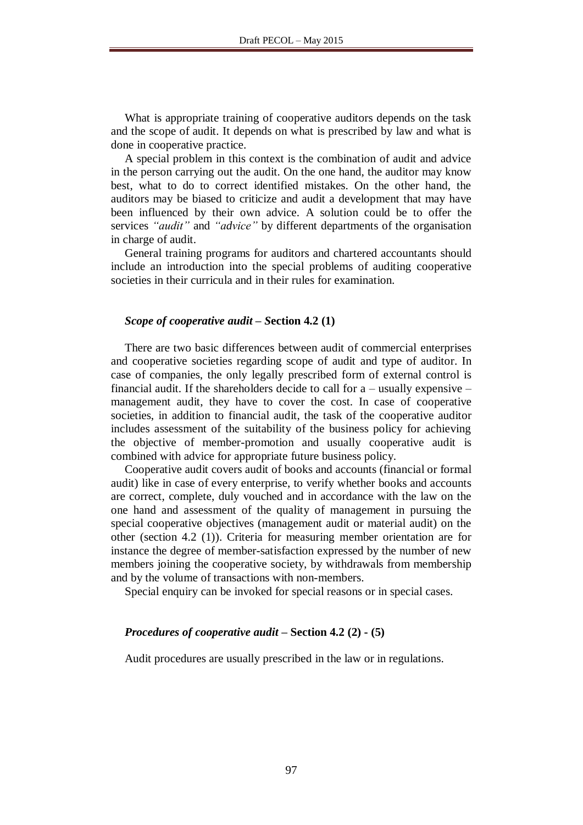What is appropriate training of cooperative auditors depends on the task and the scope of audit. It depends on what is prescribed by law and what is done in cooperative practice.

A special problem in this context is the combination of audit and advice in the person carrying out the audit. On the one hand, the auditor may know best, what to do to correct identified mistakes. On the other hand, the auditors may be biased to criticize and audit a development that may have been influenced by their own advice. A solution could be to offer the services *"audit"* and *"advice"* by different departments of the organisation in charge of audit.

General training programs for auditors and chartered accountants should include an introduction into the special problems of auditing cooperative societies in their curricula and in their rules for examination.

#### *Scope of cooperative audit – S***ection 4.2 (1)**

There are two basic differences between audit of commercial enterprises and cooperative societies regarding scope of audit and type of auditor. In case of companies, the only legally prescribed form of external control is financial audit. If the shareholders decide to call for  $a$  – usually expensive – management audit, they have to cover the cost. In case of cooperative societies, in addition to financial audit, the task of the cooperative auditor includes assessment of the suitability of the business policy for achieving the objective of member-promotion and usually cooperative audit is combined with advice for appropriate future business policy.

Cooperative audit covers audit of books and accounts (financial or formal audit) like in case of every enterprise, to verify whether books and accounts are correct, complete, duly vouched and in accordance with the law on the one hand and assessment of the quality of management in pursuing the special cooperative objectives (management audit or material audit) on the other (section 4.2 (1)). Criteria for measuring member orientation are for instance the degree of member-satisfaction expressed by the number of new members joining the cooperative society, by withdrawals from membership and by the volume of transactions with non-members.

Special enquiry can be invoked for special reasons or in special cases.

### *Procedures of cooperative audit –* **Section 4.2 (2) - (5)**

Audit procedures are usually prescribed in the law or in regulations.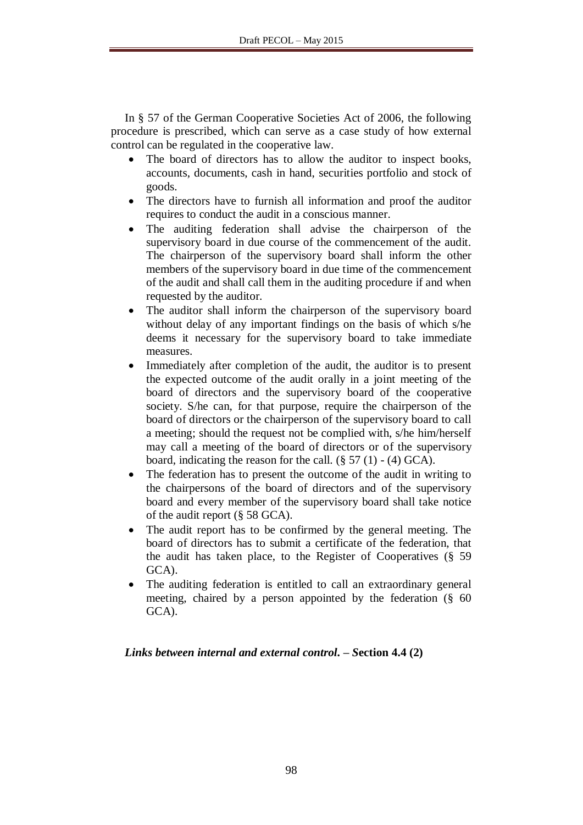In § 57 of the German Cooperative Societies Act of 2006, the following procedure is prescribed, which can serve as a case study of how external control can be regulated in the cooperative law.

- The board of directors has to allow the auditor to inspect books, accounts, documents, cash in hand, securities portfolio and stock of goods.
- The directors have to furnish all information and proof the auditor requires to conduct the audit in a conscious manner.
- The auditing federation shall advise the chairperson of the supervisory board in due course of the commencement of the audit. The chairperson of the supervisory board shall inform the other members of the supervisory board in due time of the commencement of the audit and shall call them in the auditing procedure if and when requested by the auditor.
- The auditor shall inform the chairperson of the supervisory board without delay of any important findings on the basis of which s/he deems it necessary for the supervisory board to take immediate measures.
- Immediately after completion of the audit, the auditor is to present the expected outcome of the audit orally in a joint meeting of the board of directors and the supervisory board of the cooperative society. S/he can, for that purpose, require the chairperson of the board of directors or the chairperson of the supervisory board to call a meeting; should the request not be complied with, s/he him/herself may call a meeting of the board of directors or of the supervisory board, indicating the reason for the call.  $(\S 57 (1) - (4) GCA)$ .
- The federation has to present the outcome of the audit in writing to the chairpersons of the board of directors and of the supervisory board and every member of the supervisory board shall take notice of the audit report (§ 58 GCA).
- The audit report has to be confirmed by the general meeting. The board of directors has to submit a certificate of the federation, that the audit has taken place, to the Register of Cooperatives (§ 59 GCA).
- The auditing federation is entitled to call an extraordinary general meeting, chaired by a person appointed by the federation (§ 60 GCA).

# *Links between internal and external control. – S***ection 4.4 (2)**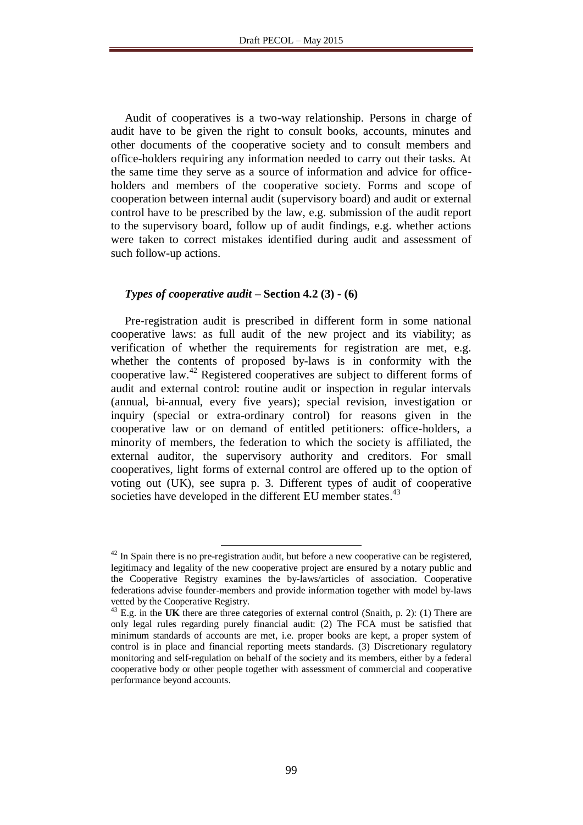Audit of cooperatives is a two-way relationship. Persons in charge of audit have to be given the right to consult books, accounts, minutes and other documents of the cooperative society and to consult members and office-holders requiring any information needed to carry out their tasks. At the same time they serve as a source of information and advice for officeholders and members of the cooperative society. Forms and scope of cooperation between internal audit (supervisory board) and audit or external control have to be prescribed by the law, e.g. submission of the audit report to the supervisory board, follow up of audit findings, e.g. whether actions were taken to correct mistakes identified during audit and assessment of such follow-up actions.

### *Types of cooperative audit –* **Section 4.2 (3) - (6)**

<u>.</u>

Pre-registration audit is prescribed in different form in some national cooperative laws: as full audit of the new project and its viability; as verification of whether the requirements for registration are met, e.g. whether the contents of proposed by-laws is in conformity with the cooperative law.<sup>42</sup> Registered cooperatives are subject to different forms of audit and external control: routine audit or inspection in regular intervals (annual, bi-annual, every five years); special revision, investigation or inquiry (special or extra-ordinary control) for reasons given in the cooperative law or on demand of entitled petitioners: office-holders, a minority of members, the federation to which the society is affiliated, the external auditor, the supervisory authority and creditors. For small cooperatives, light forms of external control are offered up to the option of voting out (UK), see supra p. 3. Different types of audit of cooperative societies have developed in the different EU member states.<sup>43</sup>

 $42$  In Spain there is no pre-registration audit, but before a new cooperative can be registered, legitimacy and legality of the new cooperative project are ensured by a notary public and the Cooperative Registry examines the by-laws/articles of association. Cooperative federations advise founder-members and provide information together with model by-laws vetted by the Cooperative Registry.

<sup>43</sup> E.g. in the **UK** there are three categories of external control (Snaith, p. 2): (1) There are only legal rules regarding purely financial audit: (2) The FCA must be satisfied that minimum standards of accounts are met, i.e. proper books are kept, a proper system of control is in place and financial reporting meets standards. (3) Discretionary regulatory monitoring and self-regulation on behalf of the society and its members, either by a federal cooperative body or other people together with assessment of commercial and cooperative performance beyond accounts.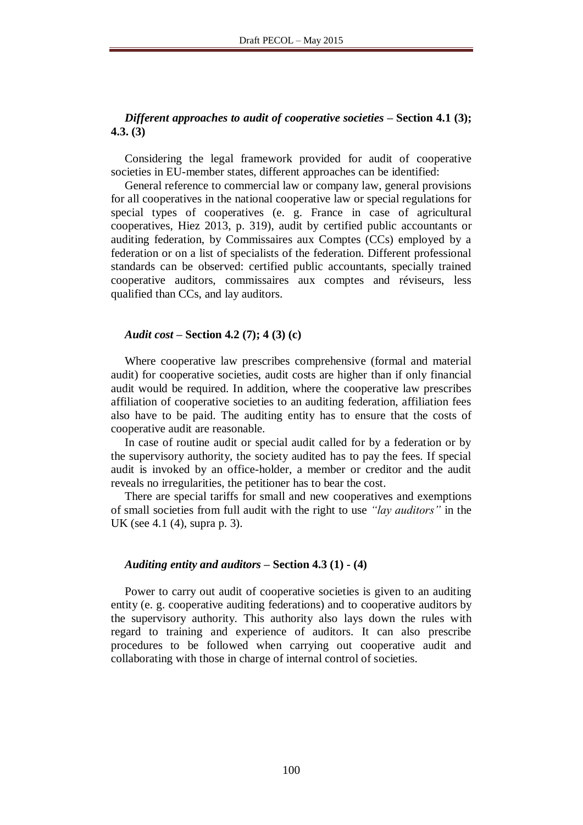### *Different approaches to audit of cooperative societies –* **Section 4.1 (3); 4.3. (3)**

Considering the legal framework provided for audit of cooperative societies in EU-member states, different approaches can be identified:

General reference to commercial law or company law, general provisions for all cooperatives in the national cooperative law or special regulations for special types of cooperatives (e. g. France in case of agricultural cooperatives, Hiez 2013, p. 319), audit by certified public accountants or auditing federation, by Commissaires aux Comptes (CCs) employed by a federation or on a list of specialists of the federation. Different professional standards can be observed: certified public accountants, specially trained cooperative auditors, commissaires aux comptes and réviseurs, less qualified than CCs, and lay auditors.

#### *Audit cost –* **Section 4.2 (7); 4 (3) (c)**

Where cooperative law prescribes comprehensive (formal and material audit) for cooperative societies, audit costs are higher than if only financial audit would be required. In addition, where the cooperative law prescribes affiliation of cooperative societies to an auditing federation, affiliation fees also have to be paid. The auditing entity has to ensure that the costs of cooperative audit are reasonable.

In case of routine audit or special audit called for by a federation or by the supervisory authority, the society audited has to pay the fees. If special audit is invoked by an office-holder, a member or creditor and the audit reveals no irregularities, the petitioner has to bear the cost.

There are special tariffs for small and new cooperatives and exemptions of small societies from full audit with the right to use *"lay auditors"* in the UK (see 4.1 (4), supra p. 3).

#### *Auditing entity and auditors –* **Section 4.3 (1) - (4)**

Power to carry out audit of cooperative societies is given to an auditing entity (e. g. cooperative auditing federations) and to cooperative auditors by the supervisory authority. This authority also lays down the rules with regard to training and experience of auditors. It can also prescribe procedures to be followed when carrying out cooperative audit and collaborating with those in charge of internal control of societies.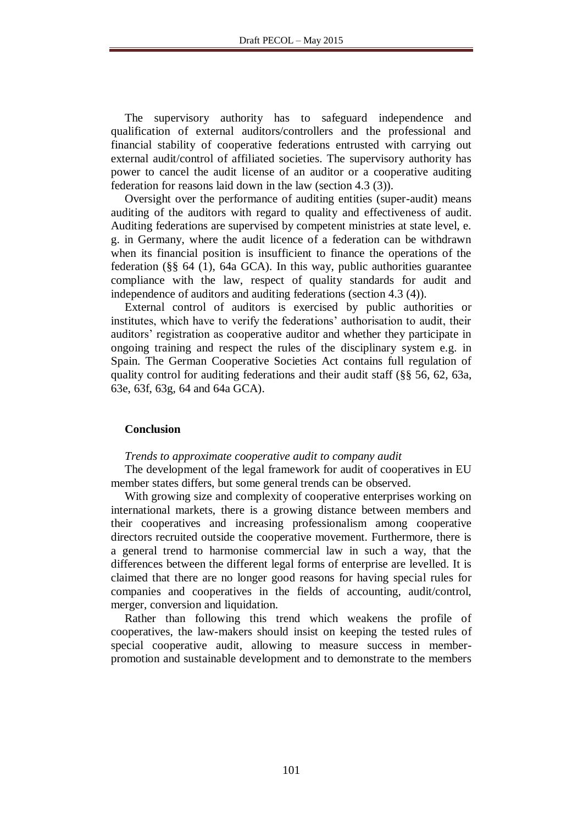The supervisory authority has to safeguard independence and qualification of external auditors/controllers and the professional and financial stability of cooperative federations entrusted with carrying out external audit/control of affiliated societies. The supervisory authority has power to cancel the audit license of an auditor or a cooperative auditing federation for reasons laid down in the law (section 4.3 (3)).

Oversight over the performance of auditing entities (super-audit) means auditing of the auditors with regard to quality and effectiveness of audit. Auditing federations are supervised by competent ministries at state level, e. g. in Germany, where the audit licence of a federation can be withdrawn when its financial position is insufficient to finance the operations of the federation (§§ 64 (1), 64a GCA). In this way, public authorities guarantee compliance with the law, respect of quality standards for audit and independence of auditors and auditing federations (section 4.3 (4)).

External control of auditors is exercised by public authorities or institutes, which have to verify the federations' authorisation to audit, their auditors' registration as cooperative auditor and whether they participate in ongoing training and respect the rules of the disciplinary system e.g. in Spain. The German Cooperative Societies Act contains full regulation of quality control for auditing federations and their audit staff (§§ 56, 62, 63a, 63e, 63f, 63g, 64 and 64a GCA).

### **Conclusion**

#### *Trends to approximate cooperative audit to company audit*

The development of the legal framework for audit of cooperatives in EU member states differs, but some general trends can be observed.

With growing size and complexity of cooperative enterprises working on international markets, there is a growing distance between members and their cooperatives and increasing professionalism among cooperative directors recruited outside the cooperative movement. Furthermore, there is a general trend to harmonise commercial law in such a way, that the differences between the different legal forms of enterprise are levelled. It is claimed that there are no longer good reasons for having special rules for companies and cooperatives in the fields of accounting, audit/control, merger, conversion and liquidation.

Rather than following this trend which weakens the profile of cooperatives, the law-makers should insist on keeping the tested rules of special cooperative audit, allowing to measure success in memberpromotion and sustainable development and to demonstrate to the members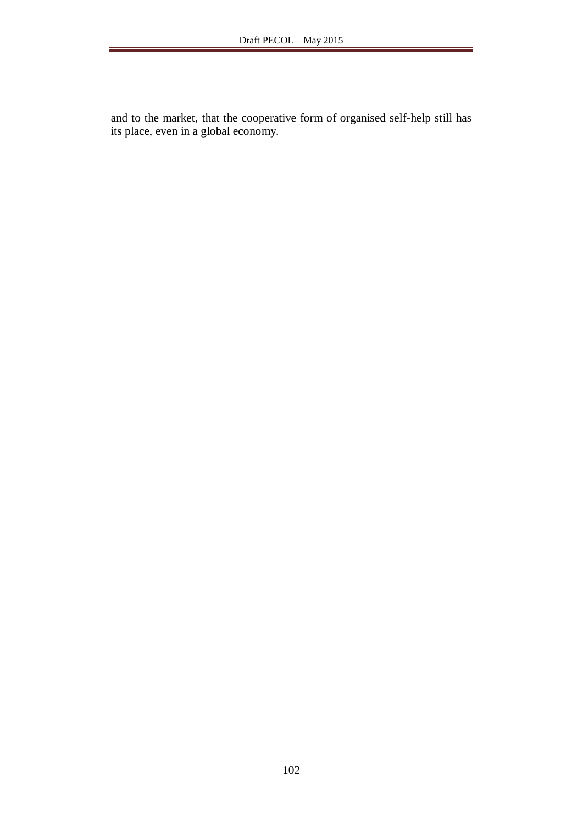and to the market, that the cooperative form of organised self-help still has its place, even in a global economy.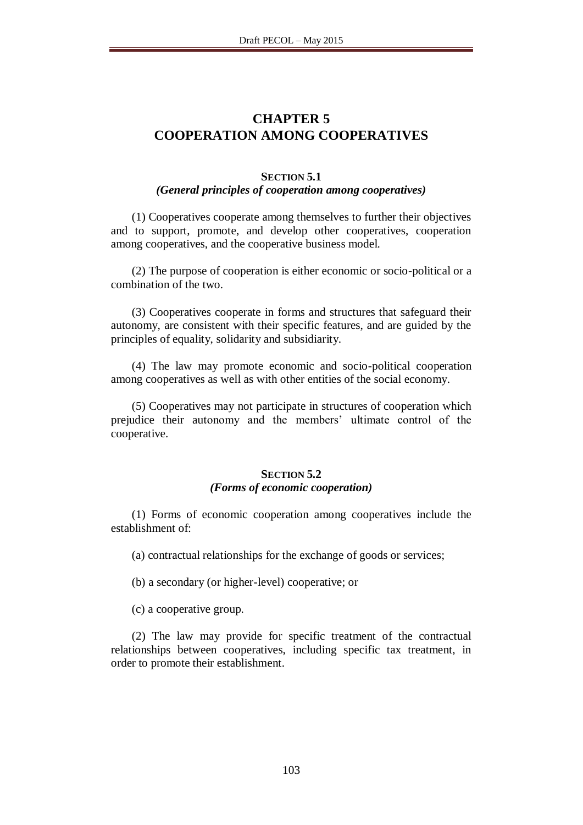# **CHAPTER 5 COOPERATION AMONG COOPERATIVES**

### **SECTION 5.1**

### *(General principles of cooperation among cooperatives)*

(1) Cooperatives cooperate among themselves to further their objectives and to support, promote, and develop other cooperatives, cooperation among cooperatives, and the cooperative business model.

(2) The purpose of cooperation is either economic or socio-political or a combination of the two.

(3) Cooperatives cooperate in forms and structures that safeguard their autonomy, are consistent with their specific features, and are guided by the principles of equality, solidarity and subsidiarity.

(4) The law may promote economic and socio-political cooperation among cooperatives as well as with other entities of the social economy.

(5) Cooperatives may not participate in structures of cooperation which prejudice their autonomy and the members' ultimate control of the cooperative.

## **SECTION 5.2** *(Forms of economic cooperation)*

(1) Forms of economic cooperation among cooperatives include the establishment of:

(a) contractual relationships for the exchange of goods or services;

(b) a secondary (or higher-level) cooperative; or

(c) a cooperative group.

(2) The law may provide for specific treatment of the contractual relationships between cooperatives, including specific tax treatment, in order to promote their establishment.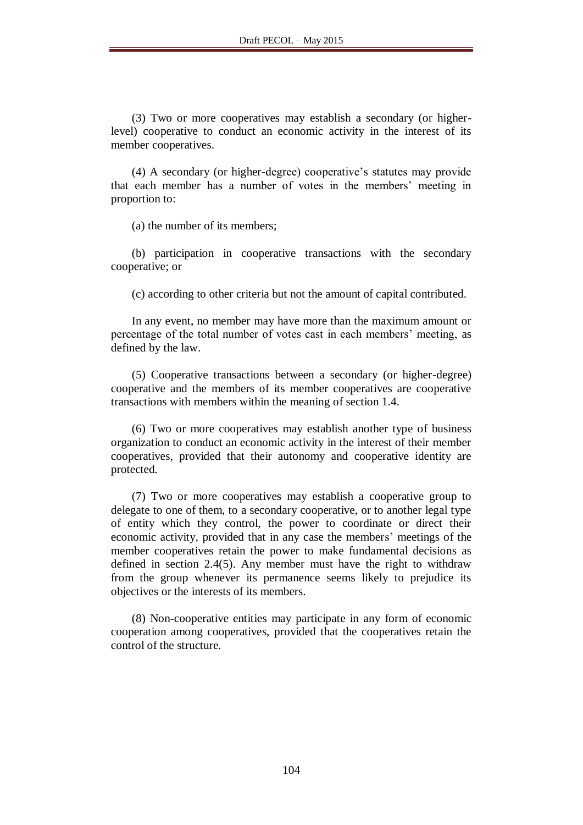(3) Two or more cooperatives may establish a secondary (or higherlevel) cooperative to conduct an economic activity in the interest of its member cooperatives.

(4) A secondary (or higher-degree) cooperative's statutes may provide that each member has a number of votes in the members' meeting in proportion to:

(a) the number of its members;

(b) participation in cooperative transactions with the secondary cooperative; or

(c) according to other criteria but not the amount of capital contributed.

In any event, no member may have more than the maximum amount or percentage of the total number of votes cast in each members' meeting, as defined by the law.

(5) Cooperative transactions between a secondary (or higher-degree) cooperative and the members of its member cooperatives are cooperative transactions with members within the meaning of section 1.4.

(6) Two or more cooperatives may establish another type of business organization to conduct an economic activity in the interest of their member cooperatives, provided that their autonomy and cooperative identity are protected.

(7) Two or more cooperatives may establish a cooperative group to delegate to one of them, to a secondary cooperative, or to another legal type of entity which they control, the power to coordinate or direct their economic activity, provided that in any case the members' meetings of the member cooperatives retain the power to make fundamental decisions as defined in section 2.4(5). Any member must have the right to withdraw from the group whenever its permanence seems likely to prejudice its objectives or the interests of its members.

(8) Non-cooperative entities may participate in any form of economic cooperation among cooperatives, provided that the cooperatives retain the control of the structure.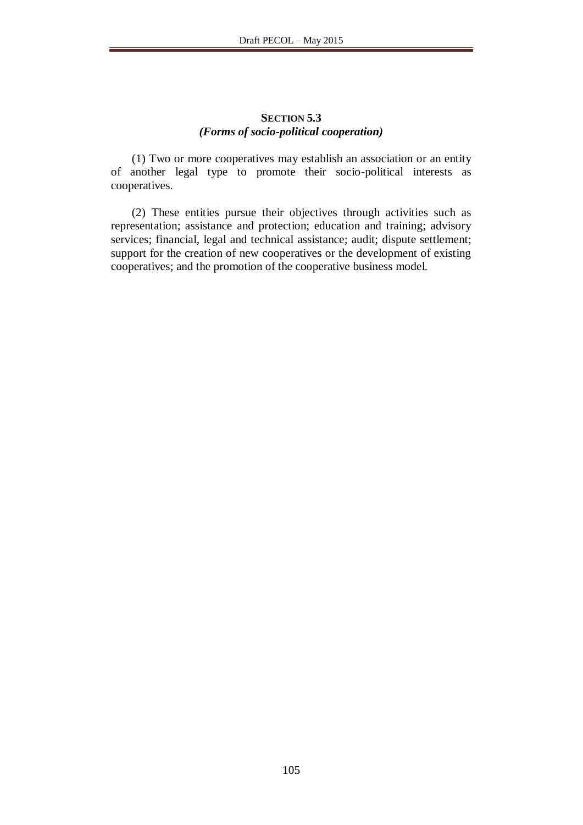# **SECTION 5.3** *(Forms of socio-political cooperation)*

(1) Two or more cooperatives may establish an association or an entity of another legal type to promote their socio-political interests as cooperatives.

(2) These entities pursue their objectives through activities such as representation; assistance and protection; education and training; advisory services; financial, legal and technical assistance; audit; dispute settlement; support for the creation of new cooperatives or the development of existing cooperatives; and the promotion of the cooperative business model.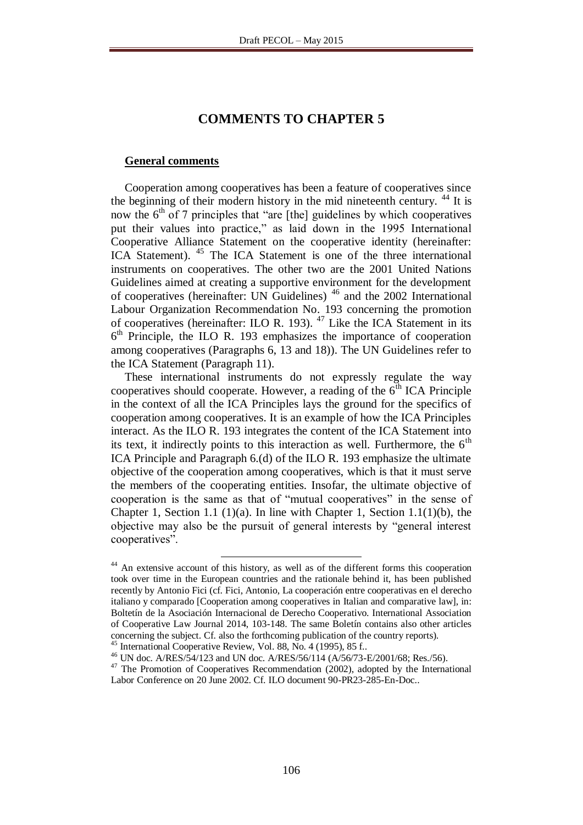# **COMMENTS TO CHAPTER 5**

### **General comments**

Cooperation among cooperatives has been a feature of cooperatives since the beginning of their modern history in the mid nineteenth century.  $44$  It is now the  $6<sup>th</sup>$  of 7 principles that "are [the] guidelines by which cooperatives put their values into practice," as laid down in the 1995 International Cooperative Alliance Statement on the cooperative identity (hereinafter: ICA Statement). <sup>45</sup> The ICA Statement is one of the three international instruments on cooperatives. The other two are the 2001 United Nations Guidelines aimed at creating a supportive environment for the development of cooperatives (hereinafter: UN Guidelines) <sup>46</sup> and the 2002 International Labour Organization Recommendation No. 193 concerning the promotion of cooperatives (hereinafter: ILO R. 193).  $47$  Like the ICA Statement in its 6<sup>th</sup> Principle, the ILO R. 193 emphasizes the importance of cooperation among cooperatives (Paragraphs 6, 13 and 18)). The UN Guidelines refer to the ICA Statement (Paragraph 11).

These international instruments do not expressly regulate the way cooperatives should cooperate. However, a reading of the  $6<sup>th</sup> ICA$  Principle in the context of all the ICA Principles lays the ground for the specifics of cooperation among cooperatives. It is an example of how the ICA Principles interact. As the ILO R. 193 integrates the content of the ICA Statement into its text, it indirectly points to this interaction as well. Furthermore, the  $6<sup>th</sup>$ ICA Principle and Paragraph 6.(d) of the ILO R. 193 emphasize the ultimate objective of the cooperation among cooperatives, which is that it must serve the members of the cooperating entities. Insofar, the ultimate objective of cooperation is the same as that of "mutual cooperatives" in the sense of Chapter 1, Section 1.1 (1)(a). In line with Chapter 1, Section 1.1(1)(b), the objective may also be the pursuit of general interests by "general interest cooperatives".

<u>.</u>

<sup>&</sup>lt;sup>44</sup> An extensive account of this history, as well as of the different forms this cooperation took over time in the European countries and the rationale behind it, has been published recently by Antonio Fici (cf. Fici, Antonio, La cooperación entre cooperativas en el derecho italiano y comparado [Cooperation among cooperatives in Italian and comparative law], in: Boltetín de la Asociación Internacional de Derecho Cooperativo. International Association of Cooperative Law Journal 2014, 103-148. The same Boletín contains also other articles concerning the subject. Cf. also the forthcoming publication of the country reports). <sup>45</sup> International Cooperative Review, Vol. 88, No. 4 (1995), 85 f..

<sup>46</sup> UN doc. A/RES/54/123 and UN doc. A/RES/56/114 (A/56/73-E/2001/68; Res./56).

<sup>&</sup>lt;sup>47</sup> The Promotion of Cooperatives Recommendation (2002), adopted by the International Labor Conference on 20 June 2002. Cf. ILO document 90-PR23-285-En-Doc..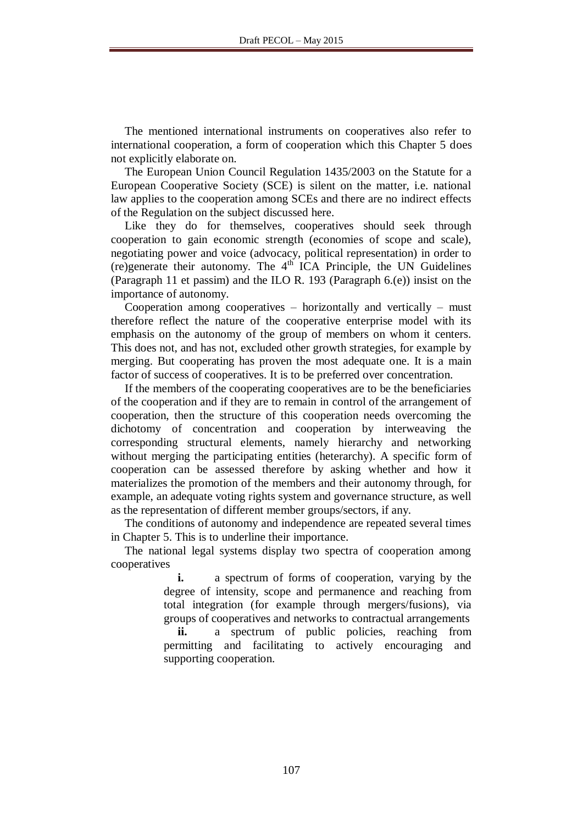The mentioned international instruments on cooperatives also refer to international cooperation, a form of cooperation which this Chapter 5 does not explicitly elaborate on.

The European Union Council Regulation 1435/2003 on the Statute for a European Cooperative Society (SCE) is silent on the matter, i.e. national law applies to the cooperation among SCEs and there are no indirect effects of the Regulation on the subject discussed here.

Like they do for themselves, cooperatives should seek through cooperation to gain economic strength (economies of scope and scale), negotiating power and voice (advocacy, political representation) in order to (re)generate their autonomy. The  $4<sup>th</sup>$  ICA Principle, the UN Guidelines (Paragraph 11 et passim) and the ILO R. 193 (Paragraph 6.(e)) insist on the importance of autonomy.

Cooperation among cooperatives – horizontally and vertically – must therefore reflect the nature of the cooperative enterprise model with its emphasis on the autonomy of the group of members on whom it centers. This does not, and has not, excluded other growth strategies, for example by merging. But cooperating has proven the most adequate one. It is a main factor of success of cooperatives. It is to be preferred over concentration.

If the members of the cooperating cooperatives are to be the beneficiaries of the cooperation and if they are to remain in control of the arrangement of cooperation, then the structure of this cooperation needs overcoming the dichotomy of concentration and cooperation by interweaving the corresponding structural elements, namely hierarchy and networking without merging the participating entities (heterarchy). A specific form of cooperation can be assessed therefore by asking whether and how it materializes the promotion of the members and their autonomy through, for example, an adequate voting rights system and governance structure, as well as the representation of different member groups/sectors, if any.

The conditions of autonomy and independence are repeated several times in Chapter 5. This is to underline their importance.

The national legal systems display two spectra of cooperation among cooperatives

> **i.** a spectrum of forms of cooperation, varying by the degree of intensity, scope and permanence and reaching from total integration (for example through mergers/fusions), via groups of cooperatives and networks to contractual arrangements

> **ii.** a spectrum of public policies, reaching from permitting and facilitating to actively encouraging and supporting cooperation.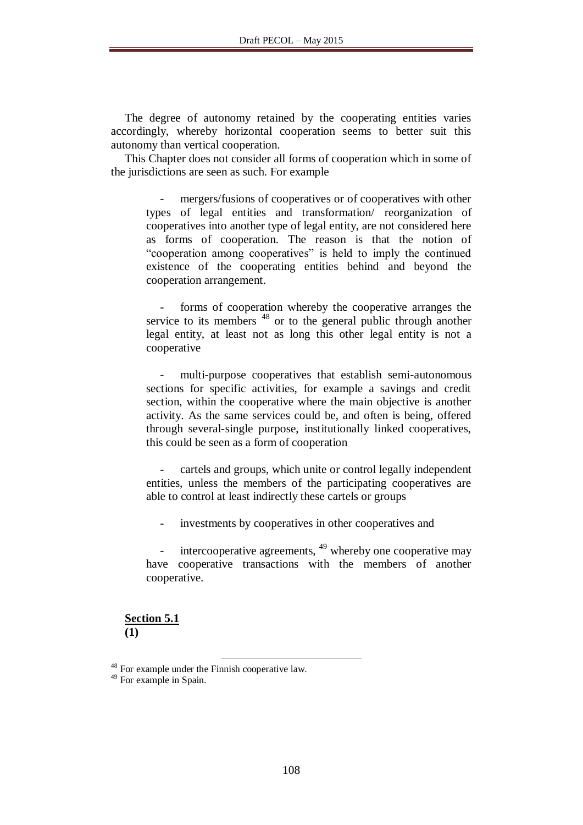The degree of autonomy retained by the cooperating entities varies accordingly, whereby horizontal cooperation seems to better suit this autonomy than vertical cooperation.

This Chapter does not consider all forms of cooperation which in some of the jurisdictions are seen as such. For example

mergers/fusions of cooperatives or of cooperatives with other types of legal entities and transformation/ reorganization of cooperatives into another type of legal entity, are not considered here as forms of cooperation. The reason is that the notion of "cooperation among cooperatives" is held to imply the continued existence of the cooperating entities behind and beyond the cooperation arrangement.

forms of cooperation whereby the cooperative arranges the service to its members <sup>48</sup> or to the general public through another legal entity, at least not as long this other legal entity is not a cooperative

multi-purpose cooperatives that establish semi-autonomous sections for specific activities, for example a savings and credit section, within the cooperative where the main objective is another activity. As the same services could be, and often is being, offered through several-single purpose, institutionally linked cooperatives, this could be seen as a form of cooperation

cartels and groups, which unite or control legally independent entities, unless the members of the participating cooperatives are able to control at least indirectly these cartels or groups

investments by cooperatives in other cooperatives and

intercooperative agreements,  $49$  whereby one cooperative may have cooperative transactions with the members of another cooperative.

**Section 5.1 (1)**

<u>.</u>

<sup>48</sup> For example under the Finnish cooperative law.

<sup>&</sup>lt;sup>49</sup> For example in Spain.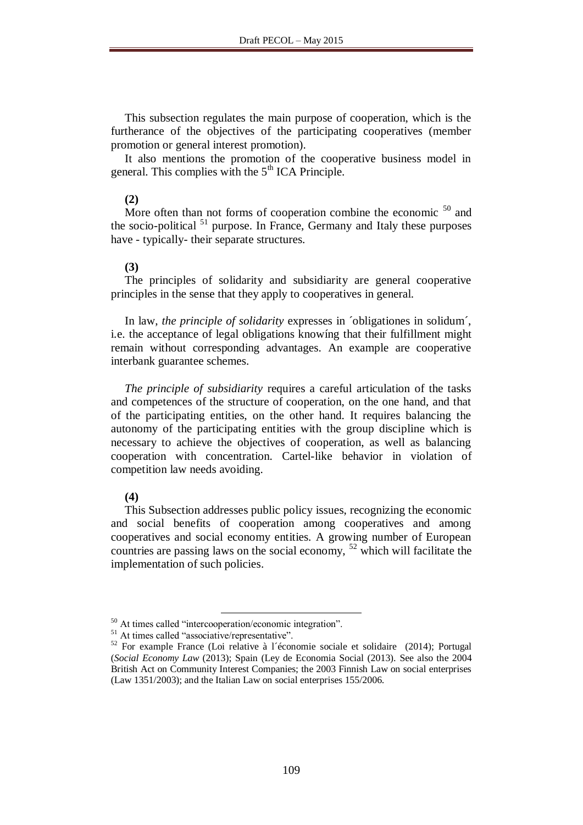This subsection regulates the main purpose of cooperation, which is the furtherance of the objectives of the participating cooperatives (member promotion or general interest promotion).

It also mentions the promotion of the cooperative business model in general. This complies with the  $5<sup>th</sup> ICA$  Principle.

#### **(2)**

More often than not forms of cooperation combine the economic <sup>50</sup> and the socio-political  $51$  purpose. In France, Germany and Italy these purposes have - typically- their separate structures.

#### **(3)**

The principles of solidarity and subsidiarity are general cooperative principles in the sense that they apply to cooperatives in general.

In law, *the principle of solidarity* expresses in ´obligationes in solidum´, i.e. the acceptance of legal obligations knowíng that their fulfillment might remain without corresponding advantages. An example are cooperative interbank guarantee schemes.

*The principle of subsidiarity* requires a careful articulation of the tasks and competences of the structure of cooperation, on the one hand, and that of the participating entities, on the other hand. It requires balancing the autonomy of the participating entities with the group discipline which is necessary to achieve the objectives of cooperation, as well as balancing cooperation with concentration. Cartel-like behavior in violation of competition law needs avoiding.

## **(4)**

This Subsection addresses public policy issues, recognizing the economic and social benefits of cooperation among cooperatives and among cooperatives and social economy entities. A growing number of European countries are passing laws on the social economy, <sup>52</sup> which will facilitate the implementation of such policies.

<sup>&</sup>lt;u>.</u> <sup>50</sup> At times called "intercooperation/economic integration".

<sup>&</sup>lt;sup>51</sup> At times called "associative/representative".

 $52$  For example France (Loi relative à l'économie sociale et solidaire (2014); Portugal (*Social Economy Law* (2013); Spain (Ley de Economia Social (2013). See also the 2004 British Act on Community Interest Companies; the 2003 Finnish Law on social enterprises (Law 1351/2003); and the Italian Law on social enterprises 155/2006.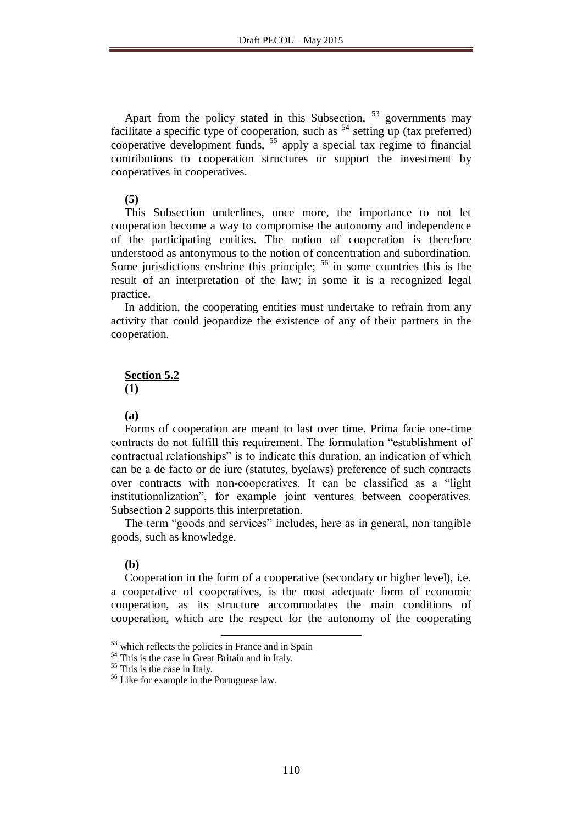Apart from the policy stated in this Subsection,  $53$  governments may facilitate a specific type of cooperation, such as <sup>54</sup> setting up (tax preferred) cooperative development funds,  $55$  apply a special tax regime to financial contributions to cooperation structures or support the investment by cooperatives in cooperatives.

#### **(5)**

This Subsection underlines, once more, the importance to not let cooperation become a way to compromise the autonomy and independence of the participating entities. The notion of cooperation is therefore understood as antonymous to the notion of concentration and subordination. Some jurisdictions enshrine this principle;  $56$  in some countries this is the result of an interpretation of the law; in some it is a recognized legal practice.

In addition, the cooperating entities must undertake to refrain from any activity that could jeopardize the existence of any of their partners in the cooperation.

# **Section 5.2**

**(1)**

#### **(a)**

Forms of cooperation are meant to last over time. Prima facie one-time contracts do not fulfill this requirement. The formulation "establishment of contractual relationships" is to indicate this duration, an indication of which can be a de facto or de iure (statutes, byelaws) preference of such contracts over contracts with non-cooperatives. It can be classified as a "light institutionalization", for example joint ventures between cooperatives. Subsection 2 supports this interpretation.

The term "goods and services" includes, here as in general, non tangible goods, such as knowledge.

#### **(b)**

Cooperation in the form of a cooperative (secondary or higher level), i.e. a cooperative of cooperatives, is the most adequate form of economic cooperation, as its structure accommodates the main conditions of cooperation, which are the respect for the autonomy of the cooperating

<sup>&</sup>lt;sup>53</sup> which reflects the policies in France and in Spain

<sup>54</sup> This is the case in Great Britain and in Italy.

<sup>55</sup> This is the case in Italy.

<sup>56</sup> Like for example in the Portuguese law.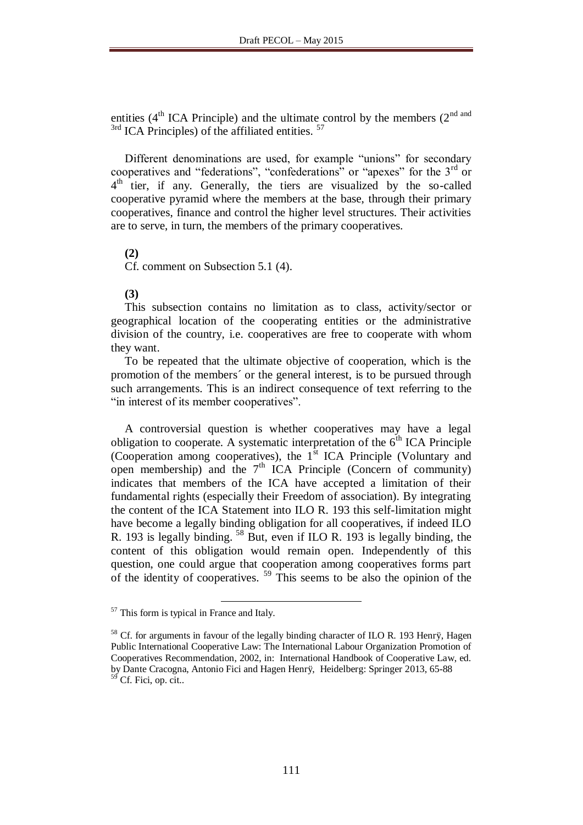entities ( $4<sup>th</sup>$  ICA Principle) and the ultimate control by the members ( $2<sup>nd</sup>$  and  $3rd$  ICA Principles) of the affiliated entities.  $57$ 

Different denominations are used, for example "unions" for secondary cooperatives and "federations", "confederations" or "apexes" for the 3<sup>rd</sup> or 4<sup>th</sup> tier, if any. Generally, the tiers are visualized by the so-called cooperative pyramid where the members at the base, through their primary cooperatives, finance and control the higher level structures. Their activities are to serve, in turn, the members of the primary cooperatives.

**(2)**

Cf. comment on Subsection 5.1 (4).

**(3)**

This subsection contains no limitation as to class, activity/sector or geographical location of the cooperating entities or the administrative division of the country, i.e. cooperatives are free to cooperate with whom they want.

To be repeated that the ultimate objective of cooperation, which is the promotion of the members´ or the general interest, is to be pursued through such arrangements. This is an indirect consequence of text referring to the "in interest of its member cooperatives".

A controversial question is whether cooperatives may have a legal obligation to cooperate. A systematic interpretation of the  $6<sup>th</sup> ICA$  Principle (Cooperation among cooperatives), the  $1<sup>st</sup>$  ICA Principle (Voluntary and open membership) and the  $7<sup>th</sup>$  ICA Principle (Concern of community) indicates that members of the ICA have accepted a limitation of their fundamental rights (especially their Freedom of association). By integrating the content of the ICA Statement into ILO R. 193 this self-limitation might have become a legally binding obligation for all cooperatives, if indeed ILO R. 193 is legally binding. <sup>58</sup> But, even if ILO R. 193 is legally binding, the content of this obligation would remain open. Independently of this question, one could argue that cooperation among cooperatives forms part of the identity of cooperatives.  $59$  This seems to be also the opinion of the

<sup>&</sup>lt;sup>57</sup> This form is typical in France and Italy.

<sup>&</sup>lt;sup>58</sup> Cf. for arguments in favour of the legally binding character of ILO R. 193 Henrÿ, Hagen Public International Cooperative Law: The International Labour Organization Promotion of Cooperatives Recommendation, 2002, in: International Handbook of Cooperative Law, ed. by Dante Cracogna, Antonio Fici and Hagen Henrÿ, Heidelberg: Springer 2013, 65-88 <sup>59</sup> Cf. Fici, op. cit..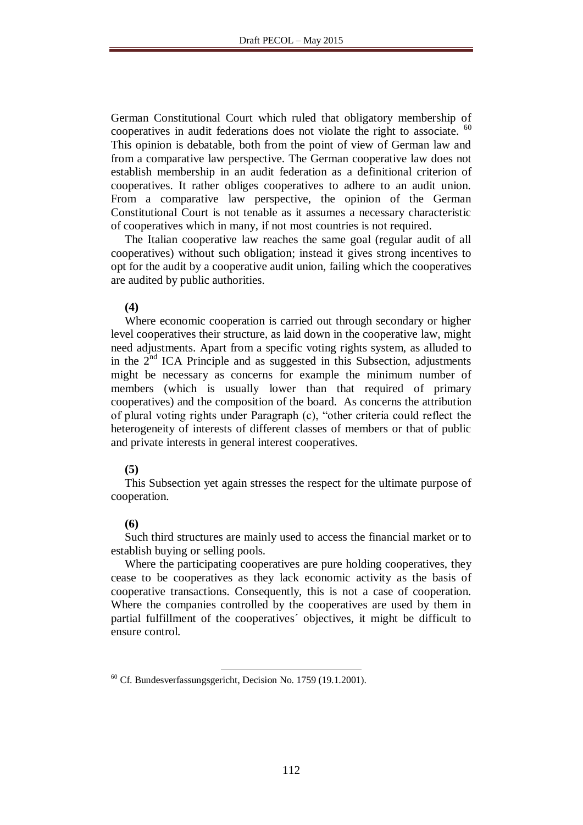German Constitutional Court which ruled that obligatory membership of cooperatives in audit federations does not violate the right to associate. <sup>60</sup> This opinion is debatable, both from the point of view of German law and from a comparative law perspective. The German cooperative law does not establish membership in an audit federation as a definitional criterion of cooperatives. It rather obliges cooperatives to adhere to an audit union. From a comparative law perspective, the opinion of the German Constitutional Court is not tenable as it assumes a necessary characteristic of cooperatives which in many, if not most countries is not required.

The Italian cooperative law reaches the same goal (regular audit of all cooperatives) without such obligation; instead it gives strong incentives to opt for the audit by a cooperative audit union, failing which the cooperatives are audited by public authorities.

## **(4)**

Where economic cooperation is carried out through secondary or higher level cooperatives their structure, as laid down in the cooperative law, might need adjustments. Apart from a specific voting rights system, as alluded to in the  $2<sup>nd</sup>$  ICA Principle and as suggested in this Subsection, adjustments might be necessary as concerns for example the minimum number of members (which is usually lower than that required of primary cooperatives) and the composition of the board. As concerns the attribution of plural voting rights under Paragraph (c), "other criteria could reflect the heterogeneity of interests of different classes of members or that of public and private interests in general interest cooperatives.

## **(5)**

This Subsection yet again stresses the respect for the ultimate purpose of cooperation.

## **(6)**

Such third structures are mainly used to access the financial market or to establish buying or selling pools.

Where the participating cooperatives are pure holding cooperatives, they cease to be cooperatives as they lack economic activity as the basis of cooperative transactions. Consequently, this is not a case of cooperation. Where the companies controlled by the cooperatives are used by them in partial fulfillment of the cooperatives´ objectives, it might be difficult to ensure control.

<sup>60</sup> Cf. Bundesverfassungsgericht, Decision No. 1759 (19.1.2001).